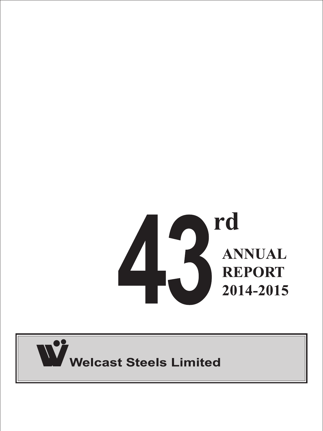

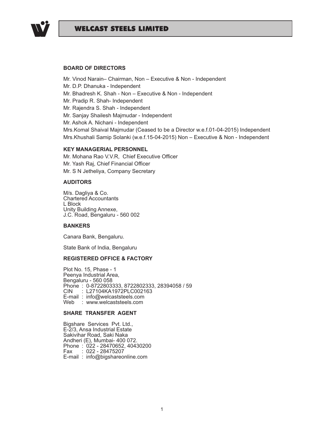

# **BOARD OF DIRECTORS**

Mr. Vinod Narain– Chairman, Non – Executive & Non - Independent Mr. D.P. Dhanuka - Independent Mr. Bhadresh K. Shah - Non – Executive & Non - Independent Mr. Pradip R. Shah- Independent Mr. Rajendra S. Shah - Independent Mr. Sanjay Shailesh Majmudar - Independent Mr. Ashok A. Nichani - Independent Mrs.Komal Shaival Majmudar (Ceased to be a Director w.e.f.01-04-2015) Independent Mrs.Khushali Samip Solanki (w.e.f.15-04-2015) Non – Executive & Non - Independent

# **KEY MANAGERIAL PERSONNEL**

Mr. Mohana Rao V.V.R, Chief Executive Officer Mr. Yash Raj, Chief Financial Officer Mr. S N Jetheliya, Company Secretary

# **AUDITORS**

M/s. Dagliya & Co. Chartered Accountants L Block Unity Building Annexe, J.C. Road, Bengaluru - 560 002

## **BANKERS**

Canara Bank, Bengaluru.

State Bank of India, Bengaluru

## **REGISTERED OFFICE & FACTORY**

Plot No. 15, Phase - 1 Peenya Industrial Area, Bengaluru - 560 058 Phone : 0-8722803333, 8722802333, 28394058 / 59 CIN : L27104KA1972PLC002163 E-mail : info@welcaststeels.com Web : www.welcaststeels.com

# **SHARE TRANSFER AGENT**

Bigshare Services Pvt. Ltd., E-2/3, Ansa Industrial Estate Sakivihar Road, Saki Naka Andheri (E), Mumbai- 400 072. Phone: 022 - 28470652, 40430200 Fax : 022 - 28475207 E-mail : info@bigshareonline.com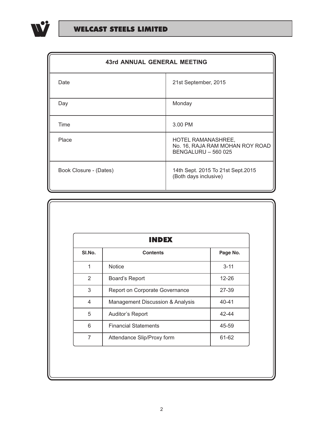

# **WELCAST STEELS LIMITED**

| <b>43rd ANNUAL GENERAL MEETING</b> |                                                                                     |  |  |
|------------------------------------|-------------------------------------------------------------------------------------|--|--|
| Date                               | 21st September, 2015                                                                |  |  |
| Day                                | Monday                                                                              |  |  |
| Time                               | 3.00 PM                                                                             |  |  |
| Place                              | HOTEL RAMANASHREE,<br>No. 16, RAJA RAM MOHAN ROY ROAD<br><b>BENGALURU - 560 025</b> |  |  |
| Book Closure - (Dates)             | 14th Sept. 2015 To 21st Sept. 2015<br>(Both days inclusive)                         |  |  |

| <b>INDEX</b> |                                  |           |  |
|--------------|----------------------------------|-----------|--|
| SI.No.       | <b>Contents</b>                  | Page No.  |  |
| 1            | <b>Notice</b>                    | $3 - 11$  |  |
| 2            | Board's Report                   | $12 - 26$ |  |
| 3            | Report on Corporate Governance   | 27-39     |  |
| 4            | Management Discussion & Analysis | $40 - 41$ |  |
| 5            | Auditor's Report                 | 42-44     |  |
| 6            | <b>Financial Statements</b>      | 45-59     |  |
| 7            | Attendance Slip/Proxy form       | 61-62     |  |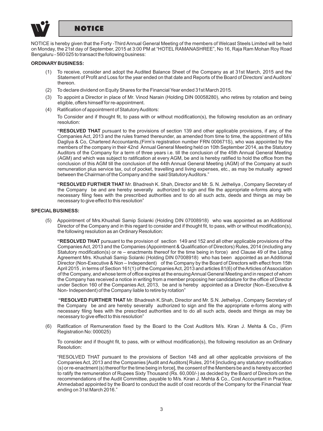

NOTICE is hereby given that the Forty -Third Annual General Meeting of the members of Welcast Steels Limited will be held on Monday, the 21st day of September, 2015 at 3:00 PM at "HOTEL RAMANASHREE", No 16, Raja Ram Mohan Roy Road Bengaluru - 560 025 to transact the following business:

### **ORDINARY BUSINESS:**

- (1) To receive, consider and adopt the Audited Balance Sheet of the Company as at 31st March, 2015 and the Statement of Profit and Loss for the year ended on that date and Reports of the Board of Directors' and Auditors' thereon.
- (2) To declare dividend on Equity Shares for the Financial Year ended 31st March 2015.
- (3) To appoint a Director in place of Mr. Vinod Narain (Holding DIN 00058280), who retires by rotation and being eligible, offers himself for re-appointment.
- (4) Ratification of appointment of StatutoryAuditors:

To Consider and if thought fit, to pass with or without modification(s), the following resolution as an ordinary resolution:

"RESOLVED THAT pursuant to the provisions of section 139 and other applicable provisions, if any, of the Companies Act, 2013 and the rules framed thereunder, as amended from time to time, the appointment of M/s Dagliya & Co, Chartered Accountants,(Firm's registration number FRN 000671S), who was appointed by the members of the company in their 42nd Annual General Meeting held on 10th September 2014, as the Statutory Auditors of the Company for a term of three years i.e. till the conclusion of the 45th Annual General Meeting (AGM) and which was subject to ratification at every AGM, be and is hereby ratified to hold the office from the conclusion of this AGM till the conclusion of the 44th Annual General Meeting (AGM) of the Company at such remuneration plus service tax, out of pocket, travelling and living expenses, etc., as may be mutually agreed between the Chairman of the Company and the said Statutory Auditors."

"RESOLVED FURTHER THAT Mr. Bhadresh K. Shah, Director and Mr. S. N. Jetheliya , Company Secretary of the Company be and are hereby severally authorized to sign and file the appropriate e-forms along with necessary filing fees with the prescribed authorities and to do all such acts, deeds and things as may be necessary to give effect to this resolution"

### **SPECIAL BUSINESS:**

(5) Appointment of Mrs.Khushali Samip Solanki (Holding DIN 07008918) who was appointed as an Additional Director of the Company and in this regard to consider and if thought fit, to pass, with or without modification(s), the following resolution as an Ordinary Resolution:

"RESOLVED THAT pursuant to the provision of section 149 and 152 and all other applicable provisions of the Companies Act, 2013 and the Companies (Appointment & Qualification of Directors) Rules, 2014 (including any Statutory modification(s) or re – enactments thereof for the time being in force) and Clause 49 of the Listing Agreement Mrs. Khushali Samip Solanki (Holding DIN 07008918) who has been appointed as an Additional Director (Non-Executive & Non – Independent) of the Company by the Board of Directors with effect from 15th April 2015, in terms of Section 161(1) of the Companies Act, 2013 and articles 81(6) of the Articles of Association of the Company, and whose term of office expires at the ensuingAnnual General Meeting and in respect of whom the Company has received a notice in writing from a member proposing her candidature for the office of Director under Section 160 of the Companies Act, 2013, be and is hereby appointed as a Director (Non–Executive & Non- Independent) of the Company liable to retire by rotation"

"RESOLVED FURTHER THAT Mr. Bhadresh K.Shah, Director and Mr. S.N. Jetheliya, Company Secretary of the Company be and are hereby severally authorized to sign and file the appropriate e-forms along with necessary filing fees with the prescribed authorities and to do all such acts, deeds and things as may be necessary to give effect to this resolution"

(6) Ratification of Remuneration fixed by the Board to the Cost Auditors M/s. Kiran J. Mehta & Co., (Firm Registration No: 000025)

To consider and if thought fit, to pass, with or without modification(s), the following resolution as an Ordinary Resolution:

"RESOLVED THAT pursuant to the provisions of Section 148 and all other applicable provisions of the Companies Act, 2013 and the Companies [Audit and Auditors] Rules, 2014 [including any statutory modification (s) or re-enactment (s) thereof for the time being in force], the consent of the Members be and is hereby accorded to ratify the remuneration of Rupees Sixty Thousand (Rs. 60,000/-) as decided by the Board of Directors on the recommendations of the Audit Committee, payable to M/s. Kiran J. Mehta & Co., Cost Accountant in Practice, Ahmedabad appointed by the Board to conduct the audit of cost records of the Company for the Financial Year ending on 31st March 2016."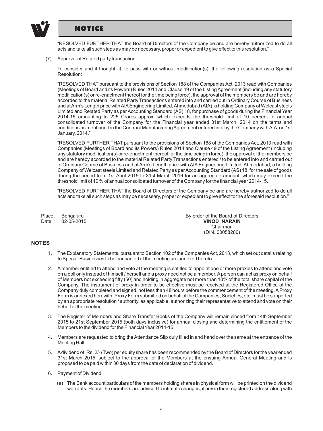

"RESOLVED FURTHER THAT the Board of Directors of the Company be and are hereby authorized to do all acts and take all such steps as may be necessary, proper or expedient to give effect to this resolution."

(7) Approval of Related party transaction:

To consider and if thought fit, to pass with or without modification(s), the following resolution as a Special Resolution:

"RESOLVED THAT pursuant to the provisions of Section 188 of the Companies Act, 2013 read with Companies (Meetings of Board and its Powers) Rules 2014 and Clause 49 of the Listing Agreement (including any statutory modification(s) or re-enactment thereof for the time being force), the approval of the members be and are hereby accorded to the material Related Party Transactions entered into and carried out in Ordinary Course of Business and at Arm's Length price with AIA Engineering Limited, Ahmedabad (AIA), a holding Company of Welcast steels Limited and Related Party as per Accounting Standard (AS) 18, for purchase of goods during the Financial Year 2014-15 amounting to 225 Crores approx. which exceeds the threshold limit of 10 percent of annual consolidated turnover of the Company for the Financial year ended 31st March, 2014 on the terms and conditions as mentioned in the Contract Manufacturing Agreement entered into by the Company with AIA on 1st January, 2014."

"RESOLVED FURTHER THAT pursuant to the provisions of Section 188 of the Companies Act, 2013 read with Companies (Meetings of Board and its Powers) Rules 2014 and Clause 49 of the Listing Agreement (including any statutory modification(s) or re-enactment thereof for the time being in force), the approval of the members be and are hereby accorded to the material Related Party Transactions entered / to be entered into and carried out in Ordinary Course of Business and at Arm's Length price with AIA Engineering Limited, Ahmedabad, a holding Company of Welcast steels Limited and Related Party as per Accounting Standard (AS) 18, for the sale of goods during the period from 1st April 2015 to 31st March 2016 for an aggregate amount, which may exceed the threshold limit of 10 % of annual consolidated turnover of the Company for the financial year 2014-15.

"RESOLVED FURTHER THAT the Board of Directors of the Company be and are hereby authorized to do all acts and take all such steps as may be necessary, proper or expedient to give effect to the aforesaid resolution."

Date : 02-05-2015

Place : Bengaluru By order of the Board of Directors Chairman (DIN. 00058280) **VINOD NARAIN**

# **NOTES**

- 1. The Explanatory Statements, pursuant to Section 102 of the Companies Act, 2013, which set out details relating to Special Businesses to be transacted at the meeting are annexed hereto.
- 2. A member entitled to attend and vote at the meeting is entitled to appoint one or more proxies to attend and vote on a poll only instead of himself / herself and a proxy need not be a member. A person can act as proxy on behalf of Members not exceeding fifty (50) and holding in aggregate not more than 10% of the total share capital of the Company. The instrument of proxy in order to be effective must be received at the Registered Office of the Company duly completed and signed, not less than 48 hours before the commencement of the meeting.AProxy Form is annexed herewith. Proxy Form submitted on behalf of the Companies, Societies, etc. must be supported by an appropriate resolution / authority, as applicable, authorizing their representative to attend and vote on their behalf at the meeting.
- 3. The Register of Members and Share Transfer Books of the Company will remain closed from 14th September 2015 to 21st September 2015 (both days inclusive) for annual closing and determining the entitlement of the Members to the dividend for the Financial Year 2014-15.
- 4. Members are requested to bring the Attendance Slip duly filled in and hand over the same at the entrance of the Meeting Hall.
- 5. Adividend of Rs. 2/- (Two) per equity share has been recommended by the Board of Directors for the year ended 31st March 2015, subject to the approval of the Members at the ensuing Annual General Meeting and is proposed to be paid within 30 days from the date of declaration of dividend.
- 6. Payment of Dividend:
	- (a) The Bank account particulars of the members holding shares in physical form will be printed on the dividend warrants. Hence the members are advised to intimate changes, if any in their registered address along with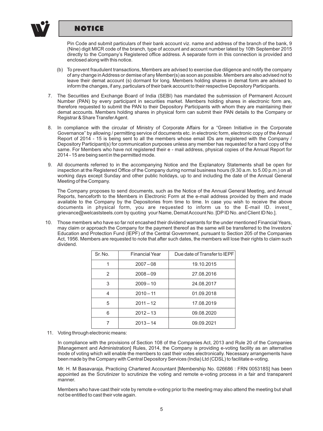

Pin Code and submit particulars of their bank account viz. name and address of the branch of the bank, 9 (Nine) digit MICR code of the branch, type of account and account number latest by 10th September 2015 directly to the Company's Registered office address. A separate form in this connection is provided and enclosed along with this notice.

- (b) To prevent fraudulent transactions, Members are advised to exercise due diligence and notify the company of any change inAddress or demise of any Member(s) as soon as possible. Members are also advised not to leave their demat account (s) dormant for long. Members holding shares in demat form are advised to inform the changes, if any, particulars of their bank account to their respective Depository Participants.
- 7. The Securities and Exchange Board of India (SEBI) has mandated the submission of Permanent Account Number (PAN) by every participant in securities market. Members holding shares in electronic form are, therefore requested to submit the PAN to their Depository Participants with whom they are maintaining their demat accounts. Members holding shares in physical form can submit their PAN details to the Company or Registrar & Share TransferAgent.
- 8. In compliance with the circular of Ministry of Corporate Affairs for a "Green Initiative in the Corporate Governance" by allowing / permitting service of documents etc. in electronic form, electronic copy of the Annual Report of 2014 - 15 is being sent to all the members whose email IDs are registered with the Company / Depository Participant(s) for communication purposes unless any member has requested for a hard copy of the same. For Members who have not registered their e - mail address, physical copies of the Annual Report for 2014 - 15 are being sent in the permitted mode.
- 9. All documents referred to in the accompanying Notice and the Explanatory Statements shall be open for inspection at the Registered Office of the Company during normal business hours (9.30 a.m. to 5.00 p.m.) on all working days except Sunday and other public holidays, up to and including the date of the Annual General Meeting of the Company.

The Company proposes to send documents, such as the Notice of the Annual General Meeting, and Annual Reports, henceforth to the Members in Electronic Form at the e-mail address provided by them and made available to the Company by the Depositories from time to time. In case you wish to receive the above documents in physical form, you are requested to inform us to the E-mail ID. invest\_ grievance@welcaststeels.com by quoting your Name, DematAccount No. [DP ID No. and Client ID No.].

10. Those members who have so far not encashed their dividend warrants for the under mentioned Financial Years, may claim or approach the Company for the payment thereof as the same will be transferred to the Investors' Education and Protection Fund (IEPF) of the Central Government, pursuant to Section 205 of the Companies Act, 1956. Members are requested to note that after such dates, the members will lose their rights to claim such dividend.

| Sr. No.<br><b>Financial Year</b> |             | Due date of Transfer to IEPF |
|----------------------------------|-------------|------------------------------|
| $2007 - 08$<br>1                 |             | 19.10.2015                   |
| 2<br>$2008 - 09$                 |             | 27.08.2016                   |
| 3<br>$2009 - 10$                 |             | 24.08.2017                   |
| $2010 - 11$<br>4                 |             | 01.09.2018                   |
| 5                                | $2011 - 12$ | 17.08.2019                   |
| $2012 - 13$<br>6                 |             | 09.08.2020                   |
|                                  | $2013 - 14$ | 09.09.2021                   |

11. Voting through electronic means:

In compliance with the provisions of Section 108 of the Companies Act, 2013 and Rule 20 of the Companies [Management and Administration] Rules, 2014, the Company is providing e-voting facility as an alternative mode of voting which will enable the members to cast their votes electronically. Necessary arrangements have been made by the Company with Central Depository Services (India) Ltd (CDSL) to facilitate e-voting.

Mr. H. M Basavaraja, Practicing Chartered Accountant [Membership No. 026686 : FRN 005318S] has been appointed as the Scrutinizer to scrutinize the voting and remote e-voting process in a fair and transparent manner.

Members who have cast their vote by remote e-voting prior to the meeting may also attend the meeting but shall not be entitled to cast their vote again.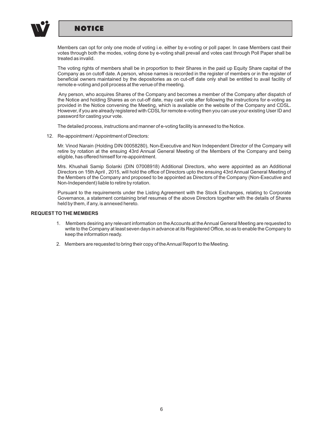

Members can opt for only one mode of voting i.e. either by e-voting or poll paper. In case Members cast their votes through both the modes, voting done by e-voting shall prevail and votes cast through Poll Paper shall be treated as invalid.

The voting rights of members shall be in proportion to their Shares in the paid up Equity Share capital of the Company as on cutoff date. A person, whose names is recorded in the register of members or in the register of beneficial owners maintained by the depositories as on cut-off date only shall be entitled to avail facility of remote e-voting and poll process at the venue of the meeting.

Any person, who acquires Shares of the Company and becomes a member of the Company after dispatch of the Notice and holding Shares as on cut-off date, may cast vote after following the instructions for e-voting as provided in the Notice convening the Meeting, which is available on the website of the Company and CDSL. However, if you are already registered with CDSLfor remote e-voting then you can use your existing User ID and password for casting your vote.

The detailed process, instructions and manner of e-voting facility is annexed to the Notice.

12. Re-appointment /Appointment of Directors:

Mr. Vinod Narain (Holding DIN 00058280), Non-Executive and Non Independent Director of the Company will retire by rotation at the ensuing 43rd Annual General Meeting of the Members of the Company and being eligible, has offered himself for re-appointment.

Mrs. Khushali Samip Solanki (DIN 07008918) Additional Directors, who were appointed as an Additional Directors on 15th April , 2015, will hold the office of Directors upto the ensuing 43rd Annual General Meeting of the Members of the Company and proposed to be appointed as Directors of the Company (Non-Executive and Non-Independent) liable to retire by rotation.

Pursuant to the requirements under the Listing Agreement with the Stock Exchanges, relating to Corporate Governance, a statement containing brief resumes of the above Directors together with the details of Shares held by them, if any, is annexed hereto.

# **REQUEST TO THE MEMBERS**

- 1. Members desiring any relevant information on theAccounts at theAnnual General Meeting are requested to write to the Company at least seven days in advance at its Registered Office, so as to enable the Company to keep the information ready.
- 2. Members are requested to bring their copy of the Annual Report to the Meeting.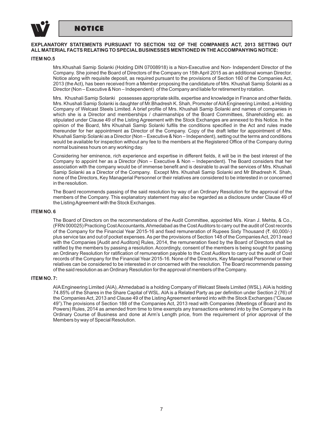

### **EXPLANATORY STATEMENTS PURSUANT TO SECTION 102 OF THE COMPANIES ACT, 2013 SETTING OUT ALL MATERIAL FACTS RELATING TO SPECIAL BUSINESSES MENTIONED IN THEACCOMPANYING NOTICE:**

### **ITEM NO.5**

Mrs.Khushali Samip Solanki (Holding DIN 07008918) is a Non-Executive and Non- Independent Director of the Company. She joined the Board of Directors of the Company on 15th April 2015 as an additional woman Director. Notice along with requisite deposit, as required pursuant to the provisions of Section 160 of the Companies Act, 2013 (the Act), has been received from a Member proposing the candidature of Mrs. Khushali Samip Solanki as a Director (Non – Executive & Non – Independent) of the Company and liable for retirement by rotation.

Mrs. Khushali Samip Solanki possesses appropriate skills, expertise and knowledge in Finance and other fields. Mrs. Khushali Samip Solanki is daughter of Mr.Bhadresh K. Shah, Promoter ofAIAEngineering Limited, a Holding Company of Welcast Steels Limited. A brief profile of Mrs. Khushali Samip Solanki and names of companies in which she is a Director and memberships / chairmanships of the Board Committees, Shareholding etc. as stipulated under Clause 49 of the Listing Agreement with the Stock Exchanges are annexed to this Notice. In the opinion of the Board, Mrs Khushali Samip Solanki fulfils the conditions specified in the Act and rules made thereunder for her appointment as Director of the Company. Copy of the draft letter for appointment of Mrs. Khushali Samip Solanki as a Director (Non – Executive & Non – Independent), setting out the terms and conditions would be available for inspection without any fee to the members at the Registered Office of the Company during normal business hours on any working day.

Considering her eminence, rich experience and expertise in different fields, it will be in the best interest of the Company to appoint her as a Director (Non – Executive & Non – Independent). The Board considers that her association with the company would be of immense benefit and is desirable to avail the services of Mrs. Khushali Samip Solanki as a Director of the Company. Except Mrs. Khushali Samip Solanki and Mr Bhadresh K. Shah, none of the Directors, Key Managerial Personnel or their relatives are considered to be interested in or concerned in the resolution.

The Board recommends passing of the said resolution by way of an Ordinary Resolution for the approval of the members of the Company. This explanatory statement may also be regarded as a disclosure under Clause 49 of the ListingAgreement with the Stock Exchanges.

### **ITEM NO. 6**

The Board of Directors on the recommendations of the Audit Committee, appointed M/s. Kiran J. Mehta, & Co., (FRN 000025) Practicing CostAccountants,Ahmedabad as the CostAuditors to carry out the audit of Cost records of the Company for the Financial Year 2015-16 and fixed remuneration of Rupees Sixty Thousand (₹. 60,000/-) plus service tax and out of pocket expenses.As per the provisions of Section 148 of the CompaniesAct, 2013 read with the Companies [Audit and Auditors] Rules, 2014, the remuneration fixed by the Board of Directors shall be ratified by the members by passing a resolution. Accordingly, consent of the members is being sought for passing an Ordinary Resolution for ratification of remuneration payable to the Cost Auditors to carry out the audit of Cost records of the Company for the Financial Year 2015-16. None of the Directors, Key Managerial Personnel or their relatives can be considered to be interested in or concerned with the resolution. The Board recommends passing of the said resolution as an Ordinary Resolution for the approval of members of the Company.

## **ITEM NO. 7:**

AIA Engineering Limited (AIA), Ahmedabad is a holding Company of Welcast Steels Limited (WSL). AIA is holding 74.85% of the Shares in the Share Capital of WSL. AIA is a Related Party as per definition under Section 2 (76) of the Companies Act, 2013 and Clause 49 of the Listing Agreement entered into with the Stock Exchanges ("Clause 49").The provisions of Section 188 of the Companies Act, 2013 read with Companies (Meetings of Board and its Powers) Rules, 2014 as amended from time to time exempts any transactions entered into by the Company in its Ordinary Course of Business and done at Arm's Length price, from the requirement of prior approval of the Members by way of Special Resolution.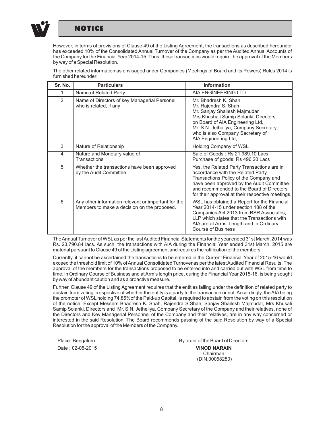

However, in terms of provisions of Clause 49 of the Listing Agreement, the transactions as described hereunder has exceeded 10% of the Consolidated Annual Turnover of the Company as per the Audited Annual Accounts of the Company for the Financial Year 2014-15. Thus, these transactions would require the approval of the Members by way of a Special Resolution.

The other related information as envisaged under Companies (Meetings of Board and its Powers) Rules 2014 is furnished hereunder:

| Sr. No.       | <b>Particulars</b>                                                                                 | <b>Information</b>                                                                                                                                                                                                                                                      |  |
|---------------|----------------------------------------------------------------------------------------------------|-------------------------------------------------------------------------------------------------------------------------------------------------------------------------------------------------------------------------------------------------------------------------|--|
| 1             | Name of Related Party                                                                              | AIA ENGINEERING LTD                                                                                                                                                                                                                                                     |  |
| $\mathcal{P}$ | Name of Directors of key Managerial Personel<br>who is related, if any                             | Mr. Bhadresh K. Shah<br>Mr. Rajendra S. Shah<br>Mr. Sanjay Shailesh Majmudar<br>Mrs. Khushali Samip Solanki, Directors<br>on Board of AIA Engineering Ltd,<br>Mr. S.N. Jethaliya, Company Secretary<br>who is also Company Secretary of<br>AIA Engineering Ltd.         |  |
| 3             | Nature of Relationship                                                                             | Holding Company of WSL                                                                                                                                                                                                                                                  |  |
| 4             | Nature and Monetary value of<br>Transactions                                                       | Sale of Goods: Rs 21,989.10 Lacs<br>Purchase of goods: Rs 496.20 Lacs                                                                                                                                                                                                   |  |
| 5             | Whether the transactions have been approved<br>by the Audit Committee                              | Yes, the Related Party Transactions are in<br>accordance with the Related Party<br>Transactions Policy of the Company and<br>have been approved by the Audit Committee<br>and recommended to the Board of Directors<br>for their approval at their respective meetings. |  |
| 6             | Any other information relevant or important for the<br>Members to make a decision on the proposed. | WSL has obtained a Report for the Financial<br>Year 2014-15 under section 188 of the<br>Companies Act, 2013 from BSR Associates,<br>LLP which states that the Transactions with<br>AIA are at Arms' Length and in Ordinary<br>Course of Business                        |  |

TheAnnual Turnover of WSLas per the lastAudited Financial Statements for the year ended 31st March, 2014 was Rs. 23,790.84 lacs. As such, the transactions with AIA during the Financial Year ended 31st March, 2015 are material pursuant to Clause 49 of the Listing agreement and requires the ratification of the members.

Currently, it cannot be ascertained the transactions to be entered in the Current Financial Year of 2015-16 would exceed the threshold limit of 10% of Annual Consolidated Turnover as per the latest Audited Financial Results. The approval of the members for the transactions proposed to be entered into and carried out with WSL from time to time, in Ordinary Course of Business and at Arm's length price, during the Financial Year 2015-16, is being sought by way of abundant caution and as a proactive measure.

Further, Clause 49 of the Listing Agreement requires that the entities falling under the definition of related party to abstain from voting irrespective of whether the entity is a party to the transaction or not. Accordingly, the AIA being the promoter of WSL holding 74.85%of the Paid-up Capital, is required to abstain from the voting on this resolution of the notice. Except Messers Bhadresh K. Shah, Rajendra S.Shah, Sanjay Shailesh Majmudar, Mrs Khusali Samip Solanki, Directors and Mr. S.N. Jetheliya, Company Secretary of the Company and their relatives, none of the Directors and Key Managerial Personnel of the Company and their relatives, are in any way concerned or interested in the said Resolution. The Board recommends passing of the said Resolution by way of a Special Resolution for the approval of the Members of the Company.

Date : 02-05-2015

Place : Bengaluru By order of the Board of Directors

Chairman (DIN.00058280) **VINOD NARAIN**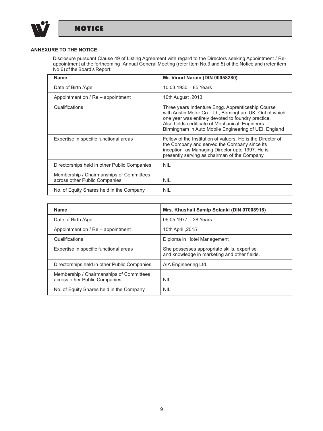

## **ANNEXURE TO THE NOTICE:**

Disclosure pursuant Clause 49 of Listing Agreement with regard to the Directors seeking Appointment / Reappointment at the forthcoming Annual General Meeting (refer Item No.3 and 5) of the Notice and (refer item No.6) of the Board's Report:

| <b>Name</b>                                                               | Mr. Vinod Narain (DIN 00058280)                                                                                                                                                                                                                                                |
|---------------------------------------------------------------------------|--------------------------------------------------------------------------------------------------------------------------------------------------------------------------------------------------------------------------------------------------------------------------------|
| Date of Birth /Age                                                        | $10.03.1930 - 85$ Years                                                                                                                                                                                                                                                        |
| Appointment on / Re – appointment                                         | 10th August, 2013                                                                                                                                                                                                                                                              |
| Qualifications                                                            | Three years Indenture Engg. Apprenticeship Course<br>with Austin Motor Co. Ltd., Birmingham, UK. Out of which<br>one year was entirely devoted to foundry practice.<br>Also holds certificate of Mechanical Engineers<br>Birmingham in Auto Mobile Engineering of UEI, England |
| Expertise in specific functional areas                                    | Fellow of the Institution of valuers. He is the Director of<br>the Company and served the Company since its<br>inception as Managing Director upto 1997. He is<br>presently serving as chairman of the Company.                                                                |
| Directorships held in other Public Companies                              | <b>NIL</b>                                                                                                                                                                                                                                                                     |
| Membership / Chairmanships of Committees<br>across other Public Companies | <b>NIL</b>                                                                                                                                                                                                                                                                     |
| No. of Equity Shares held in the Company                                  | <b>NIL</b>                                                                                                                                                                                                                                                                     |

| <b>Name</b>                                                               | Mrs. Khushali Samip Solanki (DIN 07008918)                                                  |
|---------------------------------------------------------------------------|---------------------------------------------------------------------------------------------|
| Date of Birth /Age                                                        | 09.05.1977 - 38 Years                                                                       |
| Appointment on / Re - appointment                                         | 15th April , 2015                                                                           |
| Qualifications                                                            | Diploma in Hotel Management                                                                 |
| Expertise in specific functional areas                                    | She possesses appropriate skills, expertise<br>and knowledge in marketing and other fields. |
| Directorships held in other Public Companies                              | AIA Engineering Ltd.                                                                        |
| Membership / Chairmanships of Committees<br>across other Public Companies | <b>NIL</b>                                                                                  |
| No. of Equity Shares held in the Company                                  | <b>NIL</b>                                                                                  |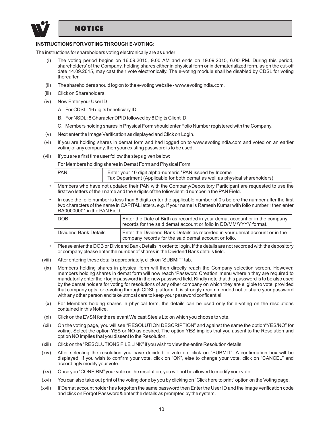

# **INSTRUCTIONS FOR VOTING THROUGH E-VOTING:**

The instructions for shareholders voting electronically are as under:

- (i) The voting period begins on 16.09.2015, 9.00 AM and ends on 19.09.2015, 6.00 PM. During this period, shareholders' of the Company, holding shares either in physical form or in dematerialized form, as on the cut-off date 14.09.2015, may cast their vote electronically. The e-voting module shall be disabled by CDSL for voting thereafter.
- (ii) The shareholders should log on to the e-voting website www.evotingindia.com.
- (iii) Click on Shareholders.
- (iv) Now Enter your User ID
	- A. For CDSL: 16 digits beneficiary ID,
	- B. For NSDL: 8 Character DPID followed by 8 Digits Client ID,
	- C. Members holding shares in Physical Form should enter Folio Number registered with the Company.
- (v) Next enter the Image Verification as displayed and Click on Login.
- (vi) If you are holding shares in demat form and had logged on to www.evotingindia.com and voted on an earlier voting of any company, then your existing password is to be used.
- (vii) If you are a first time user follow the steps given below:

For Members holding shares in Demat Form and Physical Form

| Enter your 10 digit alpha-numeric *PAN issued by Income<br>PAN<br>Tax Department (Applicable for both demat as well as physical shareholders) |
|-----------------------------------------------------------------------------------------------------------------------------------------------|
|-----------------------------------------------------------------------------------------------------------------------------------------------|

- Members who have not updated their PAN with the Company/Depository Participant are requested to use the first two letters of their name and the 8 digits of the folio/client id number in the PAN Field.
- In case the folio number is less than 8 digits enter the applicable number of 0's before the number after the first two characters of the name in CAPITAL letters. e.g. If your name is Ramesh Kumar with folio number 1then enter RA00000001 in the PAN Field.

| <b>DOB</b>            | Enter the Date of Birth as recorded in your demat account or in the company<br>records for the said demat account or folio in DD/MM/YYYY format. |
|-----------------------|--------------------------------------------------------------------------------------------------------------------------------------------------|
| Dividend Bank Details | Enter the Dividend Bank Details as recorded in your demat account or in the<br>company records for the said demat account or folio.              |

- Please enter the DOB or Dividend Bank Details in order to login. If the details are not recorded with the depository or company please enter the number of shares in the Dividend Bank details field.
- (viii) After entering these details appropriately, click on "SUBMIT" tab.
- (ix) Members holding shares in physical form will then directly reach the Company selection screen. However, members holding shares in demat form will now reach 'Password Creation' menu wherein they are required to mandatorily enter their login password in the new password field. Kindly note that this password is to be also used by the demat holders for voting for resolutions of any other company on which they are eligible to vote, provided that company opts for e-voting through CDSL platform. It is strongly recommended not to share your password with any other person and take utmost care to keep your password confidential.
- (x) For Members holding shares in physical form, the details can be used only for e-voting on the resolutions contained in this Notice.
- (xi) Click on the EVSN for the relevant Welcast Steels Ltd on which you choose to vote.
- (xii) On the voting page, you will see "RESOLUTION DESCRIPTION" and against the same the option"YES/NO" for voting. Select the option YES or NO as desired. The option YES implies that you assent to the Resolution and option NO implies that you dissent to the Resolution.
- (xiii) Click on the "RESOLUTIONS FILE LINK" if you wish to view the entire Resolution details.
- (xiv) After selecting the resolution you have decided to vote on, click on "SUBMIT". A confirmation box will be displayed. If you wish to confirm your vote, click on "OK", else to change your vote, click on "CANCEL" and accordingly modify your vote.
- (xv) Once you "CONFIRM" your vote on the resolution, you will not be allowed to modify your vote.
- (xvi) You can also take out print of the voting done by you by clicking on "Click here to print" option on the Voting page.
- (xvii) If Demat account holder has forgotten the same password then Enter the User ID and the image verification code and click on Forgot Password& enter the details as prompted by the system.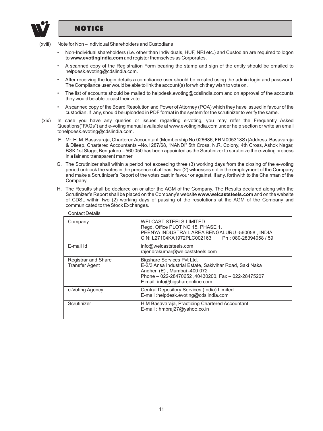

(xviii) Note for Non – Individual Shareholders and Custodians

- Non-Individual shareholders (i.e. other than Individuals, HUF, NRI etc.) and Custodian are required to logon to www.evotingindia.com and register themselves as Corporates.
- A scanned copy of the Registration Form bearing the stamp and sign of the entity should be emailed to helpdesk.evoting@cdslindia.com.
- After receiving the login details a compliance user should be created using the admin login and password. The Compliance user would be able to link the account(s) for which they wish to vote on.
- The list of accounts should be mailed to helpdesk.evoting@cdslindia.com and on approval of the accounts they would be able to cast their vote.
- Ascanned copy of the Board Resolution and Power ofAttorney (POA) which they have issued in favour of the custodian, if any, should be uploaded in PDF format in the system for the scrutinizer to verify the same.
- (xix) In case you have any queries or issues regarding e-voting, you may refer the Frequently Asked Questions("FAQs") and e-voting manual available at www.evotingindia.com under help section or write an email tohelpdesk.evoting@cdslindia.com.
	- F. Mr. H. M. Basavaraja, Chartered Accountant (Membership No.026686; FRN 005318S) [Address: Basavaraja & Dileep, Chartered Accountants –No.1287/68, "NANDI" 5th Cross, N.R. Colony, 4th Cross, Ashok Nagar, BSK 1st Stage, Bengaluru – 560 050 has been appointed as the Scrutinizer to scrutinize the e-voting process in a fair and transparent manner.
	- G. The Scrutinizer shall within a period not exceeding three (3) working days from the closing of the e-voting period unblock the votes in the presence of at least two (2) witnesses not in the employment of the Company and make a Scrutinizer's Report of the votes cast in favour or against, if any, forthwith to the Chairman of the Company.
	- H. The Results shall be declared on or after the AGM of the Company. The Results declared along with the Scrutinizer's Report shall be placed on the Company's website www.welcaststeels.com and on the website of CDSL within two (2) working days of passing of the resolutions at the AGM of the Company and communicated to the Stock Exchanges.

| Company                                             | <b>WELCAST STEELS LIMITED</b><br>Regd. Office PLOT NO 15, PHASE 1,<br>PEENYA INDUSTRAIL AREA BENGALURU -560058, INDIA<br>Ph: 080-28394058 / 59<br>CIN: L27104KA1972PLC002163                                   |
|-----------------------------------------------------|----------------------------------------------------------------------------------------------------------------------------------------------------------------------------------------------------------------|
| E-mail Id                                           | info@welcaststeels.com<br>rajendrakumar@welcaststeels.com                                                                                                                                                      |
| <b>Registrar and Share</b><br><b>Transfer Agent</b> | Bigshare Services Pvt Ltd.<br>E-2/3 Ansa Industrial Estate, Sakivihar Road, Saki Naka<br>Andheri (E), Mumbai -400 072<br>Phone - 022-28470652,40430200, Fax - 022-28475207<br>E mail; info@bigshareonline.com. |
| e-Voting Agency                                     | Central Depository Services (India) Limited<br>E-mail :helpdesk.evoting@cdslindia.com                                                                                                                          |
| Scrutinizer                                         | H M Basavaraja, Practicing Chartered Accountant<br>E-mail: hmbraj27@yahoo.co.in                                                                                                                                |

Contact Details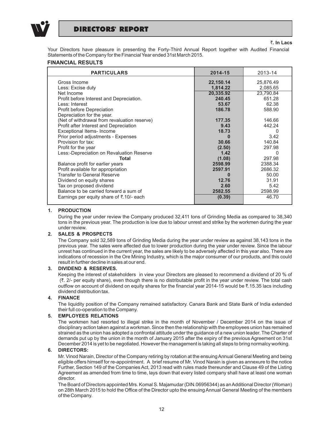

# **DIRECTORS' REPORT**

`**. In Lacs**

Your Directors have pleasure in presenting the Forty-Third Annual Report together with Audited Financial Statements of the Company for the Financial Year ended 31st March 2015.

# **FINANCIAL RESULTS**

| <b>PARTICULARS</b>                                     | 2014-15   | 2013-14   |
|--------------------------------------------------------|-----------|-----------|
| Gross Income                                           | 22,150.14 | 25,876.49 |
| Less: Excise duty                                      | 1,814.22  | 2,085.65  |
| Net Income                                             | 20,335.92 | 23,790.84 |
| Profit before Interest and Depreciation.               | 240.45    | 651.28    |
| Less: Interest                                         | 53.67     | 62.38     |
| Profit before Depreciation                             | 186.78    | 588.90    |
| Depreciation for the year.                             |           |           |
| (Net of withdrawal from revaluation reserve)           | 177.35    | 146.66    |
| Profit after Interest and Depreciation                 | 9.43      | 442.24    |
| Exceptional Items- Income                              | 18.73     | O         |
| Prior period adjustments - Expenses                    |           | 3.42      |
| Provision for tax:                                     | 30.66     | 140.84    |
| Profit for the year                                    | (2.50)    | 297.98    |
| Less:-Depreciation on Revaluation Reserve              | 1.42      | 0         |
| Total                                                  | (1.08)    | 297.98    |
| Balance profit for earlier years                       | 2598.99   | 2388.34   |
| Profit available for appropriation                     | 2597.91   | 2686.32   |
| Transfer to General Reserve                            |           | 50.00     |
| Dividend on equity shares                              | 12.76     | 31.91     |
| Tax on proposed dividend                               | 2.60      | 5.42      |
| Balance to be carried forward a sum of                 | 2582.55   | 2598.99   |
| Earnings per equity share of $\overline{5}$ .10/- each | (0.39)    | 46.70     |
|                                                        |           |           |

# **1. PRODUCTION**

During the year under review the Company produced 32,411 tons of Grinding Media as compared to 38,340 tons in the previous year. The production is low due to labour unrest and strike by the workmen during the year under review.

# **2. SALES & PROSPECTS**

The Company sold 32,589 tons of Grinding Media during the year under review as against 38,143 tons in the previous year. The sales were affected due to lower production during the year under review. Since the labour unrest has continued in the current year, the sales are likely to be adversely affected in this year also. There are indications of recession in the Ore Mining Industry, which is the major consumer of our products, and this could result in further decline in sales at our end.

# **3. DIVIDEND & RESERVES.**

Keeping the interest of stakeholders in view your Directors are pleased to recommend a dividend of 20 % of  $(7.2/$ - per equity share), even though there is no distributable profit in the year under review. The total cash outflow on account of dividend on equity shares for the financial year 2014-15 would be ₹.15.35 lacs including dividend distribution tax.

# **4. FINANCE**

The liquidity position of the Company remained satisfactory. Canara Bank and State Bank of India extended their full co-operation to the Company.

# **5. EMPLOYEES RELATIONS**

The workmen had resorted to illegal strike in the month of November / December 2014 on the issue of disciplinary action taken against a workman. Since then the relationship with the employees union has remained strained as the union has adopted a confrontal attitude under the guidance of a new union leader. The Charter of demands put up by the union in the month of January 2015 after the expiry of the previous Agreement on 31st December 2014 is yet to be negotiated. However the management is taking all steps to bring normalcy working.

## **6. DIRECTORS:**

Mr. Vinod Narain, Director of the Company retiring by rotation at the ensuingAnnual General Meeting and being eligible offers himself for re-appointment. A brief resume of Mr. Vinod Narain is given as annexure to the notice Further, Section 149 of the Companies Act, 2013 read with rules made thereunder and Clause 49 of the Listing Agreement as amended from time to time, lays down that every listed company shall have at least one woman director.

The Board of Directors appointed Mrs. Komal S. Majamudar (DIN.06956344) as an Additional Director (Woman) on 28th March 2015 to hold the Office of the Director upto the ensuing Annual General Meeting of the members of the Company.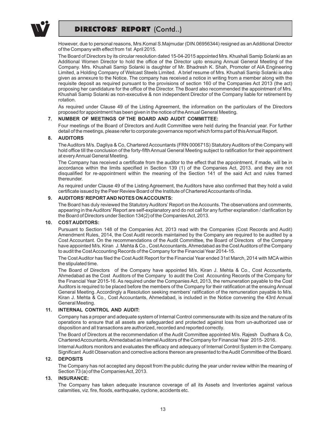

However, due to personal reasons, Mrs.Komal S.Majmudar (DIN.06956344) resigned as an Additional Director of the Company with effect from 1st April 2015.

The Board of Directors by its circular resolution dated 15-04-2015 appointed Mrs. Khushali Samip Solanki as an Additional Women Director to hold the office of the Director upto ensuing Annual General Meeting of the Company. Mrs. Khushali Samip Solanki is daughter of Mr. Bhadresh K. Shah, Promoter of AIA Engineering Limited, a Holding Company of Welcast Steels Limited. A brief resume of Mrs. Khushali Samip Solanki is also given as annexure to the Notice. The company has received a notice in writing from a member along with the requisite deposit as required pursuant to the provisions of section 160 of the Companies Act 2013 (the act) proposing her candidature for the office of the Director. The Board also recommended the appointment of Mrs. Khushali Samip Solanki as non-executive & non independent Director of the Company liable for retirement by rotation.

As required under Clause 49 of the Listing Agreement, the information on the particulars of the Directors proposed for appointment has been given in the notice of theAnnual General Meeting.

### **7. NUMBER OF MEETINGS OF THE BOARD AND AUDIT COMMITTEE:**

Four meetings of the Board of Directors and Audit Committee were held during the financial year. For further detail of the meetings, please refer to corporate governance report which forms part of this Annual Report.

### **8. AUDITORS**

The Auditors M/s. Dagliya & Co, Chartered Accountants (FRN 000671S) Statutory Auditors of the Company will hold office till the conclusion of the forty-fifth Annual General Meeting subject to ratification for their appointment at everyAnnual General Meeting.

The Company has received a certificate from the auditor to the effect that the appointment, if made, will be in accordance within the limits specified in Section 139 (1) of the Companies Act, 2013. and they are not disqualified for re-appointment within the meaning of the Section 141 of the said Act and rules framed thereunder.

As required under Clause 49 of the Listing Agreement, the Auditors have also confirmed that they hold a valid certificate issued by the Peer Review Board of the Institute of Chartered Accountants of India.

### **9. AUDITORS'REPORTAND NOTES ONACCOUNTS:**

The Board has duly reviewed the Statutory Auditors' Report on the Accounts. The observations and comments, appearing in theAuditors' Report are self-explanatory and do not call for any further explanation / clarification by the Board of Directors under Section 134(2) of the CompaniesAct, 2013.

### **10. COSTAUDITORS:**

Pursuant to Section 148 of the Companies Act, 2013 read with the Companies (Cost Records and Audit) Amendment Rules, 2014, the Cost Audit records maintained by the Company are required to be audited by a Cost Accountant. On the recommendations of the Audit Committee, the Board of Directors of the Company have appointed M/s. Kiran J. Mehta & Co., Cost Accountants, Ahmedabad as the Cost Auditors of the Company to audit the CostAccounting Records of the Company for the Financial Year 2014-15.

The Cost Auditor has filed the Cost Audit Report for the Financial Year ended 31st March, 2014 with MCA within the stipulated time.

The Board of Directors of the Company have appointed M/s. Kiran J. Mehta & Co., Cost Accountants, Ahmedabad as the Cost Auditors of the Company to audit the Cost Accounting Records of the Company for the Financial Year 2015-16. As required under the Companies Act, 2013, the remuneration payable to the Cost Auditors is required to be placed before the members of the Company for their ratification at the ensuing Annual General Meeting. Accordingly a Resolution seeking members' ratification of the remuneration payable to M/s. Kiran J. Mehta & Co., Cost Accountants, Ahmedabad, is included in the Notice convening the 43rd Annual General Meeting.

### **11. INTERNAL CONTROL AND AUDIT:**

Company has a proper and adequate system of Internal Control commensurate with its size and the nature of its operations to ensure that all assets are safeguarded and protected against loss from un-authorized use or disposition and all transactions are authorized, recorded and reported correctly.

The Board of Directors at the recommendation of the Audit Committee appointed M/s. Rajesh Dudhara & Co, CharteredAccountants,Ahmedabad as InternalAuditors of the Company for Financial Year 2015- 2016.

Internal Auditors monitors and evaluates the efficacy and adequacy of Internal Control System in the Company. Significant Audit Observation and corrective actions thereon are presented to theAudit Committee of the Board.

# **12. DEPOSITS**

The Company has not accepted any deposit from the public during the year under review within the meaning of Section 73 (a) of the Companies Act, 2013.

### **13. INSURANCE:**

The Company has taken adequate insurance coverage of all its Assets and Inventories against various calamities, viz. fire, floods, earthquake, cyclone, accidents etc.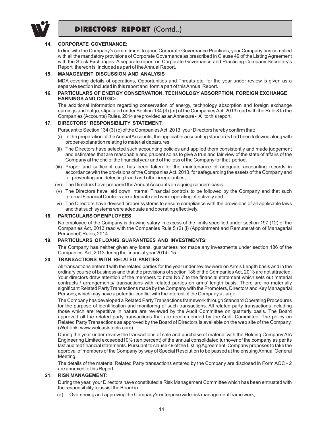

# **14. CORPORATE GOVERNANCE:**

In line with the Company's commitment to good Corporate Governance Practices, your Company has complied with all the mandatory provisions of Corporate Governance as prescribed in Clause 49 of the Listing Agreement with the Stock Exchanges. A separate report on Corporate Governance and Practicing Company Secretary's Report thereon is included as part of theAnnual Report.

# **15. MANAGEMENT DISCUSSION AND ANALYSIS**

MDA covering details of operations, Opportunities and Threats etc. for the year under review is given as a separate section included in this report and form a part of this Annual Report.

### **16. PARTICULARS OF ENERGY CONSERVATION, TECHNOLOGY ABSORPTION, FOREIGN EXCHANGE EARNINGS AND OUTGO:**

The additional information regarding conservation of energy, technology absorption and foreign exchange earnings and outgo, stipulated under Section 134 (3) (m) of the Companies Act, 2013 read with the Rule 8 to the Companies (Accounts) Rules, 2014 are provided as anAnnexure - 'A' to this report.

# **17. DIRECTORS' RESPONSIBILITY STATEMENT:**

Pursuant to Section 134 (3) (c) of the CompaniesAct, 2013 your Directors hereby confirm that:

- (i) In the preparation of theAnnualAccounts, the applicable accounting standards had been followed along with proper explanation relating to material departures.
- (ii) The Directors have selected such accounting policies and applied them consistently and made judgement and estimates that are reasonable and prudent so as to give a true and fair view of the state of affairs of the Company at the end of the financial year and of the loss of the Company for that period.
- (iii) Proper and sufficient care has been taken for the maintenance of adequate accounting records in accordance with the provisions of the Companies Act, 2013, for safeguarding the assets of the Company and for preventing and detecting fraud and other irregularities;
- (iv) The Directors have prepared theAnnualAccounts on a going concern basis.
- (v) The Directors have laid down Internal Financial controls to be followed by the Company and that such Internal Financial Controls are adequate and were operating effectively and
- vi) The Directors have devised proper systems to ensure compliance with the provisions of all applicable laws and that such systems were adequate and operating effectively.

## **18. PARTICULARS OF EMPLOYEES**

No employee of the Company is drawing salary in excess of the limits specified under section 197 (12) of the Companies Act, 2013 read with the Companies Rule 5 (2) (i) (Appointment and Remuneration of Managerial Personnel) Rules, 2014.

## **19. PARTICULARS OF LOANS, GUARANTEES AND INVESTMENTS:**

The Company has neither given any loans, guarantees nor made any investments under section 186 of the Companies Act, 2013 during the financial year 2014 - 15.

## **20. TRANSACTIONS WITH RELATED PARTIES:**

All transactions entered with the related parties for the year under review were on Arm's Length basis and in the ordinary course of business and that the provisions of section 188 of the Companies Act, 2013 are not attracted. Your directors draw attention of the members to note No.7 to the financial statement which sets out material contracts / arrangements/ transactions with related parties on arms' length basis. There are no materially significant Related Party Transactions made by the Company with the Promoters, Directors and Key Managerial Persons, which may have a potential conflict with the interest of the Company at large.

The Company has developed a Related Party Transactions framework through Standard Operating Procedures for the purpose of identification and monitoring of such transactions. All related party transactions including those which are repetitive in nature are reviewed by the Audit Committee on quarterly basis. The Board approved all the related party transactions that are recommended by the Audit Committee. The policy on Related Party Transactions as approved by the Board of Directors is available on the web site of the Company. (Web link- www.welcaststeels.com).

During the year under review the transactions of sale and purchase of material with the Holding Company AIA Engineering Limited exceeded10% (ten percent) of the annual consolidated turnover of the company as per its last audited financial statements. Pursuant to clause 49 of the ListingAgreement, Company proposes to take the approval of members of the Company by way of Special Resolution to be passed at the ensuingAnnual General Meeting.

The details of the material Related Party transactions entered by the Company are disclosed in Form AOC - 2 are annexed to this Report.

## **21. RISK MANAGEMENT:**

During the year, your Directors have constituted a Risk Management Committee which has been entrusted with the responsibility to assist the Board in

(a) Overseeing and approving the Company's enterprise wide risk management frame work;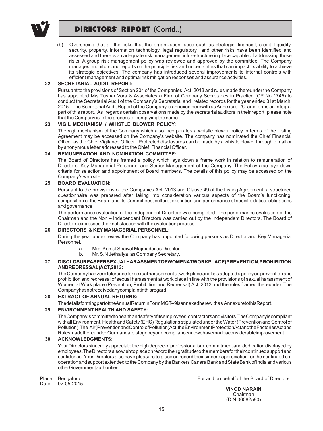

(b) Overseeing that all the risks that the organization faces such as strategic, financial, credit, liquidity, security, property, information technology, legal regulatory and other risks have been identified and assessed and there is an adequate risk management infra-structure in place capable of addressing those risks. A group risk management policy was reviewed and approved by the committee. The Company manages, monitors and reports on the principle risk and uncertainties that can impact its ability to achieve its strategic objectives. The company has introduced several improvements to internal controls with efficient management and optimal risk mitigation responses and assurance activities.

# **22. SECRETARIAL AUDIT REPORT:**

Pursuant to the provisions of Section 204 of the Companies Act, 2013 and rules made thereunder the Company has appointed M/s Tushar Vora & Associates a Firm of Company Secretaries in Practice (CP No 1745) to conduct the Secretarial Audit of the Company's Secretarial and related records for the year ended 31st March, 2015. The SecretarialAudit Report of the Company is annexed herewith asAnnexure - 'C' and forms an integral part of this report. As regards certain observations made by the secretarial auditors in their report please note that the Company is in the process of complying the same.

## **23. VIGIL MECHANISM / WHISTLE BLOWER POLICY:**

The vigil mechanism of the Company which also incorporates a whistle blower policy in terms of the Listing Agreement may be accessed on the Company's website. The company has nominated the Chief Financial Officer as the Chief Vigilance Officer. Protected disclosures can be made by a whistle blower through e mail or by anonymous letter addressed to the Chief Financial Officer.

# **24. REMUNERATION AND NOMINATION COMMITTEE:**

The Board of Directors has framed a policy which lays down a frame work in relation to remuneration of Directors, Key Managerial Personnel and Senior Management of the Company. The Policy also lays down criteria for selection and appointment of Board members. The details of this policy may be accessed on the Company's web site.

# **25. BOARD EVALUATION:**

Pursuant to the provisions of the Companies Act, 2013 and Clause 49 of the Listing Agreement, a structured questionnaire was prepared after taking into consideration various aspects of the Board's functioning, composition of the Board and its Committees, culture, execution and performance of specific duties, obligations and governance.

The performance evaluation of the Independent Directors was completed. The performance evaluation of the Chairman and the Non – Independent Directors was carried out by the Independent Directors. The Board of Directors expressed their satisfaction with the evaluation process.

# **26. DIRECTORS & KEY MANAGERIAL PERSONNEL:**

During the year under review the Company has appointed following persons as Director and Key Managerial Personnel.

- a. Mrs. Komal Shaival Majmudar as Director
- b. Mr. S.N Jethaliya as Company Secretary **.**

## **27. DISCLOSUREASPERSEXUALHARASSMENTOFWOMENATWORKPLACE(PREVENTION,PROHIBITION ANDREDRESSAL)ACT,2013:**

TheCompanyhaszerotoleranceforsexualharassmentatworkplaceandhasadoptedapolicyonpreventionand prohibition and redressal of sexual harassment at work place in line with the provisions of sexual harassment of Women at Work place (Prevention, Prohibition and Redressal) Act, 2013 and the rules framed thereunder. The Companyhasnotreceivedanycomplaintinthisregard.

## **28. EXTRACT OF ANNUAL RETURNS:**

ThedetailsformingpartoftheAnnualReturninFormMGT–9isannexedherewithas AnnexuretothisReport.

## **29. ENVIRONMENT,HEALTH AND SAFETY:**

TheCompanyiscommittedtohealthandsafetyofitsemployees,contractorsandvisitors.TheCompanyiscompliant with all Environment, Health and Safety (EHS) Regulations stipulated under the Water (Prevention and Control of Pollution),The Air(PreventionandControlofPollution)Act,theEnvironmentProtectionActandtheFactoriesActand Rulesmadethereunder.Ourmandateistogobeyondcomplianceandwehavemadeaconsiderableimprovement.

## **30. ACKNOWLEDGMENTS:**

Your Directors sincerely appreciate the high degree of professionalism, commitment and dedication displayed by employees.TheDirectorsalsowishtoplaceonrecordtheirgratitudetothemembersfortheircontinuedsupportand confidence. Your Directors also have pleasure to place on record their sincere appreciation for the continued cooperationandsupportextendedtotheCompanybytheBankersCanaraBankandStateBankofIndiaandvarious otherGovernmentauthorities.

Date : 02-05-2015

Place: Bengaluru For and on behalf of the Board of Directors

Chairman (DIN.00082580) **VINOD NARAIN**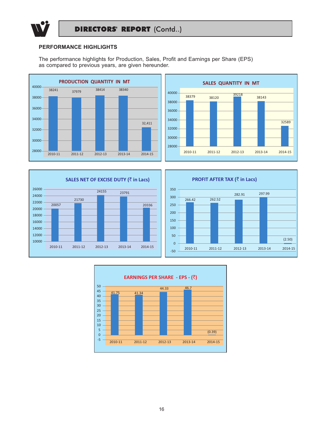

# **PERFORMANCE HIGHLIGHTS**

The performance highlights for Production, Sales, Profit and Earnings per Share (EPS) as compared to previous years, are given hereunder.









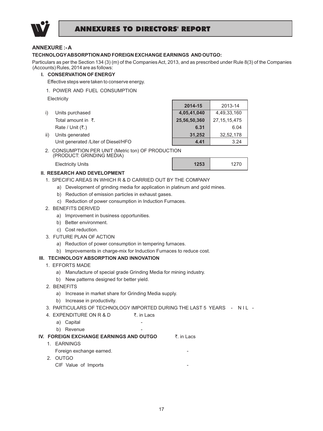

# **ANNEXURE :-A**

# **TECHNOLOGYABSORPTIONAND FOREIGN EXCHANGE EARNINGS AND OUTGO:**

Particulars as per the Section 134 (3) (m) of the Companies Act, 2013, and as prescribed under Rule 8(3) of the Companies (Accounts) Rules, 2014 are as follows:

**1253**

# **I. CONSERVATION OF ENERGY**

Effective steps were taken to conserve energy.

1. POWER AND FUEL CONSUMPTION

**Electricity** 

|     |                                      | 2014-15      | 2013-14         |
|-----|--------------------------------------|--------------|-----------------|
|     | Units purchased                      | 4,05,41,040  | 4,49,33,160     |
|     | Total amount in ₹.                   | 25,56,50,360 | 27, 15, 15, 475 |
|     | Rate / Unit $(\overline{\tau})$ .    | 6.31         | 6.04            |
| ii) | Units generated                      | 31,252       | 32,52,178       |
|     | Unit generated / Liter of Diesel/HFO | 4.41         | 3.24            |

2. CONSUMPTION PER UNIT (Metric ton) OF PRODUCTION (PRODUCT: GRINDING MEDIA)

Electricity Units **1270 1270** 

|  |  |  |  |  |  | II. RESEARCH AND DEVELOPMENT |
|--|--|--|--|--|--|------------------------------|
|--|--|--|--|--|--|------------------------------|

1. SPECIFIC AREAS IN WHICH R & D CARRIED OUT BY THE COMPANY

- a) Development of grinding media for application in platinum and gold mines.
	- b) Reduction of emission particles in exhaust gases.
	- c) Reduction of power consumption in Induction Furnaces.
- 2. BENEFITS DERIVED
	- a) Improvement in business opportunities.
	- b) Better environment.
	- c) Cost reduction.
- 3. FUTURE PLAN OF ACTION
	- a) Reduction of power consumption in tempering furnaces.
	- b) Improvements in charge-mix for Induction Furnaces to reduce cost.

# **III. TECHNOLOGY ABSORPTION AND INNOVATION**

- 1. EFFORTS MADE
	- a) Manufacture of special grade Grinding Media for mining industry.
	- b) New patterns designed for better yield.
- 2. BENEFITS
	- a) Increase in market share for Grinding Media supply.
	- b) Increase in productivity.
- 3. PARTICULARS OF TECHNOLOGY IMPORTED DURING THE LAST 5 YEARS N I L -
- 4. EXPENDITURE ON R & D  $\bar{z}$ . in Lacs
	- a) Capital
	- b) Revenue
- ₹. in Lacs 1. EARNINGS **IV. FOREIGN EXCHANGE EARNINGS AND OUTGO**
	- - Foreign exchange earned.
	- 2. OUTGO
		- CIF Value of Imports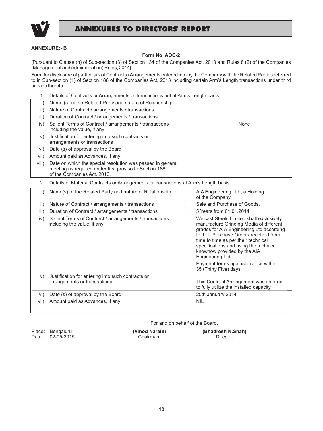

# **ANNEXURE:- B**

# **Form No. AOC-2**

[Pursuant to Clause (h) of Sub-section (3) of Section 134 of the Companies Act, 2013 and Rules 8 (2) of the Companies (Management andAdministration) Rules, 2014]

Form for disclosure of particulars of Contracts /Arrangements entered into by the Company with the Related Parties referred to in Sub-section (1) of Section 188 of the Companies Act, 2013 including certain Arm's Length transactions under third proviso thereto:

1. Details of Contracts or Arrangements or transactions not at Arm's Length basis:

| i)    | Name (s) of the Related Party and nature of Relationship                                                                                            |      |
|-------|-----------------------------------------------------------------------------------------------------------------------------------------------------|------|
| ii)   | Nature of Contract / arrangements / transactions                                                                                                    |      |
| iii)  | Duration of Contract / arrangements / transactions                                                                                                  |      |
| iv)   | Salient Terms of Contract / arrangements / transactions<br>including the value, if any                                                              | None |
| V)    | Justification for entering into such contracts or<br>arrangements or transactions                                                                   |      |
| Vİ)   | Date (s) of approval by the Board                                                                                                                   |      |
| vii)  | Amount paid as Advances, if any                                                                                                                     |      |
| viii) | Date on which the special resolution was passed in general<br>meeting as required under first proviso to Section 188<br>of the Companies Act, 2013. |      |

2. Details of Material Contracts or Arrangements or transactions at Arm's Length basis:

| $\Box$ | Name(s) of the Related Party and nature of Relationship                                | AIA Engineering Ltd., a Holding<br>of the Company.                                                                                                                                                                                                                                                            |
|--------|----------------------------------------------------------------------------------------|---------------------------------------------------------------------------------------------------------------------------------------------------------------------------------------------------------------------------------------------------------------------------------------------------------------|
| ii)    | Nature of Contract / arrangements / transactions                                       | Sale and Purchase of Goods.                                                                                                                                                                                                                                                                                   |
| iii)   | Duration of Contract / arrangements / transactions                                     | 5 Years from 01.01.2014                                                                                                                                                                                                                                                                                       |
| iv)    | Salient Terms of Contract / arrangements / transactions<br>including the value, if any | Welcast Steels Limited shall exclusively<br>manufacture Grinding Media of different<br>grades for AIA Engineering Ltd according<br>to their Purchase Orders received from<br>time to time as per their technical<br>specifications and using the technical<br>knowhow provided by the AIA<br>Engineering Ltd. |
|        |                                                                                        | Payment terms against invoice within<br>35 (Thirty Five) days                                                                                                                                                                                                                                                 |
| V)     | Justification for entering into such contracts or<br>arrangements or transactions      | This Contract Arrangement was entered<br>to fully utilize the installed capacity.                                                                                                                                                                                                                             |
| vi)    | Date (s) of approval by the Board                                                      | 25th January 2014                                                                                                                                                                                                                                                                                             |
| Vii)   | Amount paid as Advances, if any                                                        | <b>NIL</b>                                                                                                                                                                                                                                                                                                    |

For and on behalf of the Board,

Place: Bengaluru Date:  $02 - 05 - 2015$ 

**(Vinod Narain) (Bhadresh K.Shah)**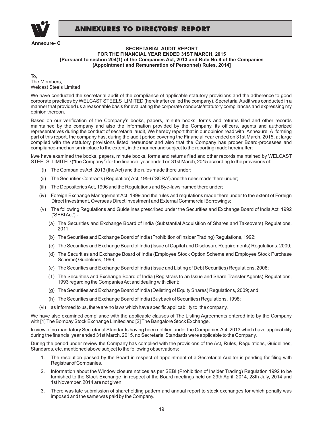

### **SECRETARIAL AUDIT REPORT FOR THE FINANCIAL YEAR ENDED 31ST MARCH, 2015 [Pursuant to section 204(1) of the Companies Act, 2013 and Rule No.9 of the Companies (Appointment and Remuneration of Personnel) Rules, 2014]**

To, The Members, Welcast Steels Limited

We have conducted the secretarial audit of the compliance of applicable statutory provisions and the adherence to good corporate practices by WELCAST STEELS LIMITED (hereinafter called the company). SecretarialAudit was conducted in a manner that provided us a reasonable basis for evaluating the corporate conducts/statutory compliances and expressing my opinion thereon.

Based on our verification of the Company's books, papers, minute books, forms and returns filed and other records maintained by the company and also the information provided by the Company, its officers, agents and authorized representatives during the conduct of secretarial audit, We hereby report that in our opinion read with Annexure A forming part of this report, the company has, during the audit period covering the Financial Year ended on 31st March, 2015, at large complied with the statutory provisions listed hereunder and also that the Company has proper Board-processes and compliance-mechanism in place to the extent, in the manner and subject to the reporting made hereinafter:

I/we have examined the books, papers, minute books, forms and returns filed and other records maintained by WELCAST STEELS LIMITED ("the Company") for the financial year ended on 31st March, 2015 according to the provisions of:

- (i) The CompaniesAct, 2013 (theAct) and the rules made there under;
- (ii) The Securities Contracts (Requlation) Act, 1956 ('SCRA') and the rules made there under;
- (iii) The DepositoriesAct, 1996 and the Regulations and Bye-laws framed there under;
- (iv) Foreign Exchange Management Act, 1999 and the rules and regulations made there under to the extent of Foreign Direct Investment, Overseas Direct Investment and External Commercial Borrowings;
- (v) The following Regulations and Guidelines prescribed under the Securities and Exchange Board of India Act, 1992 ('SEBIAct'):-
	- (a) The Securities and Exchange Board of India (Substantial Acquisition of Shares and Takeovers) Regulations,  $2011$
	- (b) The Securities and Exchange Board of India (Prohibition of Insider Trading) Regulations, 1992;
	- (c) The Securities and Exchange Board of India (Issue of Capital and Disclosure Requirements) Regulations, 2009;
	- (d) The Securities and Exchange Board of India (Employee Stock Option Scheme and Employee Stock Purchase Scheme) Guidelines, 1999;
	- (e) The Securities and Exchange Board of India (Issue and Listing of Debt Securities) Regulations, 2008;
	- ( f ) The Securities and Exchange Board of India (Registrars to an Issue and Share Transfer Agents) Regulations, 1993 regarding the CompaniesAct and dealing with client;
	- (g) The Securities and Exchange Board of India (Delisting of Equity Shares) Regulations, 2009; and
	- (h) The Securities and Exchange Board of India (Buyback of Securities) Regulations, 1998;
- (vi) as informed to us, there are no laws which have specific applicability to the company.

We have also examined compliance with the applicable clauses of The Listing Agreements entered into by the Company with [1] The Bombay Stock Exchange Limited and [2] The Bangalore Stock Exchange.

In view of no mandatory Secretarial Standards having been notified under the Companies Act, 2013 which have applicability during the financial year ended 31st March, 2015, no Secretarial Standards were applicable to the Company.

During the period under review the Company has complied with the provisions of the Act, Rules, Regulations, Guidelines, Standards, etc. mentioned above subject to the following observations:

- 1. The resolution passed by the Board in respect of appointment of a Secretarial Auditor is pending for filing with Registrar of Companies.
- 2. Information about the Window closure notices as per SEBI (Prohibition of Insider Trading) Regulation 1992 to be furnished to the Stock Exchange, in respect of the Board meetings held on 29th April, 2014, 28th July, 2014 and 1st November, 2014 are not given.
- 3. There was late submission of shareholding pattern and annual report to stock exchanges for which penalty was imposed and the same was paid by the Company.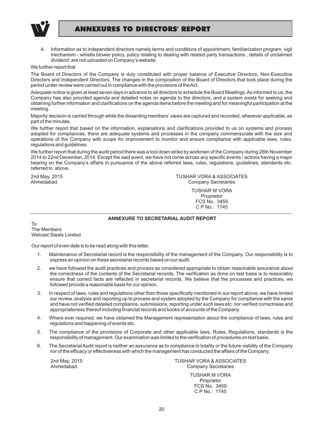



4. Information as to independent directors namely terms and conditions of appointment, familiarization program, vigil mechanism - whistle blower policy, policy relating to dealing with related party transactions , details of unclaimed dividend are not uploaded on Company's website.

We further report that

The Board of Directors of the Company is duly constituted with proper balance of Executive Directors, Non-Executive Directors and Independent Directors. The changes in the composition of the Board of Directors that took place during the period under review were carried out in compliance with the provisions of theAct.

Adequate notice is given at least seven days in advance to all directors to schedule the Board Meetings.As informed to us, the Company has also provided agenda and detailed notes on agenda to the directors, and a system exists for seeking and obtaining further information and clarifications on the agenda items before the meeting and for meaningful participation at the meeting.

Majority decision is carried through while the dissenting members' views are captured and recorded, wherever applicable, as part of the minutes.

We further report that based on the information, explanations and clarifications provided to us on systems and process adopted for compliances, there are adequate systems and processes in the company commensurate with the size and operations of the Company with scope for improvement to monitor and ensure compliance with applicable laws, rules, regulations and guidelines.

We further report that during the audit period there was a tool down strike by workmen of the Company during 26th November 2014 to 22nd December, 2014. Except the said event, we have not come across any specific events / actions having a major bearing on the Company's affairs in pursuance of the above referred laws, rules, regulations, guidelines, standards etc. referred to above.

2nd May, 2015 TUSHAR VORA & ASSOCIATES **Company Secretaries** 

TUSHAR M VORA Proprietor FCS No. 3459 C P No.: 1745

## **ANNEXURE TO SECRETARIAL AUDIT REPORT**

To The Members Welcast Steels Limited

Our report of even date is to be read along with this letter.

- 1. Maintenance of Secretarial record is the responsibility of the management of the Company. Our responsibility is to express an opinion on these secretarial records based on our audit.
- 2. we have followed the audit practices and process as considered appropriate to obtain reasonable assurance about the correctness of the contents of the Secretarial records. The verification as done on test basis is to reasonably ensure that correct facts are reflected in secretarial records. We believe that the processes and practices, we followed provide a reasonable basis for our opinion.
- 3. In respect of laws, rules and regulations other than those specifically mentioned in our report above, we have limited our review, analysis and reporting up to process and system adopted by the Company for compliance with the same and have not verified detailed compliance, submissions, reporting under such laws etc. nor verified correctness and appropriateness thereof including financial records and books of accounts of the Company.
- 4. Where ever required, we have obtained the Management representation about the compliance of laws, rules and regulations and happening of events etc.
- 5. The compliance of the provisions of Corporate and other applicable laws, Rules, Regulations, standards is the responsibility of management. Our examination was limited to the verification of procedures on test basis.
- 6. The Secretarial Audit report is neither an assurance as to compliance in totality or the future viability of the Company nor of the efficacy or effectiveness with which the management has conducted the affairs of the Company.

2nd May, 2015 TUSHAR VORA & ASSOCIATES **Company Secretaries** 

TUSHAR M VORA Proprietor FCS No. 3459 C P No.: 1745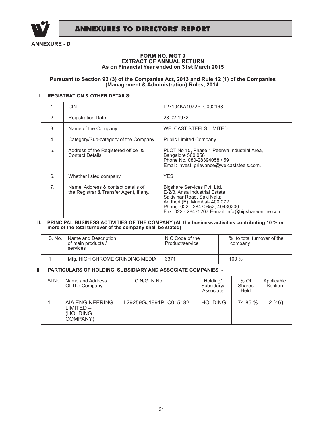

**ANNEXURE - D**

### **FORM NO. MGT 9 EXTRACT OF ANNUAL RETURN As on Financial Year ended on 31st March 2015**

# **Pursuant to Section 92 (3) of the Companies Act, 2013 and Rule 12 (1) of the Companies (Management & Administration) Rules, 2014.**

# **I. REGISTRATION & OTHER DETAILS:**

|    | <b>CIN</b>                                                                    | L27104KA1972PLC002163                                                                                                                                                                                                 |
|----|-------------------------------------------------------------------------------|-----------------------------------------------------------------------------------------------------------------------------------------------------------------------------------------------------------------------|
| 2. | <b>Registration Date</b>                                                      | 28-02-1972                                                                                                                                                                                                            |
| 3. | Name of the Company                                                           | <b>WELCAST STEELS LIMITED</b>                                                                                                                                                                                         |
| 4. | Category/Sub-category of the Company                                          | <b>Public Limited Company</b>                                                                                                                                                                                         |
| 5. | Address of the Registered office &<br><b>Contact Details</b>                  | PLOT No 15, Phase 1, Peenya Industrial Area,<br>Bangalore 560 058<br>Phone No. 080-28394058 / 59<br>Email: invest grievance@welcaststeels.com.                                                                        |
| 6. | Whether listed company                                                        | YES                                                                                                                                                                                                                   |
| 7. | Name, Address & contact details of<br>the Registrar & Transfer Agent, if any. | Bigshare Services Pvt. Ltd.,<br>E-2/3, Ansa Industrial Estate<br>Sakivihar Road, Saki Naka<br>Andheri (E), Mumbai- 400 072.<br>Phone: 022 - 28470652, 40430200<br>Fax: 022 - 28475207 E-mail: info@bigshareonline.com |

### **II. PRINCIPAL BUSINESS ACTIVITIES OF THE COMPANY (All the business activities contributing 10 % or more of the total turnover of the company shall be stated)**

| S. No. | Name and Description<br>of main products /<br>services | NIC Code of the<br>Product/service | % to total turnover of the<br>company |
|--------|--------------------------------------------------------|------------------------------------|---------------------------------------|
|        | Mfg. HIGH CHROME GRINDING MEDIA                        | 3371                               | 100 $%$                               |

## **III. PARTICULARS OF HOLDING, SUBSIDIARY AND ASSOCIATE COMPANIES -**

| SI.No. | Name and Address<br>Of The Company                  | CIN/GLN No            | Holding/<br>Subsidary/<br>Associate | $%$ Of<br><b>Shares</b><br>Held | Applicable<br>Section |
|--------|-----------------------------------------------------|-----------------------|-------------------------------------|---------------------------------|-----------------------|
|        | AIA ENGINEERING<br>LIMITED-<br>(HOLDING<br>COMPANY) | L29259GJ1991PLC015182 | <b>HOLDING</b>                      | 74.85 %                         | 2(46)                 |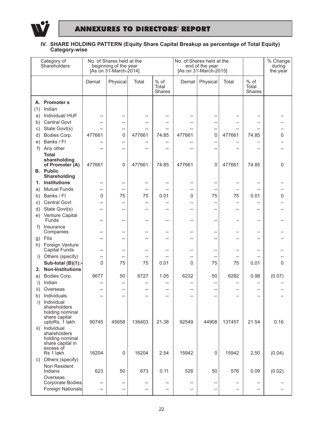

# **IV. SHARE HOLDING PATTERN (Equity Share Capital Breakup as percentage of Total Equity) Category-wise**

|               | Category of<br>Shareholders                                                      | No. of Shares held at the<br>beginning of the year<br>[As on 31-March-2014] |                          |                                    | No. of Shares held at the<br>end of the year<br>[As on 31-March-2015] |        |                    |                          | % Change<br>during<br>the year |        |
|---------------|----------------------------------------------------------------------------------|-----------------------------------------------------------------------------|--------------------------|------------------------------------|-----------------------------------------------------------------------|--------|--------------------|--------------------------|--------------------------------|--------|
|               |                                                                                  | Demat                                                                       | Physical                 | Total                              | $%$ of<br>Total<br>Shares                                             | Demat  | Physical           | Total                    | $%$ of<br>Total<br>Shares      |        |
|               | A. Promoter s                                                                    |                                                                             |                          |                                    |                                                                       |        |                    |                          |                                |        |
| (1)           | Indian                                                                           |                                                                             |                          |                                    |                                                                       |        |                    |                          |                                |        |
| a)            | Individual/HUF                                                                   |                                                                             | $\overline{a}$           | $-$                                | --                                                                    |        | --                 |                          | $\overline{\phantom{0}}$       |        |
| b)            | <b>Central Govt</b>                                                              |                                                                             | --                       |                                    | --                                                                    |        |                    |                          |                                |        |
| c)            | State Govt(s)                                                                    |                                                                             | --                       | --                                 | --                                                                    |        | $-$                | --                       | --                             |        |
| d)            | Bodies Corp.                                                                     | 477661                                                                      | 0                        | 477661                             | 74.85                                                                 | 477661 | 0                  | 477661                   | 74.85                          | 0      |
| e)            | Banks / Fl                                                                       |                                                                             | --                       | --                                 | --                                                                    |        | $-$                |                          |                                |        |
| f)            | Any other                                                                        |                                                                             | --                       |                                    | --                                                                    | --     | --                 |                          |                                |        |
|               | <b>Total</b>                                                                     |                                                                             |                          |                                    |                                                                       |        |                    |                          |                                |        |
|               | shareholding<br>of Promoter (A)                                                  | 477661                                                                      | 0                        | 477661                             | 74.85                                                                 | 477661 | 0                  | 477661                   | 74.85                          | 0      |
|               | <b>B.</b> Public<br>Shareholding                                                 |                                                                             |                          |                                    |                                                                       |        |                    |                          |                                |        |
| 1.            | <b>Institutions</b>                                                              | --                                                                          | --                       | --                                 |                                                                       | --     | --                 |                          |                                |        |
| a)            | <b>Mutual Funds</b>                                                              | $\overline{a}$                                                              | $\overline{\phantom{a}}$ | $-$                                |                                                                       | --     | --                 |                          |                                |        |
| b)            | Banks / Fl                                                                       | 0                                                                           | 75                       | 75                                 | 0.01                                                                  | 0      | 75                 | 75                       | 0.01                           | 0      |
| c)            | <b>Central Govt</b>                                                              | --                                                                          | --                       | --                                 | --                                                                    | --     | --                 | -                        |                                |        |
| d)            | State Govt(s)                                                                    | --                                                                          | --                       | --                                 | --                                                                    | --     | --                 | --                       | --                             |        |
|               | e) Venture Capital<br>Funds                                                      | $-$                                                                         | $\overline{\phantom{a}}$ | $-$                                | --                                                                    | $-$    | --                 | -                        | -                              |        |
| f)            | Insurance<br>Companies                                                           | $\overline{\phantom{a}}$                                                    | $\overline{a}$           | $-$                                | --                                                                    | --     | --                 | -                        | $\overline{\phantom{0}}$       |        |
| g)            | Flls                                                                             | $\overline{a}$                                                              | --                       | --                                 | --                                                                    | --     |                    |                          |                                |        |
| h)            | Foreign Venture<br>Capital Funds                                                 | $\overline{\phantom{a}}$                                                    | $\overline{\phantom{a}}$ | $\overline{\phantom{a}}$           | --                                                                    | --     | --                 | $\overline{\phantom{0}}$ |                                |        |
| i)            | Others (specify)                                                                 | $\overline{\phantom{a}}$                                                    | $\overline{\phantom{a}}$ | --                                 | $=$                                                                   | --     | $\overline{a}$     | $\overline{\phantom{0}}$ |                                |        |
|               | Sub-total $(B)(1)$ :-                                                            | $\Omega$                                                                    | 75                       | 75                                 | 0.01                                                                  | 0      | 75                 | 75                       | 0.01                           | 0      |
| 2.            | <b>Non-Institutions</b>                                                          |                                                                             |                          |                                    |                                                                       |        |                    |                          |                                |        |
| a)            | Bodies Corp.                                                                     | 6677                                                                        | 50                       | 6727                               | 1.05                                                                  | 6232   | 50                 | 6282                     | 0.98                           | (0.07) |
| i)            | Indian                                                                           | --                                                                          | $-$                      | --                                 | --                                                                    | --     | --                 |                          |                                |        |
| ii)           | Overseas                                                                         | --                                                                          | --                       |                                    | --                                                                    | --     |                    |                          |                                |        |
| b)            | Individuals                                                                      | $-$                                                                         | $-$                      | $-$                                | $-$                                                                   | --     | --                 | $\overline{\phantom{0}}$ | $\overline{\phantom{0}}$       |        |
| i)            | Individual<br>shareholders<br>holding nominal<br>share capital<br>uptoRs. 1 lakh | 90745                                                                       | 45658                    | 136403                             | 21.38                                                                 | 92549  | 44908              | 137457                   | 21.54                          | 0.16   |
| $\mathsf{ii}$ | Individual<br>shareholders<br>holding nominal<br>share capital in<br>excess of   |                                                                             |                          |                                    |                                                                       |        |                    |                          |                                |        |
| C)            | Rs 1 lakh<br>Others (specify)                                                    | 16204                                                                       | 0                        | 16204                              | 2.54                                                                  | 15942  | 0                  | 15942                    | 2.50                           | (0.04) |
|               | Non Resident                                                                     |                                                                             |                          |                                    |                                                                       |        |                    |                          |                                |        |
|               | Indians                                                                          | 623                                                                         | 50                       | 673                                | 0.11                                                                  | 526    | 50                 | 576                      | 0.09                           | (0.02) |
|               | Overseas<br>Corporate Bodies                                                     | $\qquad \qquad -$                                                           | $\overline{\phantom{a}}$ | $\hspace{0.05cm} -\hspace{0.05cm}$ | $- -$                                                                 | $-$    | $- \hspace{0.1em}$ | -                        | -                              |        |
|               | Foreign Nationals                                                                | $-\!$                                                                       | $- -$                    | $\hspace{0.05cm} -\hspace{0.05cm}$ | $- -$                                                                 | --     | $\qquad \qquad -$  | $\overline{\phantom{0}}$ | $\overline{\phantom{0}}$       |        |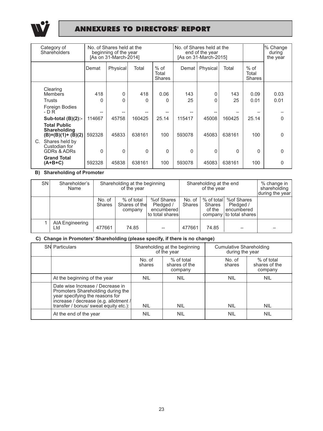

|    | Category of<br><b>Shareholders</b>                                | No. of Shares held at the<br>beginning of the year<br>[As on 31-March-2014] |                 |          | No. of Shares held at the<br>end of the year<br>[As on 31-March-2015] |          |              |        | % Change<br>during<br>the year |              |
|----|-------------------------------------------------------------------|-----------------------------------------------------------------------------|-----------------|----------|-----------------------------------------------------------------------|----------|--------------|--------|--------------------------------|--------------|
|    |                                                                   | Demat                                                                       | <b>Physical</b> | Total    | $%$ of<br>Total<br><b>Shares</b>                                      | Demat    | Physical     | Total  | $%$ of<br>Total<br>Shares      |              |
|    | Clearing<br><b>Members</b>                                        | 418                                                                         | 0               | 418      | 0.06                                                                  | 143      | 0            | 143    | 0.09                           | 0.03         |
|    | <b>Trusts</b>                                                     | O                                                                           | 0               | U        | O                                                                     | 25       | <sup>0</sup> | 25     | 0.01                           | 0.01         |
|    | Foreign Bodies<br>$-DR$                                           |                                                                             |                 |          |                                                                       |          |              |        |                                |              |
|    | Sub-total (B)(2):-                                                | 114667                                                                      | 45758           | 160425   | 25.14                                                                 | 115417   | 45008        | 160425 | 25.14                          | <sup>0</sup> |
|    | <b>Total Public</b><br><b>Shareholding</b><br>$(B)=(B)(1)+(B)(2)$ | 592328                                                                      | 45833           | 638161   | 100                                                                   | 593078   | 45083        | 638161 | 100                            | 0            |
| C. | Shares held by<br>Custodian for<br><b>GDRs &amp; ADRs</b>         | 0                                                                           | 0               | $\Omega$ | $\Omega$                                                              | $\Omega$ | $\Omega$     | O      | O                              | <sup>0</sup> |
|    | <b>Grand Total</b><br>$(A+B+C)$                                   | 592328                                                                      | 45838           | 638161   | 100                                                                   | 593078   | 45083        | 638161 | 100                            | 0            |

# **B) Shareholding of Promoter**

| <b>SN</b> | Shareholder's<br>Name  | Shareholding at the beginning<br>of the year |                                        | Shareholding at the end<br>of the year                      |                         |                                       | % change in<br>shareholding<br>during the year                   |  |
|-----------|------------------------|----------------------------------------------|----------------------------------------|-------------------------------------------------------------|-------------------------|---------------------------------------|------------------------------------------------------------------|--|
|           |                        | No. of<br><b>Shares</b>                      | % of total<br>Shares of the<br>company | %of Shares<br>Pledged /<br>encumbered<br>l to total sharesl | No. of<br><b>Shares</b> | % of total<br><b>Shares</b><br>of the | %of Shares<br>Pledged /<br>encumbered<br>company to total shares |  |
|           | AIA Engineering<br>Ltd | 477661                                       | 74.85                                  |                                                             | 477661                  | 74.85                                 |                                                                  |  |

# **C) Change in Promoters' Shareholding (please specify, if there is no change)**

| <b>SN</b> Particulars                                                                                                                                                                      | Shareholding at the beginning<br>of the year               |            | <b>Cumulative Shareholding</b><br>during the year |                                        |
|--------------------------------------------------------------------------------------------------------------------------------------------------------------------------------------------|------------------------------------------------------------|------------|---------------------------------------------------|----------------------------------------|
|                                                                                                                                                                                            | % of total<br>No. of<br>shares of the<br>shares<br>company |            | No. of<br>shares                                  | % of total<br>shares of the<br>company |
| At the beginning of the year                                                                                                                                                               | <b>NIL</b>                                                 | <b>NIL</b> | <b>NIL</b>                                        | <b>NIL</b>                             |
| Date wise Increase / Decrease in<br>Promoters Shareholding during the<br>year specifying the reasons for<br>increase / decrease (e.g. allotment /<br>transfer / bonus/ sweat equity etc.): | <b>NIL</b>                                                 | <b>NIL</b> | <b>NIL</b>                                        | <b>NIL</b>                             |
| At the end of the year                                                                                                                                                                     | <b>NIL</b>                                                 | <b>NIL</b> | <b>NIL</b>                                        | <b>NIL</b>                             |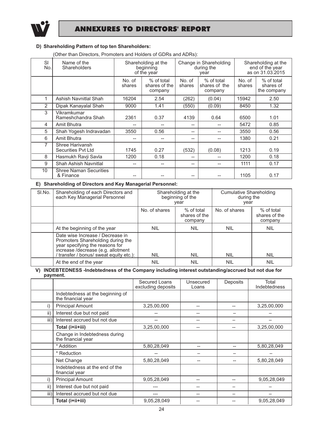

# **D) Shareholding Pattern of top ten Shareholders:**

| SI<br>No. | Name of the<br>Shareholders                  |                  | Change in Shareholding<br>during the<br>beginning<br>of the year<br>year |                                       | Shareholding at the                    |                  | Shareholding at the<br>end of the year<br>as on 31.03.2015 |
|-----------|----------------------------------------------|------------------|--------------------------------------------------------------------------|---------------------------------------|----------------------------------------|------------------|------------------------------------------------------------|
|           |                                              | No. of<br>shares | % of total<br>shares of the<br>company                                   | No. of<br>shares                      | % of total<br>shares of the<br>company | No. of<br>shares | % of total<br>shares of<br>the company                     |
| 1         | Ashish Navnitlal Shah                        | 16204            | 2.54                                                                     | (262)                                 | (0.04)                                 | 15942            | 2.50                                                       |
| 2         | Dipak Kanayalal Shah                         | 9000             | 1.41                                                                     | (550)                                 | (0.09)                                 | 8450             | 1.32                                                       |
| 3         | Vikramkumar<br>Rameshchandra Shah            | 2361             | 0.37                                                                     | 4139                                  | 0.64                                   | 6500             | 1.01                                                       |
| 4         | Amit Bhutra                                  |                  |                                                                          | $\hspace{0.05cm}$ – $\hspace{0.05cm}$ |                                        | 5472             | 0.85                                                       |
| 5         | Shah Yogesh Indravadan                       | 3550             | 0.56                                                                     | $\hspace{0.05cm}$ – $\hspace{0.05cm}$ | $-$                                    | 3550             | 0.56                                                       |
| 6         | Amit Bhutra                                  | $-$              |                                                                          | $-$                                   |                                        | 1380             | 0.21                                                       |
| 7         | Shree Harivansh<br><b>Securities Pvt Ltd</b> | 1745             | 0.27                                                                     | (532)                                 | (0.08)                                 | 1213             | 0.19                                                       |
| 8         | Hasmukh Ravji Savla                          | 1200             | 0.18                                                                     | $\qquad \qquad -$                     |                                        | 1200             | 0.18                                                       |
| 9         | Shah Ashish Navnitlal                        | $- -$            |                                                                          | $-$                                   |                                        | 1111             | 0.17                                                       |
| 10        | <b>Shree Naman Securities</b><br>& Finance   | $- -$            |                                                                          | $- -$                                 |                                        | 1105             | 0.17                                                       |

(Other than Directors, Promoters and Holders of GDRs and ADRs):

# **E) Shareholding of Directors and Key Managerial Personnel:**

| SI.No. | Shareholding of each Directors and<br>each Key Managerial Personnel                                                                                                                     | Shareholding at the<br>beginning of the<br>year         |            | Cumulative Shareholding<br>during the<br>year |                                        |
|--------|-----------------------------------------------------------------------------------------------------------------------------------------------------------------------------------------|---------------------------------------------------------|------------|-----------------------------------------------|----------------------------------------|
|        |                                                                                                                                                                                         | No. of shares<br>% of total<br>shares of the<br>company |            | No. of shares                                 | % of total<br>shares of the<br>company |
|        | At the beginning of the year                                                                                                                                                            | <b>NIL</b>                                              | <b>NIL</b> | NIL                                           | <b>NIL</b>                             |
|        | Date wise Increase / Decrease in<br>Promoters Shareholding during the<br>year specifying the reasons for<br>increase /decrease (e.g. allotment<br>transfer / bonus/ sweat equity etc.): | <b>NIL</b>                                              | <b>NIL</b> | NIL                                           | <b>NIL</b>                             |
|        | At the end of the year                                                                                                                                                                  | NIL                                                     | <b>NIL</b> | <b>NIL</b>                                    | <b>NIL</b>                             |

### **V) INDEBTEDNESS -Indebtedness of the Company including interest outstanding/accrued but not due for payment.**

|      |                                                        | Secured Loans<br>excluding deposits | Unsecured<br>Loans | Deposits | Total<br>Indebtedness |
|------|--------------------------------------------------------|-------------------------------------|--------------------|----------|-----------------------|
|      | Indebtedness at the beginning of<br>the financial year |                                     |                    |          |                       |
| i)   | <b>Principal Amount</b>                                | 3,25,00,000                         |                    |          | 3,25,00,000           |
| ii)  | Interest due but not paid                              |                                     |                    |          |                       |
| iii) | Interest accrued but not due                           |                                     |                    |          |                       |
|      | Total (i+ii+iii)                                       | 3,25,00,000                         |                    | --       | 3,25,00,000           |
|      | Change in Indebtedness during<br>the financial year    |                                     |                    |          |                       |
|      | * Addition                                             | 5,80,28,049                         |                    | --       | 5,80,28,049           |
|      | * Reduction                                            |                                     |                    |          |                       |
|      | Net Change                                             | 5,80,28,049                         |                    |          | 5,80,28,049           |
|      | Indebtedness at the end of the<br>financial year       |                                     |                    |          |                       |
| i)   | <b>Principal Amount</b>                                | 9,05,28,049                         |                    |          | 9,05,28,049           |
| ii)  | Interest due but not paid                              |                                     |                    |          |                       |
| iii) | Interest accrued but not due                           |                                     |                    |          |                       |
|      | Total (i+ii+iii)                                       | 9,05,28,049                         |                    |          | 9,05,28,049           |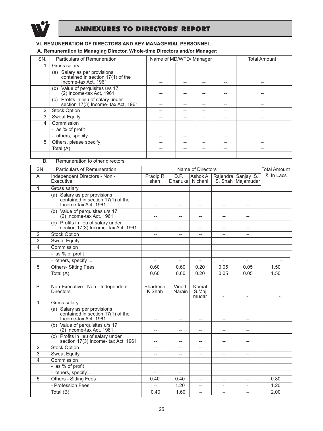

# **VI. REMUNERATION OF DIRECTORS AND KEY MANAGERIAL PERSONNEL**

# **A. Remuneration to Managing Director, Whole-time Directors and/or Manager:**

| 1<br>Gross salary<br>(a) Salary as per provisions<br>contained in section 17(1) of the<br>Income-tax Act, 1961<br>$\overline{\phantom{a}}$<br>$-$<br>--<br>--<br>--<br>(b) Value of perquisites u/s 17<br>(2) Income-tax Act, 1961<br>--<br>--<br>(c) Profits in lieu of salary under<br>section 17(3) Income- tax Act, 1961<br>$\qquad \qquad -$<br>--<br>--<br>$\overline{2}$<br><b>Stock Option</b><br>$-$<br>$-$<br>$\overline{\phantom{0}}$<br>--<br>$\overline{3}$<br><b>Sweat Equity</b><br>$-$<br>$\overline{4}$<br>Commission<br>- as % of profit<br>- others, specify<br>$-$<br>$\overline{\phantom{0}}$<br>--<br>$\overline{\phantom{0}}$<br>Others, please specify<br>5<br>$-$<br>--<br>Total (A)<br>$\overline{\phantom{0}}$<br>$\overline{\phantom{0}}$<br>$-$<br>$\overline{\phantom{a}}$<br>$\equiv$<br><b>B.</b><br>Remuneration to other directors<br>SN.<br>Name of Directors<br><b>Total Amount</b><br><b>Particulars of Remuneration</b><br>₹. In Lacs<br>Independent Directors - Non -<br>Pradip <sub>R</sub><br>D.P.<br>Ashok A.<br>Sanjay .S.<br>A<br>Rajendra<br>Executive<br>Dhanuka Nichani<br>shah<br>S. Shah<br>Majamudar<br>1<br>Gross salary<br>(a) Salary as per provisions | SN. | <b>Particulars of Remuneration</b> | Name of MD/WTD/ Manager |  |  | <b>Total Amount</b> |  |
|-------------------------------------------------------------------------------------------------------------------------------------------------------------------------------------------------------------------------------------------------------------------------------------------------------------------------------------------------------------------------------------------------------------------------------------------------------------------------------------------------------------------------------------------------------------------------------------------------------------------------------------------------------------------------------------------------------------------------------------------------------------------------------------------------------------------------------------------------------------------------------------------------------------------------------------------------------------------------------------------------------------------------------------------------------------------------------------------------------------------------------------------------------------------------------------------------------------|-----|------------------------------------|-------------------------|--|--|---------------------|--|
|                                                                                                                                                                                                                                                                                                                                                                                                                                                                                                                                                                                                                                                                                                                                                                                                                                                                                                                                                                                                                                                                                                                                                                                                             |     |                                    |                         |  |  |                     |  |
|                                                                                                                                                                                                                                                                                                                                                                                                                                                                                                                                                                                                                                                                                                                                                                                                                                                                                                                                                                                                                                                                                                                                                                                                             |     |                                    |                         |  |  |                     |  |
|                                                                                                                                                                                                                                                                                                                                                                                                                                                                                                                                                                                                                                                                                                                                                                                                                                                                                                                                                                                                                                                                                                                                                                                                             |     |                                    |                         |  |  |                     |  |
|                                                                                                                                                                                                                                                                                                                                                                                                                                                                                                                                                                                                                                                                                                                                                                                                                                                                                                                                                                                                                                                                                                                                                                                                             |     |                                    |                         |  |  |                     |  |
|                                                                                                                                                                                                                                                                                                                                                                                                                                                                                                                                                                                                                                                                                                                                                                                                                                                                                                                                                                                                                                                                                                                                                                                                             |     |                                    |                         |  |  |                     |  |
|                                                                                                                                                                                                                                                                                                                                                                                                                                                                                                                                                                                                                                                                                                                                                                                                                                                                                                                                                                                                                                                                                                                                                                                                             |     |                                    |                         |  |  |                     |  |
|                                                                                                                                                                                                                                                                                                                                                                                                                                                                                                                                                                                                                                                                                                                                                                                                                                                                                                                                                                                                                                                                                                                                                                                                             |     |                                    |                         |  |  |                     |  |
|                                                                                                                                                                                                                                                                                                                                                                                                                                                                                                                                                                                                                                                                                                                                                                                                                                                                                                                                                                                                                                                                                                                                                                                                             |     |                                    |                         |  |  |                     |  |
|                                                                                                                                                                                                                                                                                                                                                                                                                                                                                                                                                                                                                                                                                                                                                                                                                                                                                                                                                                                                                                                                                                                                                                                                             |     |                                    |                         |  |  |                     |  |
|                                                                                                                                                                                                                                                                                                                                                                                                                                                                                                                                                                                                                                                                                                                                                                                                                                                                                                                                                                                                                                                                                                                                                                                                             |     |                                    |                         |  |  |                     |  |
|                                                                                                                                                                                                                                                                                                                                                                                                                                                                                                                                                                                                                                                                                                                                                                                                                                                                                                                                                                                                                                                                                                                                                                                                             |     |                                    |                         |  |  |                     |  |
|                                                                                                                                                                                                                                                                                                                                                                                                                                                                                                                                                                                                                                                                                                                                                                                                                                                                                                                                                                                                                                                                                                                                                                                                             |     |                                    |                         |  |  |                     |  |
|                                                                                                                                                                                                                                                                                                                                                                                                                                                                                                                                                                                                                                                                                                                                                                                                                                                                                                                                                                                                                                                                                                                                                                                                             |     |                                    |                         |  |  |                     |  |
|                                                                                                                                                                                                                                                                                                                                                                                                                                                                                                                                                                                                                                                                                                                                                                                                                                                                                                                                                                                                                                                                                                                                                                                                             |     |                                    |                         |  |  |                     |  |
|                                                                                                                                                                                                                                                                                                                                                                                                                                                                                                                                                                                                                                                                                                                                                                                                                                                                                                                                                                                                                                                                                                                                                                                                             |     |                                    |                         |  |  |                     |  |
|                                                                                                                                                                                                                                                                                                                                                                                                                                                                                                                                                                                                                                                                                                                                                                                                                                                                                                                                                                                                                                                                                                                                                                                                             |     |                                    |                         |  |  |                     |  |
|                                                                                                                                                                                                                                                                                                                                                                                                                                                                                                                                                                                                                                                                                                                                                                                                                                                                                                                                                                                                                                                                                                                                                                                                             |     |                                    |                         |  |  |                     |  |
| contained in section 17(1) of the<br>Income-tax Act, 1961<br>$-$<br>--                                                                                                                                                                                                                                                                                                                                                                                                                                                                                                                                                                                                                                                                                                                                                                                                                                                                                                                                                                                                                                                                                                                                      |     |                                    |                         |  |  |                     |  |
| (b) Value of perquisites u/s 17<br>(2) Income-tax Act, 1961<br>$-$<br>--<br>$-$<br>--                                                                                                                                                                                                                                                                                                                                                                                                                                                                                                                                                                                                                                                                                                                                                                                                                                                                                                                                                                                                                                                                                                                       |     |                                    |                         |  |  |                     |  |
| (c) Profits in lieu of salary under<br>section 17(3) Income- tax Act, 1961<br>--<br>--                                                                                                                                                                                                                                                                                                                                                                                                                                                                                                                                                                                                                                                                                                                                                                                                                                                                                                                                                                                                                                                                                                                      |     |                                    |                         |  |  |                     |  |
| $\overline{2}$<br><b>Stock Option</b><br>$=$<br>$\overline{a}$<br>$\overline{a}$<br>$\overline{\phantom{0}}$                                                                                                                                                                                                                                                                                                                                                                                                                                                                                                                                                                                                                                                                                                                                                                                                                                                                                                                                                                                                                                                                                                |     |                                    |                         |  |  |                     |  |
| 3<br><b>Sweat Equity</b><br>$-$<br>$\overline{\phantom{a}}$<br>-<br>—                                                                                                                                                                                                                                                                                                                                                                                                                                                                                                                                                                                                                                                                                                                                                                                                                                                                                                                                                                                                                                                                                                                                       |     |                                    |                         |  |  |                     |  |
| $\overline{4}$<br>Commission                                                                                                                                                                                                                                                                                                                                                                                                                                                                                                                                                                                                                                                                                                                                                                                                                                                                                                                                                                                                                                                                                                                                                                                |     |                                    |                         |  |  |                     |  |
| - as % of profit                                                                                                                                                                                                                                                                                                                                                                                                                                                                                                                                                                                                                                                                                                                                                                                                                                                                                                                                                                                                                                                                                                                                                                                            |     |                                    |                         |  |  |                     |  |
| - others, specify<br>$\overline{a}$<br>$\overline{\phantom{a}}$<br>$\overline{\phantom{0}}$<br>$\overline{\phantom{a}}$                                                                                                                                                                                                                                                                                                                                                                                                                                                                                                                                                                                                                                                                                                                                                                                                                                                                                                                                                                                                                                                                                     |     |                                    |                         |  |  |                     |  |
| <b>Others-Sitting Fees</b><br>0.20<br>5<br>0.60<br>0.60<br>0.05<br>0.05<br>1.50                                                                                                                                                                                                                                                                                                                                                                                                                                                                                                                                                                                                                                                                                                                                                                                                                                                                                                                                                                                                                                                                                                                             |     |                                    |                         |  |  |                     |  |
| 0.60<br>0.20<br>0.05<br>1.50<br>Total (A)<br>0.60<br>0.05                                                                                                                                                                                                                                                                                                                                                                                                                                                                                                                                                                                                                                                                                                                                                                                                                                                                                                                                                                                                                                                                                                                                                   |     |                                    |                         |  |  |                     |  |
|                                                                                                                                                                                                                                                                                                                                                                                                                                                                                                                                                                                                                                                                                                                                                                                                                                                                                                                                                                                                                                                                                                                                                                                                             |     |                                    |                         |  |  |                     |  |
| B<br>Non-Executive - Non - Independent<br><b>Bhadresh</b><br>Vinod<br>Komal<br><b>Directors</b><br>K Shah<br>Narain<br>S.Maj<br>mudar                                                                                                                                                                                                                                                                                                                                                                                                                                                                                                                                                                                                                                                                                                                                                                                                                                                                                                                                                                                                                                                                       |     |                                    |                         |  |  |                     |  |
| $\mathbf{1}$<br>Gross salary                                                                                                                                                                                                                                                                                                                                                                                                                                                                                                                                                                                                                                                                                                                                                                                                                                                                                                                                                                                                                                                                                                                                                                                |     |                                    |                         |  |  |                     |  |
| (a) Salary as per provisions<br>contained in section 17(1) of the<br>Income-tax Act, 1961<br>$-$<br>--<br>$\overline{\phantom{a}}$<br>--<br>--                                                                                                                                                                                                                                                                                                                                                                                                                                                                                                                                                                                                                                                                                                                                                                                                                                                                                                                                                                                                                                                              |     |                                    |                         |  |  |                     |  |
| (b) Value of perquisites u/s 17<br>(2) Income-tax Act, 1961<br>--<br>--<br>--<br>--<br>$\overline{a}$                                                                                                                                                                                                                                                                                                                                                                                                                                                                                                                                                                                                                                                                                                                                                                                                                                                                                                                                                                                                                                                                                                       |     |                                    |                         |  |  |                     |  |
| (c) Profits in lieu of salary under<br>section 17(3) Income- tax Act, 1961<br>$-$<br>$\overline{\phantom{a}}$<br>$\overline{\phantom{a}}$<br>--<br>$\overline{\phantom{a}}$                                                                                                                                                                                                                                                                                                                                                                                                                                                                                                                                                                                                                                                                                                                                                                                                                                                                                                                                                                                                                                 |     |                                    |                         |  |  |                     |  |
| $\overline{2}$<br><b>Stock Option</b><br>$-$<br>$-$<br>$-$                                                                                                                                                                                                                                                                                                                                                                                                                                                                                                                                                                                                                                                                                                                                                                                                                                                                                                                                                                                                                                                                                                                                                  |     |                                    |                         |  |  |                     |  |
| $\overline{3}$<br><b>Sweat Equity</b><br>$-$<br>$\overline{\phantom{a}}$                                                                                                                                                                                                                                                                                                                                                                                                                                                                                                                                                                                                                                                                                                                                                                                                                                                                                                                                                                                                                                                                                                                                    |     |                                    |                         |  |  |                     |  |
| $\overline{4}$<br>Commission                                                                                                                                                                                                                                                                                                                                                                                                                                                                                                                                                                                                                                                                                                                                                                                                                                                                                                                                                                                                                                                                                                                                                                                |     |                                    |                         |  |  |                     |  |
| - as % of profit                                                                                                                                                                                                                                                                                                                                                                                                                                                                                                                                                                                                                                                                                                                                                                                                                                                                                                                                                                                                                                                                                                                                                                                            |     |                                    |                         |  |  |                     |  |
| - others, specify<br>$\overline{\phantom{a}}$<br>$\overline{\phantom{a}}$<br>$\overline{\phantom{0}}$<br>$\overline{\phantom{0}}$<br>$\overline{\phantom{0}}$                                                                                                                                                                                                                                                                                                                                                                                                                                                                                                                                                                                                                                                                                                                                                                                                                                                                                                                                                                                                                                               |     |                                    |                         |  |  |                     |  |
| Others - Sitting Fees<br>0.40<br>0.80<br>5<br>0.40<br>$\qquad \qquad -$<br>$\overline{\phantom{0}}$<br>—                                                                                                                                                                                                                                                                                                                                                                                                                                                                                                                                                                                                                                                                                                                                                                                                                                                                                                                                                                                                                                                                                                    |     |                                    |                         |  |  |                     |  |
| - Profession Fees<br>1.20<br>1.20<br>$\overline{a}$<br>$\overline{\phantom{a}}$<br>$\overline{\phantom{0}}$<br>$\sim$                                                                                                                                                                                                                                                                                                                                                                                                                                                                                                                                                                                                                                                                                                                                                                                                                                                                                                                                                                                                                                                                                       |     |                                    |                         |  |  |                     |  |
| Total (B)<br>0.40<br>1.60<br>2.00<br>$\overline{\phantom{0}}$<br>$\overline{\phantom{0}}$<br>—                                                                                                                                                                                                                                                                                                                                                                                                                                                                                                                                                                                                                                                                                                                                                                                                                                                                                                                                                                                                                                                                                                              |     |                                    |                         |  |  |                     |  |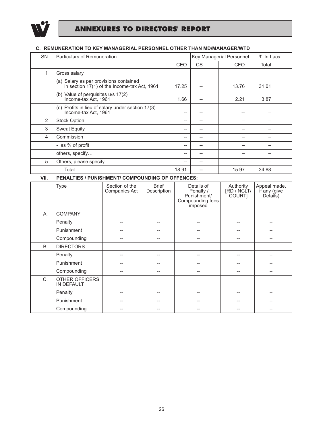

# **C. REMUNERATION TO KEY MANAGERIAL PERSONNEL OTHER THAN MD/MANAGER/WTD**

| <b>SN</b> | Particulars of Remuneration                                                            |       |           | Key Managerial Personnel | ₹. In Lacs |
|-----------|----------------------------------------------------------------------------------------|-------|-----------|--------------------------|------------|
|           |                                                                                        | CEO   | <b>CS</b> | <b>CFO</b>               | Total      |
| 1         | Gross salary                                                                           |       |           |                          |            |
|           | (a) Salary as per provisions contained<br>in section 17(1) of the Income-tax Act, 1961 | 17.25 | --        | 13.76                    | 31.01      |
|           | (b) Value of perquisites u/s 17(2)<br>Income-tax Act, 1961                             | 1.66  |           | 2.21                     | 3.87       |
|           | (c) Profits in lieu of salary under section 17(3)<br>Income-tax Act, 1961              | --    |           |                          |            |
| 2         | <b>Stock Option</b>                                                                    | --    | $ -$      |                          |            |
| 3         | <b>Sweat Equity</b>                                                                    | --    |           |                          |            |
| 4         | Commission                                                                             | --    |           |                          |            |
|           | - as % of profit                                                                       | --    |           |                          |            |
|           | others, specify                                                                        | --    |           |                          |            |
| 5         | Others, please specify                                                                 | --    | $ -$      |                          |            |
|           | Total                                                                                  | 18.91 |           | 15.97                    | 34.88      |

# **VII. PENALTIES / PUNISHMENT/ COMPOUNDING OF OFFENCES:**

|           | <b>Type</b>                         | Section of the<br>Companies Act | <b>Brief</b><br>Description | Details of<br>Penalty /<br>Punishment/<br>Compounding fees<br>imposed | Authority<br>[RD / NCLT/<br>COURT] | Appeal made,<br>if any (give<br>Details) |
|-----------|-------------------------------------|---------------------------------|-----------------------------|-----------------------------------------------------------------------|------------------------------------|------------------------------------------|
| А.        | <b>COMPANY</b>                      |                                 |                             |                                                                       |                                    |                                          |
|           | Penalty                             |                                 |                             |                                                                       |                                    |                                          |
|           | Punishment                          |                                 |                             |                                                                       |                                    |                                          |
|           | Compounding                         |                                 |                             |                                                                       |                                    |                                          |
| <b>B.</b> | <b>DIRECTORS</b>                    |                                 |                             |                                                                       |                                    |                                          |
|           | Penalty                             |                                 |                             |                                                                       |                                    |                                          |
|           | Punishment                          |                                 |                             |                                                                       |                                    |                                          |
|           | Compounding                         |                                 |                             |                                                                       |                                    |                                          |
| C.        | OTHER OFFICERS<br><b>IN DEFAULT</b> |                                 |                             |                                                                       |                                    |                                          |
|           | Penalty                             |                                 |                             |                                                                       |                                    |                                          |
|           | Punishment                          |                                 |                             |                                                                       |                                    |                                          |
|           | Compounding                         |                                 |                             |                                                                       |                                    |                                          |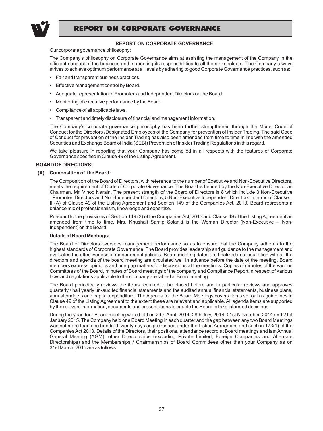

# **REPORT ON CORPORATE GOVERNANCE**

# **REPORT ON CORPORATE GOVERNANCE**

Our corporate governance philosophy:

The Company's philosophy on Corporate Governance aims at assisting the management of the Company in the efficient conduct of the business and in meeting its responsibilities to all the stakeholders. The Company always strives to achieve optimum performance at all levels by adhering to good Corporate Governance practices, such as:

- Fair and transparent business practices.
- Effective management control by Board.
- Adequate representation of Promoters and Independent Directors on the Board.
- Monitoring of executive performance by the Board.
- Compliance of all applicable laws.
- Transparent and timely disclosure of financial and management information.

The Company's corporate governance philosophy has been further strengthened through the Model Code of Conduct for the Directors /Designated Employees of the Company for prevention of Insider Trading. The said Code of Conduct for prevention of the Insider Trading has also been amended from time to time in line with the amended Securities and Exchange Board of India (SEBI) Prevention of Insider Trading Regulations in this regard.

We take pleasure in reporting that your Company has complied in all respects with the features of Corporate Governance specified in Clause 49 of the ListingAgreement.

## **BOARD OF DIRECTORS:**

### **(A) Composition of the Board:**

The Composition of the Board of Directors, with reference to the number of Executive and Non-Executive Directors, meets the requirement of Code of Corporate Governance. The Board is headed by the Non-Executive Director as Chairman, Mr. Vinod Narain. The present strength of the Board of Directors is 8 which include 3 Non-Executive –Promoter, Directors and Non-Independent Directors, 5 Non-Executive Independent Directors in terms of Clause – II (A) of Clause 49 of the Listing Agreement and Section 149 of the Companies Act, 2013. Board represents a balance mix of professionalism, knowledge and expertise.

Pursuant to the provisions of Section 149 (3) of the Companies Act, 2013 and Clause 49 of the Listing Agreement as amended from time to time, Mrs. Khushali Samip Solanki is the Woman Director (Non-Executive – Non-Independent) on the Board.

### **Details of Board Meetings:**

The Board of Directors oversees management performance so as to ensure that the Company adheres to the highest standards of Corporate Governance. The Board provides leadership and guidance to the management and evaluates the effectiveness of management policies. Board meeting dates are finalized in consultation with all the directors and agenda of the board meeting are circulated well in advance before the date of the meeting. Board members express opinions and bring up matters for discussions at the meetings. Copies of minutes of the various Committees of the Board, minutes of Board meetings of the company and Compliance Report in respect of various laws and regulations applicable to the company are tabled at Board meeting.

The Board periodically reviews the items required to be placed before and in particular reviews and approves quarterly / half yearly un-audited financial statements and the audited annual financial statements, business plans, annual budgets and capital expenditure. The Agenda for the Board Meetings covers items set out as guidelines in Clause 49 of the Listing Agreement to the extent these are relevant and applicable. All agenda items are supported by the relevant information, documents and presentations to enable the Board to take informed decisions.

During the year, four Board meeting were held on 29th April, 2014, 28th July, 2014, 01st November, 2014 and 21st January 2015. The Company held one Board Meeting in each quarter and the gap between any two Board Meetings was not more than one hundred twenty days as prescribed under the Listing Agreement and section 173(1) of the Companies Act 2013. Details of the Directors, their positions, attendance record at Board meetings and last Annual General Meeting (AGM), other Directorships (excluding Private Limited, Foreign Companies and Alternate Directorships) and the Memberships / Chairmanships of Board Committees other than your Company as on 31st March, 2015 are as follows: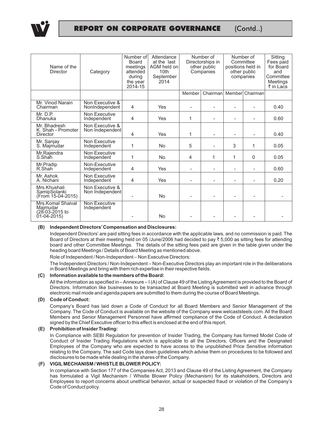

| Name of the<br>Director                                         | Category                           | Number of<br><b>Board</b><br>meetings<br>attended<br>during<br>the year<br>2014-15 | Attendance<br>at the last<br>AGM held on<br>10 <sub>th</sub><br>September<br>2014 | Number of<br>Number of<br>Directorships in<br>Committee<br>other public<br>positions held in<br>Companies<br>other public<br>companies |                | Sitting<br>Fees paid<br>for Board<br>and<br>Committee<br>Meetings<br>₹ in Lacs |                          |      |
|-----------------------------------------------------------------|------------------------------------|------------------------------------------------------------------------------------|-----------------------------------------------------------------------------------|----------------------------------------------------------------------------------------------------------------------------------------|----------------|--------------------------------------------------------------------------------|--------------------------|------|
|                                                                 |                                    |                                                                                    |                                                                                   | Member                                                                                                                                 | Chairman       | Memberl                                                                        | Chairman                 |      |
| Mr. Vinod Narain<br>Chairman                                    | Non Executive &<br>NonIndependent  | $\overline{4}$                                                                     | Yes                                                                               |                                                                                                                                        | $\overline{a}$ | $\blacksquare$                                                                 |                          | 0.40 |
| Mr. D.P.<br><b>Dhanuka</b>                                      | Non Executive<br>Independent       | 4                                                                                  | Yes                                                                               | 1                                                                                                                                      | $\overline{a}$ | $\overline{\phantom{a}}$                                                       |                          | 0.60 |
| Mr. Bhadresh<br>K. Shah - Promoter<br><b>Director</b>           | Non Executive &<br>Non Independent | $\overline{4}$                                                                     | Yes                                                                               | 1                                                                                                                                      | $\overline{a}$ | $\overline{\phantom{a}}$                                                       |                          | 0.40 |
| Mr. Sanjay<br>S. Majmudar                                       | Non Executive<br>Independent       | 1                                                                                  | <b>No</b>                                                                         | 5                                                                                                                                      | ۰              | 3                                                                              | 1                        | 0.05 |
| Mr.Rajendra<br>S.Shah                                           | Non Executive<br>Independent       | 1                                                                                  | <b>No</b>                                                                         | 4                                                                                                                                      | 1              | 1                                                                              | 0                        | 0.05 |
| Mr.Pradip<br>R.Shah                                             | Non-Executive<br>Independent       | 4                                                                                  | Yes                                                                               |                                                                                                                                        | -              | $\overline{\phantom{a}}$                                                       | $\overline{\phantom{0}}$ | 0.60 |
| Mr. Ashok<br>A. Nichani                                         | Non Executive<br>Independent       | 4                                                                                  | Yes                                                                               |                                                                                                                                        | $\overline{a}$ | $\overline{a}$                                                                 |                          | 0.20 |
| Mrs.Khushali<br>SamipSolanki<br>(From 15-04-2015)               | Non Executive &<br>Non Independent |                                                                                    | <b>No</b>                                                                         |                                                                                                                                        | $\overline{a}$ | $\overline{a}$                                                                 |                          |      |
| Mrs.Komal Shaival<br>Maimudar<br>(28-03-2015 to<br>$01-04-2015$ | Non Executive<br>Independent       |                                                                                    | No                                                                                |                                                                                                                                        |                |                                                                                |                          |      |

## **(B) Independent Directors'Compensation and Disclosures:**

Independent Directors' are paid sitting fees in accordance with the applicable laws, and no commission is paid. The Board of Directors at their meeting held on 05 /June/2006 had decided to pay ₹ 5,000 as sitting fees for attending board and other Committee Meetings. The details of the sitting fees paid are given in the table given under the heading board Meetings / Details of Board Meeting as mentioned above.

Role of Independent / Non-Independent – Non Executive Directors:

The Independent Directors / Non-Independent – Non-Executive Directors play an important role in the deliberations in Board Meetings and bring with them rich expertise in their respective fields.

### **(C) Information available to the members of the Board:**

All the information as specified in – Annexure – I (A) of Clause 49 of the Listing Agreement is provided to the Board of Directors. Information like businesses to be transacted at Board Meeting is submitted well in advance through electronic mail mode and agenda papers are submitted to them during the course of Board Meetings.

### **(D) Code of Conduct:**

Company's Board has laid down a Code of Conduct for all Board Members and Senior Management of the Company. The Code of Conduct is available on the website of the Company www.welcaststeels.com. All the Board Members and Senior Management Personnel have affirmed compliance of the Code of Conduct. A declaration signed by the Chief Executive officer to this effect is enclosed at the end of this report.

### **(E) Prohibition of Insider Trading:**

In Compliance with SEBI Regulation for prevention of Insider Trading, the Company has formed Model Code of Conduct of Insider Trading Regulations which is applicable to all the Directors, Officers and the Designated Employees of the Company who are expected to have access to the unpublished Price Sensitive information relating to the Company. The said Code lays down guidelines which advise them on procedures to be followed and disclosures to be made while dealing in the shares of the Company.

### **(F) VIGIL MECHANISM / WHISTLE BLOWER POLICY:**

In compliance with Section 177 of the Companies Act, 2013 and Clause 49 of the Listing Agreement, the Company has formulated a Vigil Mechanism / Whistle Blower Policy (Mechanism) for its stakeholders, Directors and Employees to report concerns about unethical behavior, actual or suspected fraud or violation of the Company's Code of Conduct policy.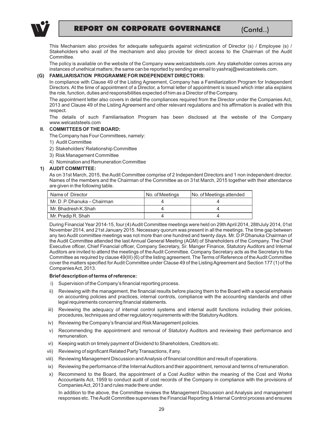

(Contd..)

This Mechanism also provides for adequate safeguards against victimization of Director (s) / Employee (s) / Stakeholders who avail of the mechanism and also provide for direct access to the Chairman of the Audit Committee.

The policy is available on the website of the Company www.welcaststeels.com. Any stakeholder comes across any instances of unethical matters; the same can be reported by sending an email to yashraj@welcaststeels.com.

# **(G) FAMILIARISATION PROGRAMME FOR INDEPENDENT DIRECTORS:**

In compliance with Clause 49 of the Listing Agreement, Company has a Familiarization Program for Independent Directors. At the time of appointment of a Director, a formal letter of appointment is issued which inter alia explains the role, function, duties and responsibilities expected of him as a Director of the Company.

The appointment letter also covers in detail the compliances required from the Director under the Companies Act, 2013 and Clause 49 of the Listing Agreement and other relevant regulations and his affirmation is availed with this respect.

The details of such Familiarisation Program has been disclosed at the website of the Company www.welcaststeels.com

## **II. COMMITTEES OF THE BOARD:**

The Company has Four Committees, namely:

- 1) Audit Committee
- 2) Stakeholders'Relationship Committee
- 3) Risk Management Committee
- 4) Nomination and Remuneration Committee

### **1) AUDIT COMMITTEE:**

As on 31st March, 2015, the Audit Committee comprise of 2 Independent Directors and 1 non independent director. Names of the members and the Chairman of the Committee as on 31st March, 2015 together with their attendance are given in the following table.

| Name of Director            | No. of Meetings | No. of Meetings attended |
|-----------------------------|-----------------|--------------------------|
| Mr. D.P. Dhanuka – Chairman |                 |                          |
| Mr. Bhadresh K.Shah         |                 |                          |
| Mr. Pradip R. Shah          |                 |                          |

During Financial Year 2014-15, four (4)Audit Committee meetings were held on 29thApril 2014, 28thJuly 2014, 01st November 2014, and 21st January 2015. Necessary quorum was present in all the meetings. The time gap between any two Audit committee meetings was not more than one hundred and twenty days. Mr. D.P.Dhanuka Chairman of the Audit Committee attended the last Annual General Meeting (AGM) of Shareholders of the Company. The Chief Executive officer, Chief Financial officer, Company Secretary, Sr. Manger Finance, Statutory Auditors and Internal Auditors are invited to attend the meetings of the Audit Committee. Company Secretary acts as the Secretary to the Committee as required by clause 49(III) (6) of the listing agreement. The Terms of Reference of the Audit Committee cover the matters specified for Audit Committee under Clause 49 of the Listing Agreement and Section 177 (1) of the CompaniesAct, 2013.

### **Brief description of terms of reference:**

- i) Supervision of the Company's financial reporting process.
- ii) Reviewing with the management, the financial results before placing them to the Board with a special emphasis on accounting policies and practices, internal controls, compliance with the accounting standards and other legal requirements concerning financial statements.
- iii) Reviewing the adequacy of internal control systems and internal audit functions including their policies, procedures, techniques and other regulatory requirements with the Statutory Auditors.
- iv) Reviewing the Company's financial and Risk Management policies.
- v) Recommending the appointment and removal of Statutory Auditors and reviewing their performance and remuneration.
- vi) Keeping watch on timely payment of Dividend to Shareholders, Creditors etc.
- vii) Reviewing of significant Related Party Transactions, if any.
- viii) Reviewing Management Discussion andAnalysis of financial condition and result of operations.
- ix) Reviewing the performance of the InternalAuditors and their appointment, removal and terms of remuneration.
- x) Recommend to the Board, the appointment of a Cost Auditor within the meaning of the Cost and Works Accountants Act, 1959 to conduct audit of cost records of the Company in compliance with the provisions of CompaniesAct, 2013 and rules made there under.

In addition to the above, the Committee reviews the Management Discussion and Analysis and management responses etc. TheAudit Committee supervises the Financial Reporting & Internal Control process and ensures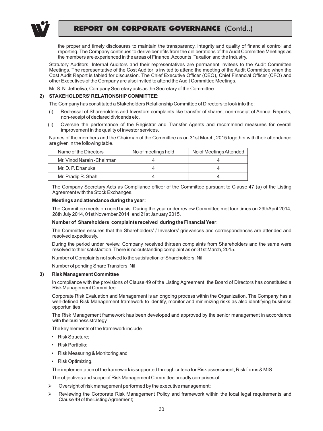

# **REPORT ON CORPORATE GOVERNANCE (Contd..)**

the proper and timely disclosures to maintain the transparency, integrity and quality of financial control and reporting. The Company continues to derive benefits from the deliberations of the Audit Committee Meetings as the members are experienced in the areas of Finance, Accounts, Taxation and the Industry.

Statutory Auditors, Internal Auditors and their representatives are permanent invitees to the Audit Committee Meetings. The representative of the Cost Auditor is invited to attend the meeting of the Audit Committee when the Cost Audit Report is tabled for discussion. The Chief Executive Officer (CEO), Chief Financial Officer (CFO) and other Executives of the Company are also invited to attend theAudit Committee Meetings.

Mr. S. N. Jetheliya, Company Secretary acts as the Secretary of the Committee.

### **2) STAKEHOLDERS'RELATIONSHIP COMMITTEE:**

The Company has constituted a Stakeholders Relationship Committee of Directors to look into the:

- (i) Redressal of Shareholders and Investors complaints like transfer of shares, non-receipt of Annual Reports, non-receipt of declared dividends etc.
- (ii) Oversee the performance of the Registrar and Transfer Agents and recommend measures for overall improvement in the quality of investor services.

Names of the members and the Chairman of the Committee as on 31st March, 2015 together with their attendance are given in the following table.

| Name of the Directors       | No of meetings held | No of Meetings Attended |
|-----------------------------|---------------------|-------------------------|
| Mr. Vinod Narain - Chairman |                     |                         |
| Mr. D. P. Dhanuka           |                     |                         |
| Mr. Pradip R. Shah          |                     |                         |

The Company Secretary Acts as Compliance officer of the Committee pursuant to Clause 47 (a) of the Listing Agreement with the Stock Exchanges.

### **Meetings and attendance during the year:**

The Committee meets on need basis. During the year under review Committee met four times on 29thApril 2014, 28th July 2014, 01st November 2014, and 21st January 2015.

### : **Number of Shareholders complaints received during the Financial Year**

The Committee ensures that the Shareholders' / Investors' grievances and correspondences are attended and resolved expediously.

During the period under review, Company received thirteen complaints from Shareholders and the same were resolved to their satisfaction. There is no outstanding complaint as on 31st March, 2015.

Number of Complaints not solved to the satisfaction of Shareholders: Nil

Number of pending Share Transfers: Nil

### **3) Risk Management Committee**

In compliance with the provisions of Clause 49 of the Listing Agreement, the Board of Directors has constituted a Risk Management Committee.

Corporate Risk Evaluation and Management is an ongoing process within the Organization. The Company has a well-defined Risk Management framework to identify, monitor and minimizing risks as also identifying business opportunities.

The Risk Management framework has been developed and approved by the senior management in accordance with the business strategy

The key elements of the framework include

- Risk Structure;
- Risk Portfolio;
- Risk Measuring & Monitoring and
- Risk Optimizing.

The implementation of the framework is supported through criteria for Risk assessment, Risk forms & MIS.

The objectives and scope of Risk Management Committee broadly comprises of:

- Oversight of risk management performed by the executive management:  $\blacktriangleright$
- Reviewing the Corporate Risk Management Policy and framework within the local legal requirements and Clause 49 of the ListingAgreement;  $\triangleright$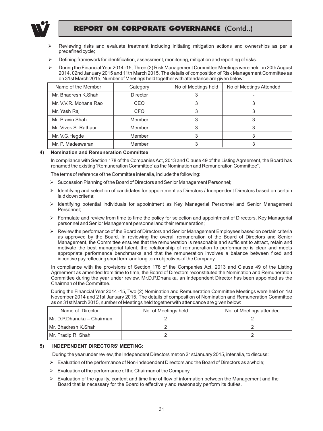# **REPORT ON CORPORATE GOVERNANCE (Contd..)**



- Reviewing risks and evaluate treatment including initiating mitigation actions and ownerships as per a predefined cycle;  $\blacktriangleright$
- Defining framework for identification, assessment, monitoring, mitigation and reporting of risks.  $\blacktriangleright$
- During the Financial Year 2014 -15, Three (3) Risk Management Committee Meetings were held on 20th August 2014, 02nd January 2015 and 11th March 2015. The details of composition of Risk Management Committee as on 31st March 2015, Number of Meetings held together with attendance are given below:  $\triangleright$

| Name of the Member    | Category        | No of Meetings held | No of Meetings Attended |
|-----------------------|-----------------|---------------------|-------------------------|
| Mr. Bhadresh K.Shah   | <b>Director</b> |                     |                         |
| Mr. V.V.R. Mohana Rao | CEO             |                     |                         |
| Mr. Yash Raj          | <b>CFO</b>      |                     |                         |
| Mr. Pravin Shah       | Member          |                     |                         |
| Mr. Vivek S. Rathaur  | Member          |                     |                         |
| Mr. V.G. Hegde        | Member          |                     |                         |
| Mr. P. Madeswaran     | Member          |                     |                         |

# **4) Nomination and Remuneration Committee**

In compliance with Section 178 of the Companies Act, 2013 and Clause 49 of the Listing Agreement, the Board has renamed the existing 'Remuneration Committee'as the Nomination and Remuneration Committee".

The terms of reference of the Committee inter alia, include the following:

- > Succession Planning of the Board of Directors and Senior Management Personnel;
- > Identifying and selection of candidates for appointment as Directors / Independent Directors based on certain laid down criteria;
- Identifying potential individuals for appointment as Key Managerial Personnel and Senior Management Personnel;  $\triangleright$
- Formulate and review from time to time the policy for selection and appointment of Directors, Key Managerial personnel and Senior Management personnel and their remuneration;
- > Review the performance of the Board of Directors and Senior Management Employees based on certain criteria as approved by the Board. In reviewing the overall remuneration of the Board of Directors and Senior Management, the Committee ensures that the remuneration is reasonable and sufficient to attract, retain and motivate the best managerial talent, the relationship of remuneration to performance is clear and meets appropriate performance benchmarks and that the remuneration involves a balance between fixed and incentive pay reflecting short term and long term objectives of the Company.

In compliance with the provisions of Section 178 of the Companies Act, 2013 and Clause 49 of the Listing Agreement as amended from time to time, the Board of Directors reconstituted the Nomination and Remuneration Committee during the year under review. Mr.D.P.Dhanuka, an Independent Director has been appointed as the Chairman of the Committee.

During the Financial Year 2014 -15, Two (2) Nomination and Remuneration Committee Meetings were held on 1st November 2014 and 21st January 2015. The details of composition of Nomination and Remuneration Committee as on 31st March 2015, number of Meetings held together with attendance are given below:

| Name of Director           | No. of Meetings held | No. of Meetings attended |
|----------------------------|----------------------|--------------------------|
| Mr. D.P.Dhanuka - Chairman |                      |                          |
| Mr. Bhadresh K.Shah        |                      |                          |
| Mr. Pradip R. Shah         |                      |                          |

## **5) INDEPENDENT DIRECTORS' MEETING:**

During the year under review, the Independent Directors met on 21stJanuary 2015, inter alia, to discuss:

- > Evaluation of the performance of Non-independent Directors and the Board of Directors as a whole;
- > Evaluation of the performance of the Chairman of the Company.
- Evaluation of the quality, content and time line of flow of information between the Management and the Board that is necessary for the Board to effectively and reasonably perform its duties.  $\blacktriangleright$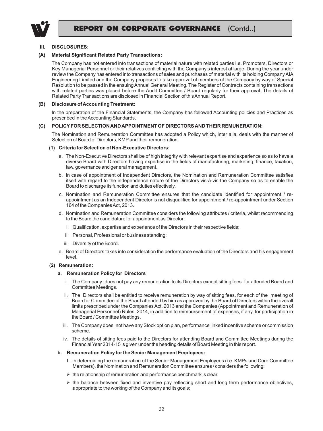

## **III. DISCLOSURES:**

### **(A) Material Significant Related Party Transactions:**

The Company has not entered into transactions of material nature with related parties i.e. Promoters, Directors or Key Managerial Personnel or their relatives conflicting with the Company's interest at large. During the year under review the Company has entered into transactions of sales and purchases of material with its holding CompanyAIA Engineering Limited and the Company proposes to take approval of members of the Company by way of Special Resolution to be passed in the ensuingAnnual General Meeting. The Register of Contracts containing transactions with related parties was placed before the Audit Committee / Board regularly for their approval. The details of Related Party Transactions are disclosed in Financial Section of thisAnnual Report.

### **(B) Disclosure ofAccounting Treatment:**

In the preparation of the Financial Statements, the Company has followed Accounting policies and Practices as prescribed in theAccounting Standards.

### **(C) POLICY FOR SELECTIONANDAPPOINTMENT OF DIRECTORSAND THEIR REMUNERATION:**

The Nomination and Remuneration Committee has adopted a Policy which, inter alia, deals with the manner of Selection of Board of Directors, KMP and their remuneration.

### **(1) Criteria for Selection of Non-Executive Directors:**

- a. The Non-Executive Directors shall be of high integrity with relevant expertise and experience so as to have a diverse Board with Directors having expertise in the fields of manufacturing, marketing, finance, taxation, law, governance and general management.
- b. In case of appointment of Independent Directors, the Nomination and Remuneration Committee satisfies itself with regard to the independence nature of the Directors vis-à-vis the Company so as to enable the Board to discharge its function and duties effectively.
- c. Nomination and Remuneration Committee ensures that the candidate identified for appointment / reappointment as an Independent Director is not disqualified for appointment / re-appointment under Section 164 of the CompaniesAct, 2013.
- d. Nomination and Remuneration Committee considers the following attributes / criteria, whilst recommending to the Board the candidature for appointment as Director:
	- i. Qualification, expertise and experience of the Directors in their respective fields;
	- ii. Personal, Professional or business standing;
	- iii. Diversity of the Board.
- e. Board of Directors takes into consideration the performance evaluation of the Directors and his engagement level.

### **(2) Remuneration:**

### **a. Remuneration Policy for Directors**

- i. The Company does not pay any remuneration to its Directors except sitting fees for attended Board and Committee Meetings.
- ii. The Directors shall be entitled to receive remuneration by way of sitting fees, for each of the meeting of Managerial Personnel) Rules, 2014, in addition to reimbursement of expenses, if any, for participation in the Board / Committee Meetings. Board or Committee of the Board attended by him as approved by the Board of Directors within the overall limits prescribed under the Companies Act, 2013 and the Companies (Appointment and Remuneration of
- iii. The Company does not have any Stock option plan, performance linked incentive scheme or commission scheme.
- iv. The details of sitting fees paid to the Directors for attending Board and Committee Meetings during the Financial Year 2014-15 is given under the heading details of Board Meeting in this report.

### **b. Remuneration Policy for the Senior Management Employees:**

- I. In determining the remuneration of the Senior Management Employees (i.e. KMPs and Core Committee Members), the Nomination and Remuneration Committee ensures / considers the following:
- $\triangleright$  the relationship of remuneration and performance benchmark is clear.
- > the balance between fixed and inventive pay reflecting short and long term performance objectives, appropriate to the working of the Company and its goals;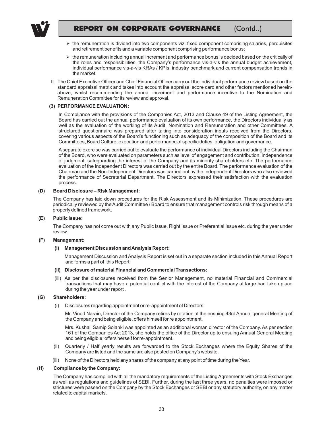



- $\triangleright$  the remuneration is divided into two components viz. fixed component comprising salaries, perquisites and retirement benefits and a variable component comprising performance bonus;
- $\triangleright$  the remuneration including annual increment and performance bonus is decided based on the critically of the roles and responsibilities, the Company's performance vis-à-vis the annual budget achievement, individual performance vis-à-vis KRAs / KPIs, industry benchmark and current compensation trends in the market.
- II. The Chief Executive Officer and Chief Financial Officer carry out the individual performance review based on the standard appraisal matrix and takes into account the appraisal score card and other factors mentioned hereinabove, whilst recommending the annual increment and performance incentive to the Nomination and Remuneration Committee for its review and approval.

### **(3) PERFORMANCE EVALUATION:**

In Compliance with the provisions of the Companies Act, 2013 and Clause 49 of the Listing Agreement, the Board has carried out the annual performance evaluation of its own performance, the Directors individually as well as the evaluation of the working of its Audit, Nomination and Remuneration and other Committees. A structured questionnaire was prepared after taking into consideration inputs received from the Directors, covering various aspects of the Board's functioning such as adequacy of the composition of the Board and its Committees, Board Culture, execution and performance of specific duties, obligation and governance.

A separate exercise was carried out to evaluate the performance of individual Directors including the Chairman of the Board, who were evaluated on parameters such as level of engagement and contribution, independence of judgment, safeguarding the interest of the Company and its minority shareholders etc. The performance evaluation of the Independent Directors was carried out by the entire Board. The performance evaluation of the Chairman and the Non-Independent Directors was carried out by the Independent Directors who also reviewed the performance of Secretarial Department. The Directors expressed their satisfaction with the evaluation process.

#### $(D)$ **D) Board Disclosure – Risk Management:**

The Company has laid down procedures for the Risk Assessment and its Minimization. These procedures are periodically reviewed by the Audit Committee / Board to ensure that management controls risk through means of a properly defined framework.

### **(E) Public issue:**

The Company has not come out with any Public Issue, Right Issue or Preferential Issue etc. during the year under review.

## **(F) Management:**

### **(i) Management Discussion andAnalysis Report:**

Management Discussion and Analysis Report is set out in a separate section included in this Annual Report and forms a part of this Report.

- **(ii) Disclosure of material Financial and Commercial Transactions:**
- (iii) As per the disclosures received from the Senior Management, no material Financial and Commercial transactions that may have a potential conflict with the interest of the Company at large had taken place during the year under report .

## **(G) Shareholders:**

Disclosures regarding appointment or re-appointment of Directors:

Mr. Vinod Narain, Director of the Company retires by rotation at the ensuing 43rd Annual general Meeting of the Company and being eligible, offers himself for re appointment.

Mrs. Kushali Samip Solanki was appointed as an additional woman director of the Company. As per section 161 of the Companies Act 2013, she holds the office of the Director up to ensuing Annual General Meeting and being eligible, offers herself for re-appointment.

- (ii) Quarterly / Half yearly results are forwarded to the Stock Exchanges where the Equity Shares of the Company are listed and the same are also posted on Company's website.
- (iii) None of the Directors held any shares of the company at any point of time during the Year.

#### $(H)$ **Compliance by the Company:**

The Company has complied with all the mandatory requirements of the Listing Agreements with Stock Exchanges as well as regulations and guidelines of SEBI. Further, during the last three years, no penalties were imposed or strictures were passed on the Company by the Stock Exchanges or SEBI or any statutory authority, on any matter related to capital markets.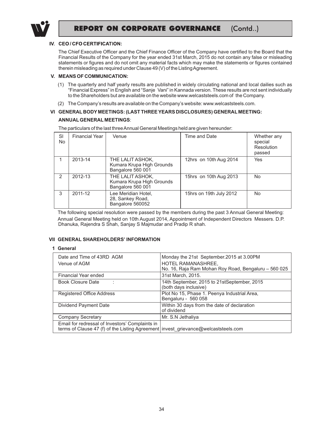

# IV. CEO/CFOCERTIFICATION:

The Chief Executive Officer and the Chief Finance Officer of the Company have certified to the Board that the Financial Results of the Company for the year ended 31st March, 2015 do not contain any false or misleading statements or figures and do not omit any material facts which may make the statements or figures contained therein misleading as required under Clause 49 (V) of the ListingAgreement.

### **V. MEANS OF COMMUNICATION:**

- (1) The quarterly and half yearly results are published in widely circulating national and local dailies such as "Financial Express" in English and "Sanje Vani" in Kannada version. These results are not sent individually to the Shareholders but are available on the website www.welcaststeels.com of the Company.
- (2) The Company's results are available on the Company's website: www.welcaststeels.com.

## **VI GENERAL BODY MEETINGS: (LAST THREE YEARS DISCLOSURES) GENERAL MEETING:**

## **ANNUAL GENERAL MEETINGS** :

The particulars of the last threeAnnual General Meetings held are given hereunder:

| SI<br><b>No</b> | <b>Financial Year</b> | Venue                                                              | Time and Date           | Whether any<br>special<br><b>Resolution</b><br>passed |
|-----------------|-----------------------|--------------------------------------------------------------------|-------------------------|-------------------------------------------------------|
|                 | 2013-14               | THE LALIT ASHOK,<br>Kumara Krupa High Grounds<br>Bangalore 560 001 | 12hrs on 10th Aug 2014  | Yes                                                   |
| $\mathcal{P}$   | 2012-13               | THE LALIT ASHOK,<br>Kumara Krupa High Grounds<br>Bangalore 560 001 | 15hrs on 10th Aug 2013  | No.                                                   |
| 3               | 2011-12               | Lee Meridian Hotel,<br>28, Sankey Road,<br>Bangalore 560052        | 15hrs on 19th July 2012 | No.                                                   |

The following special resolution were passed by the members during the past 3 Annual General Meeting: Annual General Meeting held on 10th August 2014, Appointment of Independent Directors Messers. D.P. Dhanuka, Rajendra S Shah, Sanjay S Majmudar and Pradip R shah.

# **VII GENERAL SHAREHOLDERS' INFORMATION**

### **1 General**

| Date and Time of 43RD AGM                                                                                                             | Monday the 21st September. 2015 at 3.00PM                                  |
|---------------------------------------------------------------------------------------------------------------------------------------|----------------------------------------------------------------------------|
| Venue of AGM                                                                                                                          | HOTEL RAMANASHREE,<br>No. 16, Raja Ram Mohan Roy Road, Bengaluru - 560 025 |
| Financial Year ended                                                                                                                  | 31st March, 2015.                                                          |
| Book Closure Date                                                                                                                     | 14th September, 2015 to 21stSeptember, 2015<br>(both days inclusive)       |
| <b>Registered Office Address</b>                                                                                                      | Plot No 15, Phase 1. Peenya Industrial Area,<br>Bengaluru - 560 058        |
| Dividend Payment Date                                                                                                                 | Within 30 days from the date of declaration<br>of dividend                 |
| <b>Company Secretary</b>                                                                                                              | Mr. S.N Jethaliya                                                          |
| Email for redressal of Investors' Complaints in<br>terms of Clause 47 (f) of the Listing Agreement invest grievance@welcaststeels.com |                                                                            |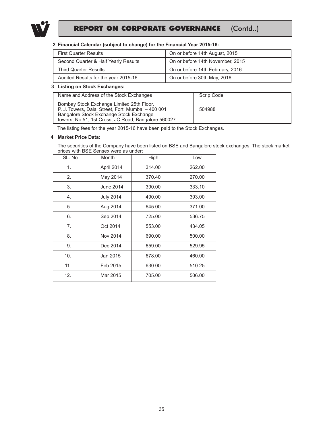

### **REPORT ON CORPORATE GOVERNANCE** (Contd..)

# **2 Financial Calendar (subject to change) for the Financial Year 2015-16:**

| <b>First Quarter Results</b>           | On or before 14th August, 2015   |
|----------------------------------------|----------------------------------|
| Second Quarter & Half Yearly Results   | On or before 14th November, 2015 |
| <b>Third Quarter Results</b>           | On or before 14th February, 2016 |
| Audited Results for the year 2015-16 : | On or before 30th May, 2016      |

# **3 Listing on Stock Exchanges:**

| Name and Address of the Stock Exchanges                                                                                                                                                            | Scrip Code |
|----------------------------------------------------------------------------------------------------------------------------------------------------------------------------------------------------|------------|
| Bombay Stock Exchange Limited 25th Floor,<br>P. J. Towers, Dalal Street, Fort, Mumbai - 400 001<br>Bangalore Stock Exchange Stock Exchange<br>towers, No 51, 1st Cross, JC Road, Bangalore 560027. | 504988     |

The listing fees for the year 2015-16 have been paid to the Stock Exchanges.

## **4 Market Price Data:**

The securities of the Company have been listed on BSE and Bangalore stock exchanges. The stock market prices with BSE Sensex were as under:

| SL. No | Month            | High   | Low    |
|--------|------------------|--------|--------|
| 1.     | April 2014       | 314.00 | 262.00 |
| 2.     | May 2014         | 370.40 | 270.00 |
| 3.     | June 2014        | 390.00 | 333.10 |
| 4.     | <b>July 2014</b> | 490.00 | 393.00 |
| 5.     | Aug 2014         | 645.00 | 371.00 |
| 6.     | Sep 2014         | 725.00 | 536.75 |
| 7.     | Oct 2014         | 553.00 | 434.05 |
| 8.     | Nov 2014         | 690.00 | 500.00 |
| 9.     | Dec 2014         | 659.00 | 529.95 |
| 10.    | Jan 2015         | 678.00 | 460.00 |
| 11.    | Feb 2015         | 630.00 | 510.25 |
| 12.    | Mar 2015         | 705.00 | 506.00 |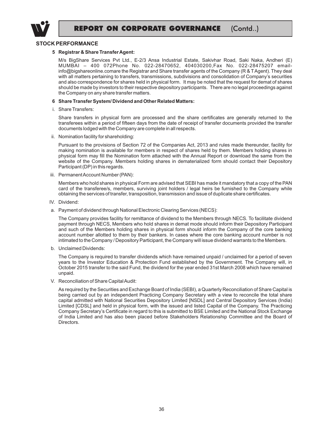

# **STOCK PERFORMANCE**

# **5 Registrar & Share TransferAgent:**

M/s BigShare Services Pvt Ltd., E-2/3 Ansa Industrial Estate, Sakivhar Road, Saki Naka, Andheri (E) MUMBAI – 400 072Phone No. 022-28470652, 404030200,Fax No. 022-28475207 emailinfo@bigshareonline.comare the Registrar and Share transfer agents of the Company (R & TAgent). They deal with all matters pertaining to transfers, transmissions, subdivisions and consolidation of Company's securities and also correspondence for shares held in physical form. It may be noted that the request for demat of shares should be made by investors to their respective depository participants. There are no legal proceedings against the Company on any share transfer matters.

## **6 Share Transfer System/ Dividend and Other Related Matters:**

i. Share Transfers:

Share transfers in physical form are processed and the share certificates are generally returned to the transferees within a period of fifteen days from the date of receipt of transfer documents provided the transfer documents lodged with the Company are complete in all respects.

ii. Nomination facility for shareholding:

Pursuant to the provisions of Section 72 of the Companies Act, 2013 and rules made thereunder, facility for making nomination is available for members in respect of shares held by them. Members holding shares in physical form may fill the Nomination form attached with the Annual Report or download the same from the website of the Company. Members holding shares in dematerialized form should contact their Depository Participant (DP) in this regards.

iii. PermanentAccount Number (PAN):

Members who hold shares in physical Form are advised that SEBI has made it mandatory that a copy of the PAN card of the transferee/s, members, surviving joint holders / legal heirs be furnished to the Company while obtaining the services of transfer, transposition, transmission and issue of duplicate share certificates.

- IV. Dividend:
- a. Payment of dividend through National Electronic Clearing Services (NECS):

The Company provides facility for remittance of dividend to the Members through NECS. To facilitate dividend payment through NECS, Members who hold shares in demat mode should inform their Depository Participant and such of the Members holding shares in physical form should inform the Company of the core banking account number allotted to them by their bankers. In cases where the core banking account number is not intimated to the Company / Depository Participant, the Company will issue dividend warrants to the Members.

b. Unclaimed Dividends:

The Company is required to transfer dividends which have remained unpaid / unclaimed for a period of seven years to the Investor Education & Protection Fund established by the Government. The Company will, in October 2015 transfer to the said Fund, the dividend for the year ended 31st March 2008 which have remained unpaid.

V. Reconciliation of Share CapitalAudit:

As required by the Securities and Exchange Board of India (SEBI), a Quarterly Reconciliation of Share Capital is being carried out by an independent Practicing Company Secretary with a view to reconcile the total share capital admitted with National Securities Depository Limited [NSDL] and Central Depository Services (India) Limited [CDSL] and held in physical form, with the issued and listed Capital of the Company. The Practicing Company Secretary's Certificate in regard to this is submitted to BSE Limited and the National Stock Exchange of India Limited and has also been placed before Stakeholders Relationship Committee and the Board of Directors.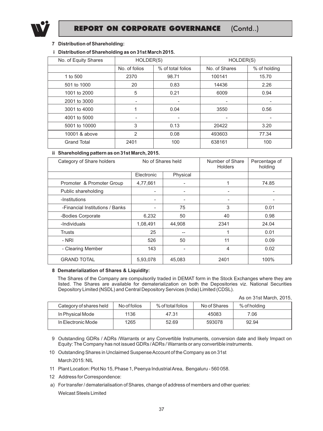

# **7 Distribution of Shareholding:**

# **i Distribution of Shareholding as on 31st March 2015.**

| No. of Equity Shares | HOLDER(S)     |                   | HOLDER(S)     |              |
|----------------------|---------------|-------------------|---------------|--------------|
|                      | No. of folios | % of total folios | No. of Shares | % of holding |
| 1 to 500             | 2370          | 98.71             | 100141        | 15.70        |
| 501 to 1000          | 20            | 0.83              | 14436         | 2.26         |
| 1001 to 2000         | 5             | 0.21              | 6009          | 0.94         |
| 2001 to 3000         | ۰             | ۰.                |               |              |
| 3001 to 4000         |               | 0.04              | 3550          | 0.56         |
| 4001 to 5000         |               |                   |               |              |
| 5001 to 10000        | 3             | 0.13              | 20422         | 3.20         |
| 10001 & above        | 2             | 0.08              | 493603        | 77.34        |
| <b>Grand Total</b>   | 2401          | 100               | 638161        | 100          |

# **ii Shareholding pattern as on 31st March, 2015.**

| Category of Share holders       | No of Shares held |          | Number of Share<br><b>Holders</b> | Percentage of<br>holding |
|---------------------------------|-------------------|----------|-----------------------------------|--------------------------|
|                                 | Electronic        | Physical |                                   |                          |
| Promoter & Promoter Group       | 4,77,661          |          |                                   | 74.85                    |
| Public shareholding             |                   |          |                                   |                          |
| -Institutions                   |                   |          |                                   |                          |
| -Financial Institutions / Banks |                   | 75       | 3                                 | 0.01                     |
| -Bodies Corporate               | 6,232             | 50       | 40                                | 0.98                     |
| -Individuals                    | 1,08,491          | 44,908   | 2341                              | 24.04                    |
| Trusts                          | 25                |          |                                   | 0.01                     |
| - NRI                           | 526               | 50       | 11                                | 0.09                     |
| - Clearing Member               | 143               |          | 4                                 | 0.02                     |
| <b>GRAND TOTAL</b>              | 5,93,078          | 45,083   | 2401                              | 100%                     |

## **8 Dematerialization of Shares & Liquidity:**

The Shares of the Company are compulsorily traded in DEMAT form in the Stock Exchanges where they are listed. The Shares are available for dematerialization on both the Depositories viz. National Securities Depository Limited (NSDL) and Central Depository Services (India) Limited (CDSL).

As on 31st March, 2015,

| Category of shares held | No of folios | % of total folios | No of Shares | % of holding |
|-------------------------|--------------|-------------------|--------------|--------------|
| In Physical Mode        | 1136         | 47.31             | 45083        | 7.06         |
| In Electronic Mode      | 1265         | 52.69             | 593078       | 92.94        |

- 9 Outstanding GDRs / ADRs /Warrants or any Convertible Instruments, conversion date and likely Impact on Equity: The Company has not issued GDRs /ADRs / Warrants or any convertible instruments.
- 10 Outstanding Shares in Unclaimed SuspenseAccount of the Company as on 31st March 2015: NIL
- 11 Plant Location: Plot No 15, Phase 1, Peenya IndustrialArea, Bengaluru 560 058.
- 12 Address for Correspondence:
- a) For transfer / dematerialisation of Shares, change of address of members and other queries: Welcast Steels Limited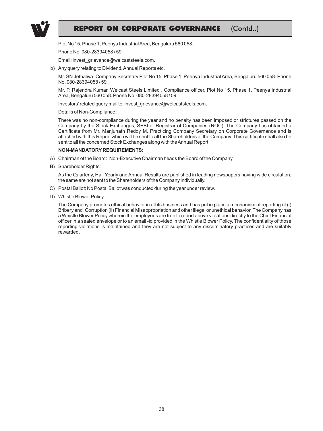

#### **REPORT ON CORPORATE GOVERNANCE** (Contd..)

Plot No 15, Phase 1, Peenya IndustrialArea, Bengaluru 560 058.

Phone No. 080-28394058 / 59

Email: invest\_grievance@welcaststeels.com.

b) Any query relating to Dividend, Annual Reports etc.

Mr. SN Jethaliya Company Secretary Plot No 15, Phase 1, Peenya Industrial Area, Bengaluru 560 058. Phone No. 080-28394058 / 59 .

Mr. P. Rajendra Kumar, Welcast Steels Limited , Compliance officer, Plot No 15, Phase 1, Peenya Industrial Area, Bengaluru 560 058. Phone No. 080-28394058 / 59

Investors' related query mail to: invest\_grievance@welcaststeels.com.

Details of Non-Compliance:

There was no non-compliance during the year and no penalty has been imposed or strictures passed on the Company by the Stock Exchanges, SEBI or Registrar of Companies (ROC). The Company has obtained a Certificate from Mr. Manjunath Reddy M, Practicing Company Secretary on Corporate Governance and is attached with this Report which will be sent to all the Shareholders of the Company. This certificate shall also be sent to all the concerned Stock Exchanges along with theAnnual Report.

### **NON-MANDATORY REQUIREMENTS:**

- A) Chairman of the Board: Non-Executive Chairman heads the Board of the Company.
- B) Shareholder Rights:

As the Quarterly, Half Yearly and Annual Results are published in leading newspapers having wide circulation, the same are not sent to the Shareholders of the Company individually.

- C) Postal Ballot: No Postal Ballot was conducted during the year under review.
- D) Whistle Blower Policy:

The Company promotes ethical behavior in all its business and has put in place a mechanism of reporting of (i) Bribery and Corruption (ii) Financial Misappropriation and other illegal or unethical behavior. The Company has a Whistle Blower Policy wherein the employees are free to report above violations directly to the Chief Financial officer in a sealed envelope or to an email -id provided in the Whistle Blower Policy. The confidentiality of those reporting violations is maintained and they are not subject to any discriminatory practices and are suitably rewarded.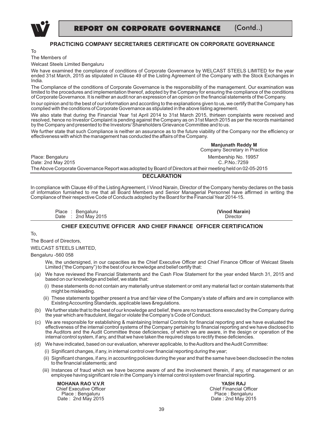

# **PRACTICING COMPANY SECRETARIES CERTIFICATE ON CORPORATE GOVERNANCE**

To

The Members of

Welcast Steels Limited Bengaluru

We have examined the compliance of conditions of Corporate Governance by WELCAST STEELS LIMITED for the year ended 31st March, 2015 as stipulated in Clause 49 of the Listing Agreement of the Company with the Stock Exchanges in India.

The Compliance of the conditions of Corporate Governance is the responsibility of the management. Our examination was limited to the procedures and implementation thereof, adopted by the Company for ensuring the compliance of the conditions of Corporate Governance. It is neither an audit nor an expression of an opinion on the financial statements of the Company.

In our opinion and to the best of our information and according to the explanations given to us, we certify that the Company has complied with the conditions of Corporate Governance as stipulated in the above listing agreement.

We also state that during the Financial Year 1st April 2014 to 31st March 2015, thirteen complaints were received and resolved, hence no Investor Complaint is pending against the Company as on 31st March 2015 as per the records maintained by the Company and presented to the Investors/ Shareholders Grievance Committee and to us.

We further state that such Compliance is neither an assurance as to the future viability of the Company nor the efficiency or effectiveness with which the management has conducted the affairs of the Company.

Company Secretary in Practice Membership No. 19957 Date: 2nd May 2015 C..P.No.:7259 **Manjunath Reddy M** Place: Bengaluru TheAbove Corporate Governance Report was adopted by Board of Directors at their meeting held on 02-05-2015

# **DECLARATION**

In compliance with Clause 49 of the Listing Agreement, I Vinod Narain, Director of the Company hereby declares on the basis of information furnished to me that all Board Members and Senior Managerial Personnel have affirmed in writing the Compliance of their respective Code of Conducts adopted by the Board for the Financial Year 2014-15.

| Place: Bengaluru     | (Vinod Narain) |
|----------------------|----------------|
| Date: $2nd$ May 2015 | Director       |

# **CHIEF EXECUTIVE OFFICER AND CHIEF FINANCE OFFICER CERTIFICATION**

To,

The Board of Directors,

WELCAST STEELS LIMITED,

Bengaluru -560 058

We, the undersigned, in our capacities as the Chief Executive Officer and Chief Finance Officer of Welcast Steels Limited ("the Company") to the best of our knowledge and belief certify that:

- (a) We have reviewed the Financial Statements and the Cash Flow Statement for the year ended March 31, 2015 and based on our knowledge and belief, we state that:
	- (i) these statements do not contain any materially untrue statement or omit any material fact or contain statements that might be misleading.
	- (ii) These statements together present a true and fair view of the Company's state of affairs and are in compliance with Existing Accounting Standards, applicable laws & regulations.
- (b) We further state that to the best of our knowledge and belief, there are no transactions executed by the Company during the year which are fraudulent, illegal or violate the Company's Code of Conduct.
- (c) We are responsible for establishing & maintaining Internal Controls for financial reporting and we have evaluated the effectiveness of the internal control systems of the Company pertaining to financial reporting and we have disclosed to the Auditors and the Audit Committee those deficiencies, of which we are aware, in the design or operation of the internal control system, if any, and that we have taken the required steps to rectify these deficiencies.

(d) We have indicated, based on our evaluation, wherever applicable, to theAuditors and theAudit Committee:

- (i) Significant changes, if any, in internal control over financial reporting during the year;
- (ii) Significant changes, if any, in accounting policies during the year and that the same have been disclosed in the notes to the financial statements; and
- (iii) Instances of fraud which we have become aware of and the involvement therein, if any, of management or an employee having significant role in the Company's internal control system over financial reporting.

Chief Executive Officer Chief Financial Officer Date : 2nd May 2015 **MOHANA RAO V.V.R YASH RAJ**

Place : Bengaluru Place : Bengaluru Place : Bengaluru Place : Bengaluru Place : Bengaluru Place : Pengaluru Place : Pengaluru Place : Pengaluru Place : Pengaluru Place : Pengaluru Place : Pengaluru Place : Pengaluru Place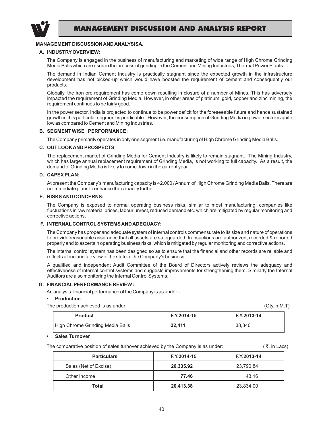

# **MANAGEMENT DISCUSSIONANDANALYSISA.**

# **A. INDUSTRY OVERVIEW:**

The Company is engaged in the business of manufacturing and marketing of wide range of High Chrome Grinding Media Balls which are used in the process of grinding in the Cement and Mining Industries, Thermal Power Plants.

The demand in Indian Cement Industry is practically stagnant since the expected growth in the infrastructure development has not picked-up which would have boosted the requirement of cement and consequently our products.

Globally, the iron ore requirement has come down resulting in closure of a number of Mines. This has adversely impacted the requirement of Grinding Media. However, in other areas of platinum, gold, copper and zinc mining, the requirement continues to be fairly good.

In the power sector, India is projected to continue to be power deficit for the foreseeable future and hence sustained growth in this particular segment is predicable. However, the consumption of Grinding Media in power sector is quite low as compared to Cement and Mining Industries.

### **B. SEGMENT WISE PERFORMANCE:**

The Company primarily operates in only one segment i.e. manufacturing of High Chrome Grinding Media Balls.

### **C. OUT LOOKAND PROSPECTS**

The replacement market of Grinding Media for Cement Industry is likely to remain stagnant. The Mining Industry, which has large annual replacement requirement of Grinding Media, is not working to full capacity. As a result, the demand of Grinding Media is likely to come down in the current year.

### **D. CAPEX PLAN:**

At present the Company's manufacturing capacity is 42,000 /Annum of High Chrome Grinding Media Balls. There are no immediate plans to enhance the capacity further.

### **E. RISKSAND CONCERNS:**

The Company is exposed to normal operating business risks, similar to most manufacturing, companies like fluctuations in raw material prices, labour unrest, reduced demand etc. which are mitigated by regular monitoring and corrective actions.

## **F. INTERNAL CONTROL SYSTEMSANDADEQUACY:**

The Company has proper and adequate system of internal controls commensurate to its size and nature of operations to provide reasonable assurance that all assets are safeguarded, transactions are authorized, recorded & reported properly and to ascertain operating business risks, which is mitigated by regular monitoring and corrective actions.

The internal control system has been designed so as to ensure that the financial and other records are reliable and reflects a true and fair view of the state of the Company's business.

A qualified and independent Audit Committee of the Board of Directors actively reviews the adequacy and effectiveness of internal control systems and suggests improvements for strengthening them. Similarly the Internal Auditors are also monitoring the Internal Control Systems.

### **G. FINANCIAL PERFORMANCE REVIEW :**

An analysis financial performance of the Company is as under:-

### **• Production**

The production achieved is as under: (Qty.in M.T)

| <b>Product</b>                   | F.Y.2014-15 | F.Y.2013-14 |
|----------------------------------|-------------|-------------|
| High Chrome Grinding Media Balls | 32.411      | 38.340      |

#### **Sales Turnover •**

The comparative position of sales turnover achieved by the Company is as under:

(₹. in Lacs)

| <b>Particulars</b>    | F.Y.2014-15 | F.Y.2013-14 |
|-----------------------|-------------|-------------|
| Sales (Net of Excise) | 20,335.92   | 23,790.84   |
| Other Income          | 77.46       | 43.16       |
| Total                 | 20,413.38   | 23,834.00   |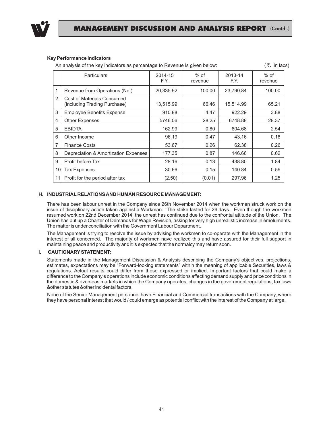

# **Key Performance Indicators**

An analysis of the key indicators as percentage to Revenue is given below:

 $(\bar{z})$ . in lacs)

|    | <b>Particulars</b>                                         | 2014-15<br>F.Y. | $%$ of<br>revenue | 2013-14<br>F.Y. | $%$ of<br>revenue |
|----|------------------------------------------------------------|-----------------|-------------------|-----------------|-------------------|
|    | Revenue from Operations (Net)                              | 20,335.92       | 100.00            | 23,790.84       | 100.00            |
| 2  | Cost of Materials Consumed<br>(including Trading Purchase) | 13,515.99       | 66.46             | 15,514.99       | 65.21             |
| 3  | <b>Employee Benefits Expense</b>                           | 910.88          | 4.47              | 922.29          | 3.88              |
| 4  | <b>Other Expenses</b>                                      | 5746.06         | 28.25             | 6748.88         | 28.37             |
| 5  | <b>EBIDTA</b>                                              | 162.99          | 0.80              | 604.68          | 2.54              |
| 6  | Other Income                                               | 96.19           | 0.47              | 43.16           | 0.18              |
| 7  | <b>Finance Costs</b>                                       | 53.67           | 0.26              | 62.38           | 0.26              |
| 8  | Depreciation & Amortization Expenses                       | 177.35          | 0.87              | 146.66          | 0.62              |
| 9  | Profit before Tax                                          | 28.16           | 0.13              | 438.80          | 1.84              |
| 10 | <b>Tax Expenses</b>                                        | 30.66           | 0.15              | 140.84          | 0.59              |
| 11 | Profit for the period after tax                            | (2.50)          | (0.01)            | 297.96          | 1.25              |

## **H. INDUSTRIAL RELATIONSAND HUMAN RESOURCE MANAGEMENT:**

There has been labour unrest in the Company since 26th November 2014 when the workmen struck work on the issue of disciplinary action taken against a Workman. The strike lasted for 26.days. Even though the workmen resumed work on 22nd December 2014, the unrest has continued due to the confrontal attitude of the Union. The Union has put up a Charter of Demands for Wage Revision, asking for very high unrealistic increase in emoluments. The matter is under conciliation with the Government Labour Department.

The Management is trying to resolve the issue by advising the workmen to co-operate with the Management in the interest of all concerned. The majority of workmen have realized this and have assured for their full support in maintaining peace and productivity and it is expected that the normalcy may return soon.

## **I. CAUTIONARY STATEMENT:**

Statements made in the Management Discussion & Analysis describing the Company's objectives, projections, estimates, expectations may be "Forward-looking statements" within the meaning of applicable Securities, laws & regulations. Actual results could differ from those expressed or implied. Important factors that could make a difference to the Company's operations include economic conditions affecting demand supply and price conditions in the domestic & overseas markets in which the Company operates, changes in the government regulations, tax laws &other statutes &other incidental factors.

None of the Senior Management personnel have Financial and Commercial transactions with the Company, where they have personal interest that would / could emerge as potential conflict with the interest of the Company at large.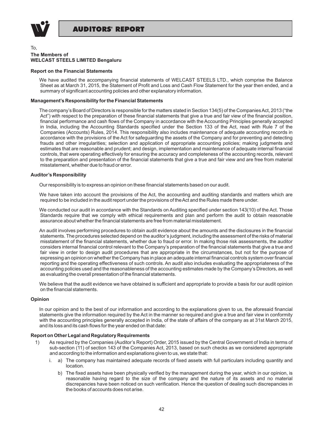

### To, **The Members of WELCAST STEELS LIMITED Bengaluru**

### **Report on the Financial Statements**

We have audited the accompanying financial statements of WELCAST STEELS LTD., which comprise the Balance Sheet as at March 31, 2015, the Statement of Profit and Loss and Cash Flow Statement for the year then ended, and a summary of significant accounting policies and other explanatory information.

### **Management's Responsibility for the Financial Statements**

The company's Board of Directors is responsible for the matters stated in Section 134(5) of the CompaniesAct, 2013 ("the Act") with respect to the preparation of these financial statements that give a true and fair view of the financial position, financial performance and cash flows of the Company in accordance with the Accounting Principles generally accepted in India, including the Accounting Standards specified under the Section 133 of the Act, read with Rule 7 of the Companies (Accounts) Rules, 2014. This responsibility also includes maintenance of adequate accounting records in accordance with the provisions of the Act for safeguarding the assets of the Company and for preventing and detecting frauds and other irregularities; selection and application of appropriate accounting policies; making judgments and estimates that are reasonable and prudent; and design, implementation and maintenance of adequate internal financial controls, that were operating effectively for ensuring the accuracy and completeness of the accounting records, relevant to the preparation and presentation of the financial statements that give a true and fair view and are free from material misstatement, whether due to fraud or error.

### **Auditor's Responsibility**

Our responsibility is to express an opinion on these financial statements based on our audit.

We have taken into account the provisions of the Act, the accounting and auditing standards and matters which are required to be included in the audit report under the provisions of theAct and the Rules made there under.

We conducted our audit in accordance with the Standards on Auditing specified under section 143(10) of the Act. Those Standards require that we comply with ethical requirements and plan and perform the audit to obtain reasonable assurance about whether the financial statements are free from material misstatement.

An audit involves performing procedures to obtain audit evidence about the amounts and the disclosures in the financial statements. The procedures selected depend on the auditor's judgment, including the assessment of the risks of material misstatement of the financial statements, whether due to fraud or error. In making those risk assessments, the auditor considers internal financial control relevant to the Company's preparation of the financial statements that give a true and fair view in order to design audit procedures that are appropriate in the circumstances, but not for the purpose of expressing an opinion on whether the Company has in place an adequate internal financial controls system over financial reporting and the operating effectiveness of such controls. An audit also includes evaluating the appropriateness of the accounting policies used and the reasonableness of the accounting estimates made by the Company's Directors, as well as evaluating the overall presentation of the financial statements.

We believe that the audit evidence we have obtained is sufficient and appropriate to provide a basis for our audit opinion on the financial statements.

# **Opinion**

In our opinion and to the best of our information and according to the explanations given to us, the aforesaid financial statements give the information required by the Act in the manner so required and give a true and fair view in conformity with the accounting principles generally accepted in India, of the state of affairs of the company as at 31st March 2015, and its loss and its cash flows for the year ended on that date:

## **Report on Other Legal and Regulatory Requirements**

- 1) As required by the Companies (Auditor's Report) Order, 2015 issued by the Central Government of India in terms of sub-section (11) of section 143 of the Companies Act, 2013, based on such checks as we considered appropriate and according to the information and explanations given to us, we state that:
	- i. a) The company has maintained adequate records of fixed assets with full particulars including quantity and location.
		- b) The fixed assets have been physically verified by the management during the year, which in our opinion, is reasonable having regard to the size of the company and the nature of its assets and no material discrepancies have been noticed on such verification. Hence the question of dealing such discrepancies in the books of accounts does not arise.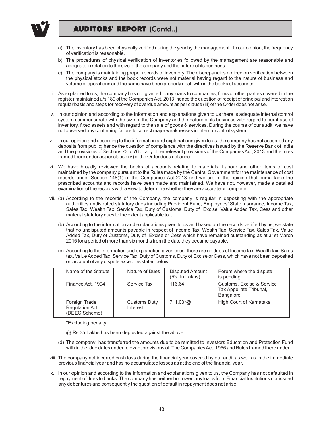

- ii. a) The inventory has been physically verified during the year by the management. In our opinion, the frequency of verification is reasonable.
	- b) The procedures of physical verification of inventories followed by the management are reasonable and adequate in relation to the size of the company and the nature of its business.
	- c) The company is maintaining proper records of inventory. The discrepancies noticed on verification between the physical stocks and the book records were not material having regard to the nature of business and volume of operations and the same have been properly dealt with in the books of accounts
- iii. As explained to us, the company has not granted any loans to companies, firms or other parties covered in the register maintained u/s 189 of the Companies Act, 2013, hence the question of receipt of principal and interest on regular basis and steps for recovery of overdue amount as per clause (iii) of the Order does not arise.
- iv. In our opinion and according to the information and explanations given to us there is adequate internal control system commensurate with the size of the Company and the nature of its business with regard to purchase of inventory, fixed assets and with regard to the sale of goods & services. During the course of our audit, we have not observed any continuing failure to correct major weaknesses in internal control system.
- v. In our opinion and according to the information and explanations given to us, the company has not accepted any deposits from public; hence the question of compliance with the directives issued by the Reserve Bank of India and the provisions of Sections 73 to 76 or any other relevant provisions of the CompaniesAct, 2013 and the rules framed there under as per clause (v) of the Order does not arise.
- vi. We have broadly reviewed the books of accounts relating to materials, Labour and other items of cost maintained by the company pursuant to the Rules made by the Central Government for the maintenance of cost records under Section 148(1) of the Companies Act 2013 and we are of the opinion that prima facie the prescribed accounts and records have been made and maintained. We have not, however, made a detailed examination of the records with a view to determine whether they are accurate or complete.
- vii. (a) According to the records of the Company, the company is regular in depositing with the appropriate authorities undisputed statutory dues including Provident Fund, Employees' State Insurance, Income Tax, Sales Tax, Wealth Tax, Service Tax, Duty of Customs, Duty of Excise, Value Added Tax, Cess and other material statutory dues to the extent applicable to it.
	- (b) According to the information and explanations given to us and based on the records verified by us, we state that no undisputed amounts payable in respect of Income Tax, Wealth Tax, Service Tax, Sales Tax, Value Added Tax, Duty of Customs, Duty of Excise or Cess which have remained outstanding as at 31st March 2015 for a period of more than six months from the date they became payable.
	- (c) According to the information and explanation given to us, there are no dues of Income tax, Wealth tax, Sales tax, Value Added Tax, Service Tax, Duty of Customs, Duty of Excise or Cess, which have not been deposited on account of any dispute except as stated below:

| Name of the Statute                                     | Nature of Dues            | <b>Disputed Amount</b><br>(Rs. In Lakhs) | Forum where the dispute<br>is pending                              |
|---------------------------------------------------------|---------------------------|------------------------------------------|--------------------------------------------------------------------|
| Finance Act, 1994                                       | Service Tax               | 116.64                                   | Customs, Excise & Service<br>Tax Appellate Tribunal,<br>Bangalore. |
| Foreign Trade<br><b>Regulation Act</b><br>(DEEC Scheme) | Customs Duty,<br>Interest | $711.03 \text{*} @.$                     | High Court of Karnataka                                            |

\*Excluding penalty.

@ Rs 35 Lakhs has been deposited against the above.

- (d) The company has transferred the amounts due to be remitted to Investors Education and Protection Fund with in the due dates under relevant provisions of The Companies Act, 1956 and Rules framed there under.
- viii. The company not incurred cash loss during the financial year covered by our audit as well as in the immediate previous financial year and has no accumulated losses as at the end of the financial year.
- ix. In our opinion and according to the information and explanations given to us, the Company has not defaulted in repayment of dues to banks. The company has neither borrowed any loans from Financial Institutions nor issued any debentures and consequently the question of default in repayment does not arise.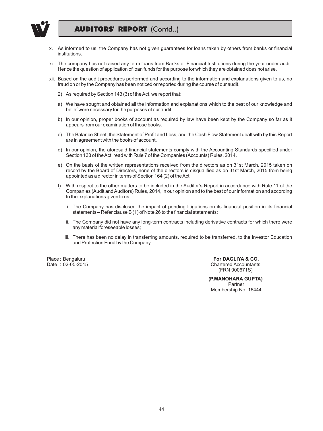

- x. As informed to us, the Company has not given guarantees for loans taken by others from banks or financial institutions.
- xi. The company has not raised any term loans from Banks or Financial Institutions during the year under audit. Hence the question of application of loan funds for the purpose for which they are obtained does not arise.
- xii. Based on the audit procedures performed and according to the information and explanations given to us, no fraud on or by the Company has been noticed or reported during the course of our audit.
	- 2) As required by Section 143 (3) of theAct, we report that:
	- a) We have sought and obtained all the information and explanations which to the best of our knowledge and belief were necessary for the purposes of our audit.
	- b) In our opinion, proper books of account as required by law have been kept by the Company so far as it appears from our examination of those books.
	- c) The Balance Sheet, the Statement of Profit and Loss, and the Cash Flow Statement dealt with by this Report are in agreement with the books of account.
	- d) In our opinion, the aforesaid financial statements comply with the Accounting Standards specified under Section 133 of theAct, read with Rule 7 of the Companies (Accounts) Rules, 2014.
	- e) On the basis of the written representations received from the directors as on 31st March, 2015 taken on record by the Board of Directors, none of the directors is disqualified as on 31st March, 2015 from being appointed as a director in terms of Section 164 (2) of theAct.
	- f) With respect to the other matters to be included in the Auditor's Report in accordance with Rule 11 of the Companies (Audit and Auditors) Rules, 2014, in our opinion and to the best of our information and according to the explanations given to us:
		- i. The Company has disclosed the impact of pending litigations on its financial position in its financial statements – Refer clause B (1) of Note 26 to the financial statements;
		- ii. The Company did not have any long-term contracts including derivative contracts for which there were any material foreseeable losses;
		- iii. There has been no delay in transferring amounts, required to be transferred, to the Investor Education and Protection Fund by the Company.

Place: Bengaluru<br>Date: 02-05-2015

Chartered Accountants (FRN 000671S) **For DAGLIYA & CO.**

Partner Membership No: 16444 **(P.MANOHARA GUPTA)**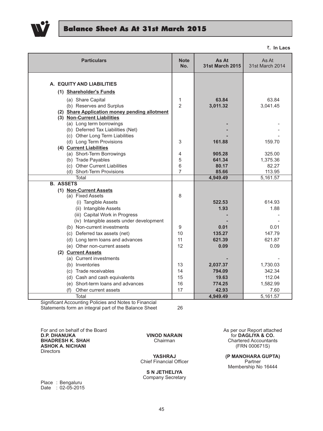

`**. In Lacs**

| <b>Particulars</b>                                  | <b>Note</b><br>No. | As At<br><b>31st March 2015</b> | As At<br>31st March 2014 |
|-----------------------------------------------------|--------------------|---------------------------------|--------------------------|
|                                                     |                    |                                 |                          |
| A. EQUITY AND LIABILITIES                           |                    |                                 |                          |
| (1) Shareholder's Funds                             |                    |                                 |                          |
| (a) Share Capital                                   | 1                  | 63.84                           | 63.84                    |
| (b) Reserves and Surplus                            | $\mathcal{P}$      | 3,011.32                        | 3,041.45                 |
| (2) Share Application money pending allotment       |                    |                                 |                          |
| (3) Non-Current Liabilities                         |                    |                                 |                          |
| (a) Long term borrowings                            |                    |                                 |                          |
| (b) Deferred Tax Liabilities (Net)                  |                    |                                 |                          |
| (c) Other Long Term Liabilities                     |                    |                                 |                          |
| (d) Long Term Provisions                            | 3                  | 161.88                          | 159.70                   |
| (4) Current Liabilities                             |                    |                                 |                          |
| (a) Short-Term Borrowings                           | 4                  | 905.28                          | 325.00                   |
| (b) Trade Payables<br>(c) Other Current Liabilities | 5<br>6             | 641.34<br>80.17                 | 1.375.36<br>82.27        |
| (d) Short-Term Provisions                           | $\overline{7}$     | 85.66                           | 113.95                   |
| Total                                               |                    | 4,949.49                        | 5,161.57                 |
| <b>B. ASSETS</b>                                    |                    |                                 |                          |
| (1) Non-Current Assets                              |                    |                                 |                          |
| (a) Fixed Assets                                    | 8                  |                                 |                          |
| (i) Tangible Assets                                 |                    | 522.53                          | 614.93                   |
| (ii) Intangible Assets                              |                    | 1.93                            | 1.88                     |
| (iii) Capital Work in Progress                      |                    |                                 |                          |
| (iv) Intangible assets under development            |                    |                                 |                          |
| (b) Non-current investments                         | 9                  | 0.01                            | 0.01                     |
| (c) Deferred tax assets (net)                       | 10                 | 135.27                          | 147.79                   |
| (d) Long term loans and advances                    | 11                 | 621.39                          | 621.87                   |
| (e) Other non-current assets                        | 12                 | 0.09                            | 0.09                     |
| (2) Current Assets                                  |                    |                                 |                          |
| (a) Current investments                             |                    |                                 |                          |
| (b) Inventories                                     | 13                 | 2,037.37                        | 1,730.03                 |
| (c) Trade receivables                               | 14                 | 794.09                          | 342.34                   |
| (d) Cash and cash equivalents                       | 15                 | 19.63                           | 112.04                   |
| (e) Short-term loans and advances                   | 16                 | 774.25                          | 1,582.99                 |
| Other current assets<br>(f)                         | 17                 | 42.93                           | 7.60                     |
| Total                                               |                    | 4,949.49                        | 5,161.57                 |

Significant Accounting Policies and Notes to Financial Statements form an integral part of the Balance Sheet 26

For and on behalf of the Board **As per our Report attached** D.P. DHANUKA **D.P. DHANUKA CO.** for **D.P. DHANUKA VINOD NARAIN DAGLIYA & CO. Directors BHADRESH K. SHAH ASHOK A. NICHANI**

Chief Financial Officer Partner

Company Secretary **S N JETHELIYA**

Place : Bengaluru Date : 02-05-2015 Chairman Chartered Accountants (FRN 000671S)

Membership No 16444 **YASHRAJ (P MANOHARA GUPTA)**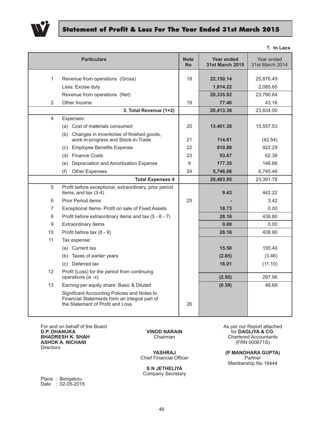

# **Statement of Profit & Loss For The Year Ended 31st March 2015**

|                 |                                                                                                                                   |                          |                                             | ₹. In Lacs                    |
|-----------------|-----------------------------------------------------------------------------------------------------------------------------------|--------------------------|---------------------------------------------|-------------------------------|
|                 | <b>Particulars</b>                                                                                                                | <b>Note</b><br><b>No</b> | <b>Year ended</b><br><b>31st March 2015</b> | Year ended<br>31st March 2014 |
|                 |                                                                                                                                   |                          |                                             |                               |
| $\mathbf{1}$    | Revenue from operations (Gross)                                                                                                   | 18                       | 22,150.14                                   | 25,876.49                     |
|                 | Less: Excise duty                                                                                                                 |                          | 1,814.22                                    | 2,085.65                      |
|                 | Revenue from operations (Net)                                                                                                     |                          | 20,335.92                                   | 23,790.84                     |
| $\mathcal{P}$   | Other Income                                                                                                                      | 19                       | 77.46                                       | 43.16                         |
|                 | 3. Total Revenue (1+2)                                                                                                            |                          | 20,413.38                                   | 23,834.00                     |
| 4               | Expenses:                                                                                                                         |                          |                                             |                               |
|                 | (a) Cost of materials consumed                                                                                                    | 20                       | 13,401.38                                   | 15,557.53                     |
|                 | (b) Changes in inventories of finished goods,<br>work-in-progress and Stock-in-Trade                                              | 21                       | 114.61                                      | (42.54)                       |
|                 | (c) Employee Benefits Expense                                                                                                     | 22                       | 910.88                                      | 922.29                        |
|                 | (d) Finance Costs                                                                                                                 | 23                       | 53.67                                       | 62.38                         |
|                 | (e) Depreciation and Amortization Expense                                                                                         | 9                        | 177.35                                      | 146.66                        |
|                 | (f)<br><b>Other Expenses</b>                                                                                                      | 24                       | 5,746.06                                    | 6,745.46                      |
|                 | <b>Total Expenses 4</b>                                                                                                           |                          | 20,403.95                                   | 23,391.78                     |
| 5               | Profit before exceptional, extraordinary, prior period<br>items, and tax (3-4)                                                    |                          | 9.43                                        | 442.22                        |
| 6               | <b>Prior Period items</b>                                                                                                         | 25                       |                                             | 3.42                          |
| 7               | Exceptional Items- Profit on sale of Fixed Assets                                                                                 |                          | 18.73                                       | 0.00                          |
| 8               | Profit before extraordinary items and tax (5 - 6 - 7)                                                                             |                          | 28.16                                       | 438.80                        |
| 9               | <b>Extraordinary Items</b>                                                                                                        |                          | 0.00                                        | 0.00                          |
| 10              | Profit before tax (8 - 9)                                                                                                         |                          | 28.16                                       | 438.80                        |
| 11              | Tax expense:                                                                                                                      |                          |                                             |                               |
|                 | (a) Current tax                                                                                                                   |                          | 15.50                                       | 155.40                        |
|                 | (b) Taxes of earlier years                                                                                                        |                          | (2.85)                                      | (3.46)                        |
|                 | (c) Deferred tax                                                                                                                  |                          | 18.01                                       | (11.10)                       |
| 12 <sup>2</sup> | Profit (Loss) for the period from continuing<br>operations (ix -x)                                                                |                          | (2.50)                                      | 297.96                        |
| 13              | Earning per equity share: Basic & Diluted                                                                                         |                          | (0.39)                                      | 46.69                         |
|                 | Significant Accounting Policies and Notes to<br>Financial Statements form an integral part of<br>the Statement of Profit and Loss | 26                       |                                             |                               |

For and on behalf of the Board **As per our Report attached** D.P. DHANUKA **D.P.** DHANUKA **As per our Report attached** for **D.P. DHANUKA VINOD NARAIN DAGLIYA & CO. Directors BHADRESH K. SHAH ASHOK A. NICHANI**

Chief Financial Officer **Partner** Partner

Company Secretary **S N JETHELIYA**

Place : Bengaluru Date : 02-05-2015 Chairman Chartered Accountants (FRN 000671S)

Membership No 16444 **YASHRAJ (P MANOHARA GUPTA)**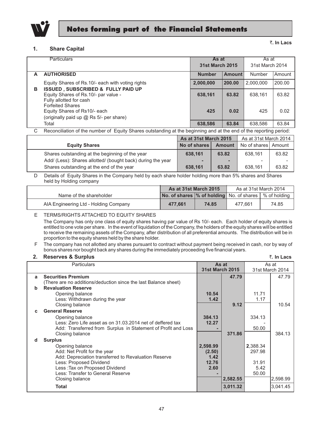

# **1. Share Capital**

`**. In Lacs**

| <b>Particulars</b> |                                                                                                                                                                                                                                                                                 | As at                  |               | As at           |               |
|--------------------|---------------------------------------------------------------------------------------------------------------------------------------------------------------------------------------------------------------------------------------------------------------------------------|------------------------|---------------|-----------------|---------------|
|                    |                                                                                                                                                                                                                                                                                 | <b>31st March 2015</b> |               | 31st March 2014 |               |
| A                  | <b>AUTHORISED</b>                                                                                                                                                                                                                                                               | <b>Number</b>          | <b>Amount</b> | Number          | Amount        |
|                    | Equity Shares of Rs.10/- each with voting rights<br><b>ISSUED, SUBSCRIBED &amp; FULLY PAID UP</b><br>в<br>Equity Shares of Rs.10/- par value -<br>Fully allotted for cash<br><b>Forfeited Shares</b><br>Equity Shares of Rs10/- each<br>(originally paid up @ Rs 5/- per share) | 2,000,000              | 200.00        | 2,000,000       | 1200.00       |
|                    |                                                                                                                                                                                                                                                                                 | 638,161<br>425         | 63.82<br>0.02 | 638.161<br>425  | 63.82<br>0.02 |
|                    | Total                                                                                                                                                                                                                                                                           | 638,586                | 63.84         | 638,586         | 63.84         |

C Reconciliation of the number of Equity Shares outstanding at the beginning and at the end of the reporting period:

|                                                             | As at 31st March 2015    |               | As at 31st March 2014 |       |
|-------------------------------------------------------------|--------------------------|---------------|-----------------------|-------|
| <b>Equity Shares</b>                                        | No of shares             | <b>Amount</b> | No of shares Amount   |       |
| Shares outstanding at the beginning of the year             | 638.161                  | 63.82         | 638.161               | 63.82 |
| Add/ (Less): Shares allotted/ (bought back) during the year | $\overline{\phantom{a}}$ |               | -                     |       |
| Shares outstanding at the end of the year                   | 638.161                  | 63.82         | 638.161               | 63.82 |

### D Details of Equity Shares in the Company held by each share holder holding more than 5% shares and Shares held by Holding company

|                                       | As at 31st March 2015                                      |       | As at 31st March 2014 |       |
|---------------------------------------|------------------------------------------------------------|-------|-----------------------|-------|
| Name of the shareholder               | No. of shares  % of holding   No. of shares   % of holding |       |                       |       |
| AIA Engineering Ltd - Holding Company | 477.661                                                    | 74.85 | 477.661               | 74.85 |

# E TERMS/RIGHTS ATTACHED TO EQUITY SHARES

The Company has only one class of equity shares having par value of Rs 10/- each. Each holder of equity shares is entitled to one vote per share. In the event of liquidation of the Company, the holders of the equity shares will be entitled to receive the remaining assets of the Company, after distribution of all preferential amounts. The distribution will be in proportion to the equity shares held by the share holder.

F The company has not allotted any shares pursuant to contract without payment being received in cash, nor by way of bonus shares nor bought back any shares during the immediately proceeding five financial years.

# **2. Reserves & Surplus**

| 2. | <b>Reserves &amp; Surplus</b>                                   |                        |          |          | ₹. In Lacs      |
|----|-----------------------------------------------------------------|------------------------|----------|----------|-----------------|
|    | <b>Particulars</b>                                              | As at                  |          |          | As at           |
|    |                                                                 | <b>31st March 2015</b> |          |          | 31st March 2014 |
| a  | <b>Securities Premium</b>                                       |                        | 47.79    |          | 47.79           |
|    | (There are no additions/deduction since the last Balance sheet) |                        |          |          |                 |
| b  | <b>Revaluation Reserve</b>                                      |                        |          |          |                 |
|    | Opening balance                                                 | 10.54                  |          | 11.71    |                 |
|    | Less: Withdrawn during the year                                 | 1.42                   |          | 1.17     |                 |
|    | Closing balance                                                 |                        | 9.12     |          | 10.54           |
| c. | <b>General Reserve</b>                                          |                        |          |          |                 |
|    | Opening balance                                                 | 384.13                 |          | 334.13   |                 |
|    | Less: Zero Life asset as on 31.03.2014 net of deffered tax      | 12.27                  |          |          |                 |
|    | Add: Transferred from Surplus in Statement of Profit and Loss   |                        |          | 50.00    |                 |
|    | Closing balance                                                 |                        | 371.86   |          | 384.13          |
| d  | <b>Surplus</b>                                                  |                        |          |          |                 |
|    | Opening balance                                                 | 2,598.99               |          | 2,388.34 |                 |
|    | Add: Net Profit for the year                                    | (2.50)                 |          | 297.98   |                 |
|    | Add: Depreciation transferred to Revaluation Reserve            | 1.42                   |          |          |                 |
|    | Less: Proposed Dividend                                         | 12.76                  |          | 31.91    |                 |
|    | Less: Tax on Proposed Dividend                                  | 2.60                   |          | 5.42     |                 |
|    | Less: Transfer to General Reserve                               |                        |          | 50.00    |                 |
|    | Closing balance                                                 |                        | 2,582.55 |          | 2,598.99        |
|    | <b>Total</b>                                                    |                        | 3,011.32 |          | 3,041.45        |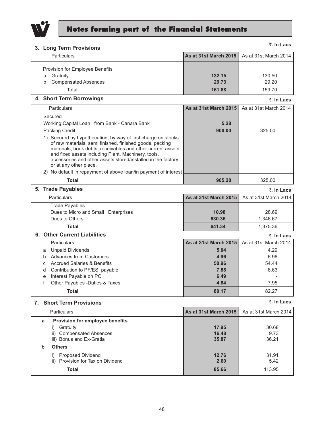

# **3. Long Term Provisions**

### **As at 31st March 2015 132.15 29.73 161.88** Particulars **As at 31st March 2015** As at 31st March 2014 Provision for Employee Benefits a Gratuity 130.50 b Compensated Absences 29.73 29.20 Total 159.70

# **4. Short Term Borrowings**

| <b>Particulars</b>                                                                                                                                                                                                                                                                                                                        | As at 31st March 2015 | As at 31st March 2014 |
|-------------------------------------------------------------------------------------------------------------------------------------------------------------------------------------------------------------------------------------------------------------------------------------------------------------------------------------------|-----------------------|-----------------------|
| Secured                                                                                                                                                                                                                                                                                                                                   |                       |                       |
| Working Capital Loan from Bank - Canara Bank                                                                                                                                                                                                                                                                                              | 5.28                  |                       |
| Packing Credit                                                                                                                                                                                                                                                                                                                            | 900.00                | 325.00                |
| 1) Secured by hypothecation, by way of first charge on stocks<br>of raw materials, semi finished, finished goods, packing<br>materials, book debts, receivables and other current assets<br>and fixed assets including Plant, Machinery, tools,<br>accessories and other assets stored/installed in the factory<br>or at any other place. |                       |                       |
| 2) No default in repayment of above loan/in payment of interest                                                                                                                                                                                                                                                                           |                       |                       |
| Total                                                                                                                                                                                                                                                                                                                                     | 905.28                | 325.00                |
|                                                                                                                                                                                                                                                                                                                                           |                       |                       |

# **5. Trade Payables**

| 5. Trade Payables                   |        | ₹. In Lacs                                         |
|-------------------------------------|--------|----------------------------------------------------|
| <b>Particulars</b>                  |        | <b>As at 31st March 2015</b> As at 31st March 2014 |
| <b>Trade Payables</b>               |        |                                                    |
| Dues to Micro and Small Enterprises | 10.98  | 28.69                                              |
| Dues to Others                      | 630.36 | 1.346.67                                           |
| Total                               | 641.34 | 1.375.36                                           |

# **6. Other Current Liabilities**

|              | 6. Other Current Liabilities           |                                               | र्ॅ. In Lacs |
|--------------|----------------------------------------|-----------------------------------------------|--------------|
|              | <b>Particulars</b>                     | As at 31st March 2015   As at 31st March 2014 |              |
| a            | <b>Unpaid Dividends</b>                | 5.04                                          | 4.29         |
| <sub>b</sub> | <b>Advances from Customers</b>         | 4.96                                          | 6.96         |
| $\mathsf{C}$ | <b>Accrued Salaries &amp; Benefits</b> | 50.96                                         | 54.44        |
| d            | Contribution to PF/ESI payable         | 7.88                                          | 8.63         |
| е            | Interest Payable on PC                 | 6.49                                          |              |
|              | Other Payables -Duties & Taxes         | 4.84                                          | 7.95         |
|              | Total                                  | 80.17                                         | 82.27        |

# **7. Short Term Provisions**

| × | ın | ıя<br>п<br>c<br>∽ |
|---|----|-------------------|
|   |    |                   |

| <b>Particulars</b>                                                                                              | As at 31st March 2015   | As at 31st March 2014  |
|-----------------------------------------------------------------------------------------------------------------|-------------------------|------------------------|
| <b>Provision for employee benefits</b><br>a<br>Gratuity<br>ii) Compensated Absences<br>iii) Bonus and Ex-Gratia | 17.95<br>16.48<br>35.87 | 30.68<br>9.73<br>36.21 |
| <b>Others</b><br>b                                                                                              |                         |                        |
| <b>Proposed Dividend</b><br>Provision for Tax on Dividend<br>ii)                                                | 12.76<br>2.60           | 31.91<br>5.42          |
| Total                                                                                                           | 85.66                   | 113.95                 |

`**. In Lacs**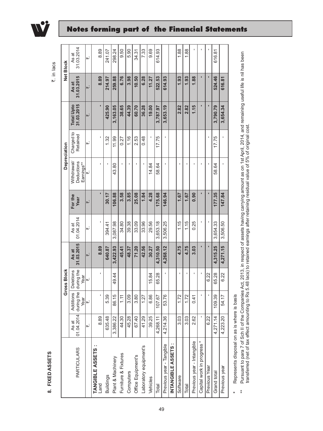

`. in lacs

₹. in lacs

**8. FIXED ASSETS**

8. FIXED ASSETS

# **Notes forming part of the Financial Statements**

|                                                  |                     |                                 | s Block<br>Gros                |                     |                     |                 |                                         | Depreciation           |                                 |                     | Net Block           |
|--------------------------------------------------|---------------------|---------------------------------|--------------------------------|---------------------|---------------------|-----------------|-----------------------------------------|------------------------|---------------------------------|---------------------|---------------------|
| <b>PARTICULARS</b>                               | 01.04.2014<br>As at | during the<br>Additions<br>Year | during the<br>eletions<br>Year | 31.03.2015<br>As at | As at<br>01.04.2014 | For the<br>Year | Withdrawal/<br>Deductions<br>Earnings** | Charged to<br>Retained | 31.03.2015<br><b>Total Upto</b> | 31.03.2015<br>As at | 31.03.2014<br>As at |
|                                                  | .<br>س              | ٣ŕ                              | ۳ż                             | ゕ                   | ۳ż                  | ゕ               | .<br>س                                  | ۳ż                     | ٣,                              | ゕ                   | ん                   |
| <b>TANGIBLE ASSETS</b><br>Land                   | 8.89                | ï                               | ı                              | 8.89                | Ţ                   | ı               | Ţ                                       | ı                      |                                 | 8.89                | 8.89                |
| Buildings                                        | 635.48              | 5.39                            |                                | 640.87              | 394.41              | 30.17           | f,                                      | 1.32                   | 425.90                          | 214.97              | 241.07              |
| Plant & Machinery                                | 3,386.22            | 86.15                           | 49.44                          | 3,422.93            | 3,087.98            | 106.88          | 43.80                                   | 11.99                  | 3,163.05                        | 259.88              | 298.24              |
| Furniture & Fixtures                             | 44.30               | 1.11                            |                                | 45.41               | 34.80               | 3.58            | f.                                      | 0.27                   | 38.65                           | 6.76                | 9.50                |
| Computers                                        | 45.28               | 3.09                            |                                | 48.37               | 39.38               | 3.85            | $\blacksquare$                          | 1.16                   | 44.39                           | 3.98                | 5.90                |
| Office Equipment's                               | 67.40               | 3.80                            |                                | 71.20               | 33.09               | 25.08           | f,                                      | 2.53                   | 60.70                           | 10.50               | 34.31               |
| Laboratory equipment's                           | 41.29               | 1.27                            |                                | 42.56               | 33.96               | 1.84            |                                         | 0.48                   | 36.28                           | 6.28                | 7.33                |
| Vehicles                                         | 39.25               | 6.86                            | 15.84                          | 30.27               | 29.56               | 4.28            | 14.84                                   | ı                      | 19.00                           | 11.27               | 9.69                |
| Total                                            | 4,268.11            | 107.67                          | 65.28                          | 4,310.50            | 3,653.18            | 175.68          | 58.64                                   | 17.75                  | 3,787.97                        | 522.53              | 614.93              |
| Previous year - Tangible                         | 4,214.36            | 53.76                           |                                | 4,268.12            | 3,506.25            | 146.94          | $\blacksquare$                          |                        | 3,653.19                        | 614.93              |                     |
| INTANGIBLE ASSETS                                |                     |                                 |                                |                     |                     |                 |                                         |                        |                                 |                     |                     |
| Software                                         | 3.03                | 1.72                            | Ţ                              | 4.75                | 1.15                | 1.67            | f,                                      |                        | 2.82                            | 1.93                | 1.88                |
| Total                                            | 3.03                | 1.72                            | ٠                              | 4.75                | 1.15                | 1.67            | f,                                      |                        | 2.82                            | 1.93                | 1.88                |
| Previous year - Intangible                       | 2.62                | 0.41                            | I,                             | 3.03                | 0.25                | 0.90            | f,                                      |                        | 1.15                            | 1.88                |                     |
| Capital work in progress *                       | ï                   | ı                               |                                | ı                   | ٠                   | п               | ٠                                       |                        | ٠                               | п                   |                     |
| Previous Year                                    | 6.22                | ı                               | 6.22                           |                     |                     |                 |                                         |                        |                                 |                     |                     |
| Grand total                                      | 4,271.14            | 109.39                          | 65.28                          | 4,315.25            | 3,654.33            | 177.35          | 58.64                                   | 17.75                  | 3,790.79                        | 524.46              | 616.81              |
| Previous year                                    | 4,223.20            | 54.17                           | 6.22                           | 4,271.15            | 3,506.50            | 147.84          |                                         |                        | 3,654.34                        | 616.81              |                     |
| Represents disposal on as is where is basis<br>× |                     |                                 |                                |                     |                     |                 |                                         |                        |                                 |                     |                     |

Pursuant to para 7 of Sch II of the Companies Act, 2013, in respect of assets having carrying amount as on 1st April, 2014, and remaining useful life is nil has been<br>transferred (net of tax effect amounting to Rs 5.48 lacs \*\* Pursuant to para 7 of Sch II of the Companies Act, 2013, in respect of assets having carrying amount as on 1st April, 2014, and remaining useful life is nil has been transferred (net of tax effect amounting to Rs 5.48 lacs) to retained earnings after retaining residual value of 5% of original cost.  $*$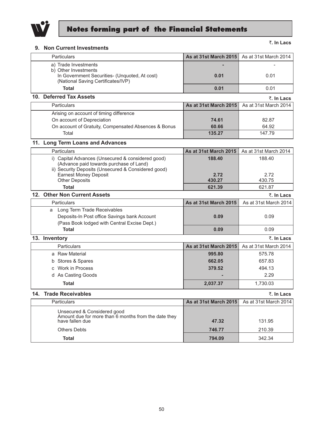

# **9. Non Current Investments**

`**. In Lacs**

| Particulars                                                                         | As at 31st March 2015 | As at 31st March 2014 |
|-------------------------------------------------------------------------------------|-----------------------|-----------------------|
| a) Trade Investments                                                                |                       |                       |
| b) Other Investments<br>In Government Securities- (Unquoted, At cost)               | 0.01                  | 0.01                  |
| (National Saving Certificates/IVP)                                                  |                       |                       |
| <b>Total</b>                                                                        | 0.01                  | 0.01                  |
| 10. Deferred Tax Assets                                                             |                       | ₹. In Lacs            |
| Particulars                                                                         | As at 31st March 2015 | As at 31st March 2014 |
| Arising on account of timing difference                                             |                       |                       |
| On account of Depreciation                                                          | 74.61                 | 82.87                 |
| On account of Gratuity, Compensated Absences & Bonus                                | 60.66                 | 64.92                 |
| Total                                                                               | 135.27                | 147.79                |
| 11. Long Term Loans and Advances                                                    |                       |                       |
| Particulars                                                                         | As at 31st March 2015 | As at 31st March 2014 |
| i) Capital Advances (Unsecured & considered good)                                   | 188.40                | 188.40                |
| (Advance paid towards purchase of Land)                                             |                       |                       |
| ii) Security Deposits (Unsecured & Considered good)<br><b>Earnest Money Deposit</b> | 2.72                  | 2.72                  |
| <b>Other Deposits</b>                                                               | 430.27                | 430.75                |
| <b>Total</b>                                                                        | 621.39                | 621.87                |
| 12. Other Non Current Assets                                                        |                       | ₹. In Lacs            |
| Particulars                                                                         | As at 31st March 2015 | As at 31st March 2014 |
| Long Term Trade Receivables<br>a                                                    |                       |                       |
| Deposits-In Post office Savings bank Account                                        | 0.09                  | 0.09                  |
| (Pass Book lodged with Central Excise Dept.)                                        |                       |                       |
| <b>Total</b>                                                                        | 0.09                  | 0.09                  |
|                                                                                     |                       |                       |
| 13. Inventory                                                                       |                       | ₹. In Lacs            |
| Particulars                                                                         | As at 31st March 2015 | As at 31st March 2014 |
| a Raw Material                                                                      | 995.80                | 575.78                |
| b Stores & Spares                                                                   | 662.05                | 657.83                |
| <b>Work in Process</b><br>C                                                         | 379.52                | 494.13                |
| d As Casting Goods                                                                  |                       | 2.29                  |
| Total                                                                               | 2,037.37              | 1,730.03              |
| <b>Trade Receivables</b>                                                            |                       | ₹. In Lacs            |
| Particulars                                                                         | As at 31st March 2015 | As at 31st March 2014 |
| Unsecured & Considered good                                                         |                       |                       |
| Amount due for more than 6 months from the date they                                |                       |                       |
| have fallen due                                                                     | 47.32                 | 131.95                |
| <b>Others Debts</b>                                                                 | 746.77                | 210.39                |
| <b>Total</b>                                                                        | 794.09                | 342.34                |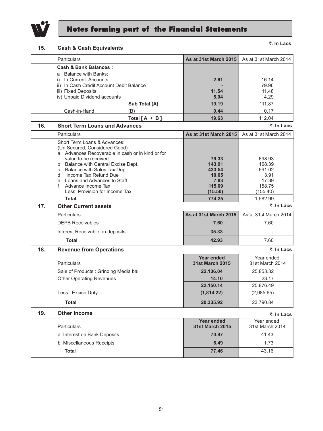

# **15. Cash & Cash Equivalents**

# `**. In Lacs**

|     | Particulars                                                                                                                                                                                                                                                                                               |                 | As at 31st March 2015                                | As at 31st March 2014                                 |
|-----|-----------------------------------------------------------------------------------------------------------------------------------------------------------------------------------------------------------------------------------------------------------------------------------------------------------|-----------------|------------------------------------------------------|-------------------------------------------------------|
|     | <b>Cash &amp; Bank Balances:</b>                                                                                                                                                                                                                                                                          |                 |                                                      |                                                       |
|     | <b>Balance with Banks:</b><br>a                                                                                                                                                                                                                                                                           |                 |                                                      |                                                       |
|     | i) In Current Accounts                                                                                                                                                                                                                                                                                    |                 | 2.61                                                 | 16.14                                                 |
|     | ii) In Cash Credit Account Debit Balance                                                                                                                                                                                                                                                                  |                 |                                                      | 79.96                                                 |
|     | iii) Fixed Deposits<br>iv) Unpaid Dividend accounts                                                                                                                                                                                                                                                       |                 | 11.54<br>5.04                                        | 11.48<br>4.29                                         |
|     |                                                                                                                                                                                                                                                                                                           | Sub Total (A)   | 19.19                                                | 111.87                                                |
|     | Cash-in-Hand                                                                                                                                                                                                                                                                                              | (B)             | 0.44                                                 | 0.17                                                  |
|     |                                                                                                                                                                                                                                                                                                           | Total $[A + B]$ | 19.63                                                | 112.04                                                |
| 16. | <b>Short Term Loans and Advances</b>                                                                                                                                                                                                                                                                      |                 |                                                      | ₹. In Lacs                                            |
|     | Particulars                                                                                                                                                                                                                                                                                               |                 | As at 31st March 2015                                | As at 31st March 2014                                 |
|     | Short Term Loans & Advances:<br>(Un Secured, Considered Good)<br>a Advances Recoverable in cash or in kind or for<br>value to be received<br>b Balance with Central Excise Dept.<br>c Balance with Sales Tax Dept.<br>Income Tax Refund Due<br>d<br>e Loans and Advances to Staff<br>f Advance Income Tax |                 | 79.33<br>143.91<br>433.54<br>10.05<br>7.83<br>115.09 | 698.93<br>168.39<br>691.02<br>3.91<br>17.39<br>158.75 |
|     | Less: Provision for Income Tax                                                                                                                                                                                                                                                                            |                 | (15.50)                                              | (155.40)                                              |
|     | Total                                                                                                                                                                                                                                                                                                     |                 | 774.25                                               | 1,582.99                                              |
| 17. | <b>Other Current assets</b>                                                                                                                                                                                                                                                                               |                 |                                                      | ₹. In Lacs                                            |
|     | Particulars                                                                                                                                                                                                                                                                                               |                 | As at 31st March 2015                                | As at 31st March 2014                                 |
|     | <b>DEPB Receivables</b>                                                                                                                                                                                                                                                                                   |                 | 7.60                                                 | 7.60                                                  |
|     |                                                                                                                                                                                                                                                                                                           |                 |                                                      |                                                       |
|     | Interest Receivable on deposits                                                                                                                                                                                                                                                                           |                 | 35.33                                                |                                                       |
|     | <b>Total</b>                                                                                                                                                                                                                                                                                              |                 | 42.93                                                | 7.60                                                  |
| 18. | <b>Revenue from Operations</b>                                                                                                                                                                                                                                                                            |                 |                                                      | ₹. In Lacs                                            |
|     | Particulars                                                                                                                                                                                                                                                                                               |                 | <b>Year ended</b><br><b>31st March 2015</b>          | Year ended<br>31st March 2014                         |
|     | Sale of Products : Grinding Media ball                                                                                                                                                                                                                                                                    |                 | 22,136.04                                            | 25,853.32                                             |
|     | <b>Other Operating Revenues</b>                                                                                                                                                                                                                                                                           |                 | 14.10                                                | 23.17                                                 |
|     |                                                                                                                                                                                                                                                                                                           |                 | 22,150.14                                            | 25,876.49                                             |
|     | Less: Excise Duty                                                                                                                                                                                                                                                                                         |                 | (1,814.22)                                           | (2,085.65)                                            |
|     | <b>Total</b>                                                                                                                                                                                                                                                                                              |                 | 20,335.92                                            | 23,790.84                                             |
| 19. | <b>Other Income</b>                                                                                                                                                                                                                                                                                       |                 |                                                      | ₹. In Lacs                                            |
|     |                                                                                                                                                                                                                                                                                                           |                 | <b>Year ended</b>                                    | Year ended                                            |
|     | Particulars                                                                                                                                                                                                                                                                                               |                 | <b>31st March 2015</b>                               | 31st March 2014                                       |
|     | a Interest on Bank Deposits                                                                                                                                                                                                                                                                               |                 | 70.97                                                | 41.43                                                 |

**Total 77.46** 

l 43.16 and 43.16 and 43.16 and 43.16 and 43.16 and 43.16 and 43.16 and 43.16 and 43.16 and 43.16 and 43.16 and 4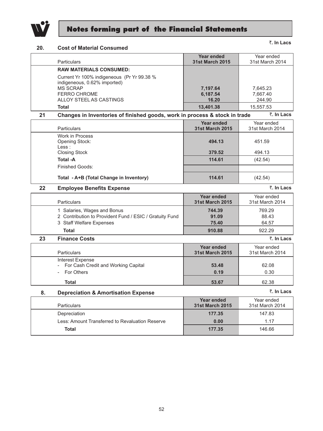

# **20. Cost of Material Consumed**

# `**. In Lacs**

|    | <b>Particulars</b>                                                                                                                              | Year ended<br><b>31st March 2015</b> | Year ended<br>31st March 2014  |
|----|-------------------------------------------------------------------------------------------------------------------------------------------------|--------------------------------------|--------------------------------|
|    | <b>RAW MATERIALS CONSUMED:</b>                                                                                                                  |                                      |                                |
|    | Current Yr 100% indigeneous (Pr Yr 99.38 %<br>indigeneous, 0.62% imported)<br><b>MS SCRAP</b><br><b>FERRO CHROME</b><br>ALLOY STEEL AS CASTINGS | 7,197.64<br>6,187.54<br>16.20        | 7.645.23<br>7.667.40<br>244.90 |
|    | Total                                                                                                                                           | 13.401.38                            | 15.557.53                      |
| 21 | Changes in Inventories of finished goods, work in process & stock in trade                                                                      |                                      | ₹. In Lacs                     |

**21 Changes in Inventories of finished goods, work in process & stock in trade**

| <b>Particulars</b>                                                  | Year ended<br>31st March 2015 | Year ended<br>31st March 2014 |
|---------------------------------------------------------------------|-------------------------------|-------------------------------|
| Work in Process<br>Opening Stock:<br>Less :<br><b>Closing Stock</b> | 494.13<br>379.52              | 451.59<br>494.13              |
| <b>Total -A</b>                                                     | 114.61                        | (42.54)                       |
| <b>Finished Goods:</b>                                              |                               |                               |
| Total - A+B (Total Change in Inventory)                             | 114.61                        | (42.54)                       |

# **22 Employee Benefits Expense**

|    | <b>Particulars</b>                                                                                                 | Year ended<br><b>31st March 2015</b> | Year ended<br>31st March 2014 |
|----|--------------------------------------------------------------------------------------------------------------------|--------------------------------------|-------------------------------|
|    | 1 Salaries, Wages and Bonus<br>2 Contribution to Provident Fund / ESIC / Gratuity Fund<br>3 Staff Welfare Expenses | 744.39<br>91.09<br>75.40             | 769.29<br>88.43<br>64.57      |
|    | Total                                                                                                              | 910.88                               | 922.29                        |
| 23 | <b>Finance Costs</b>                                                                                               |                                      | ₹. In Lacs                    |

### **23 Finance Costs**

| <b>Particulars</b>                                                        | Year ended<br><b>31st March 2015</b> | Year ended<br>31st March 2014 |
|---------------------------------------------------------------------------|--------------------------------------|-------------------------------|
| Interest Expense<br>- For Cash Credit and Working Capital<br>- For Others | 53.48<br>0.19                        | 62.08<br>0.30                 |
| Total                                                                     | 53.67                                | 62.38                         |

# **8. Depreciation & Amortisation Expense**

## `**. In Lacs**

`**. In Lacs**

| <b>Particulars</b>                              | <b>Year ended</b><br>31st March 2015 | Year ended<br>31st March 2014 |
|-------------------------------------------------|--------------------------------------|-------------------------------|
| Depreciation                                    | 177.35                               | 147.83                        |
| Less: Amount Transferred to Revaluation Reserve | 0.00                                 | 1.17                          |
| <b>Total</b>                                    | 177.35                               | 146.66                        |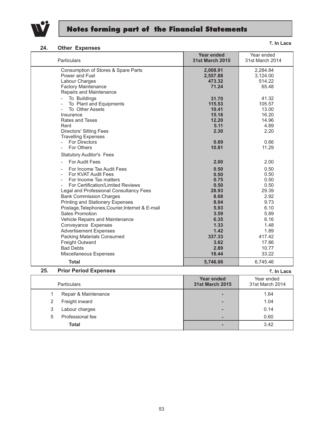

# **24. Other Expenses**

# `**. In Lacs**

`**. In Lacs**

| Particulars                                                                                                                             | <b>Year ended</b><br><b>31st March 2015</b> | Year ended<br>31st March 2014           |
|-----------------------------------------------------------------------------------------------------------------------------------------|---------------------------------------------|-----------------------------------------|
| Consumption of Stores & Spare Parts<br>Power and Fuel<br><b>Labour Charges</b><br><b>Factory Maintenance</b><br>Repairs and Maintenance | 2,008.91<br>2,557.88<br>473.32<br>71.24     | 2,284.84<br>3,124.00<br>514.22<br>65.48 |
| To Buildings                                                                                                                            | 31.70                                       | 41.32                                   |
| To Plant and Equipments                                                                                                                 | 115.53                                      | 105.57                                  |
| To Other Assets                                                                                                                         | 10.41                                       | 13.00                                   |
| Insurance                                                                                                                               | 15.16                                       | 16.20                                   |
| <b>Rates and Taxes</b>                                                                                                                  | 12.20                                       | 14.96                                   |
| Rent                                                                                                                                    | 5.11                                        | 4.89                                    |
| <b>Directors' Sitting Fees</b>                                                                                                          | 2.30                                        | 2.20                                    |
| <b>Travelling Expenses</b><br><b>For Directors</b><br>For Others<br><b>Statutory Auditor's Fees</b>                                     | 0.69<br>10.81                               | 0.66<br>11.29                           |
| For Audit Fees                                                                                                                          | 2.00                                        | 2.00                                    |
| For Income Tax Audit Fees                                                                                                               | 0.50                                        | 0.50                                    |
| For KVAT Audit Fees                                                                                                                     | 0.50                                        | 0.50                                    |
| For Income Tax matters                                                                                                                  | 0.75                                        | 0.50                                    |
| For Certification/Limited Reviews                                                                                                       | 0.50                                        | 0.50                                    |
| Legal and Professional Consultancy Fees                                                                                                 | 28.93                                       | 29.39                                   |
| <b>Bank Commission Charges</b>                                                                                                          | 8.68                                        | 2.92                                    |
| Printing and Stationery Expenses                                                                                                        | 8.04                                        | 9.73                                    |
| Postage, Telephones, Courier, Internet & E-mail                                                                                         | 5.93                                        | 6.10                                    |
| <b>Sales Promotion</b>                                                                                                                  | 3.59                                        | 5.89                                    |
| Vehicle Repairs and Maintenance                                                                                                         | 6.35                                        | 6.16                                    |
| Conveyance Expenses                                                                                                                     | 1.33                                        | 1.48                                    |
| <b>Advertisement Expenses</b>                                                                                                           | 1.42                                        | 1.89                                    |
| <b>Packing Materials Consumed</b>                                                                                                       | 337.33                                      | 417.42                                  |
| Freight Outward                                                                                                                         | 3.62                                        | 17.86                                   |
| <b>Bad Debts</b>                                                                                                                        | 2.89                                        | 10.77                                   |
| Miscellaneous Expenses                                                                                                                  | 18.44                                       | 33.22                                   |
| <b>Total</b>                                                                                                                            | 5.746.06                                    | 6.745.46                                |

# **25. Prior Period Expenses**

|   | Particulars          | <b>Year ended</b><br><b>31st March 2015</b> | Year ended<br>31st March 2014 |
|---|----------------------|---------------------------------------------|-------------------------------|
|   | Repair & Maintenance | $\overline{\phantom{a}}$                    | 1.64                          |
| 2 | Freight inward       |                                             | 1.04                          |
| 3 | Labour charges       |                                             | 0.14                          |
| 5 | Professional fee     |                                             | 0.60                          |
|   | <b>Total</b>         |                                             | 3.42                          |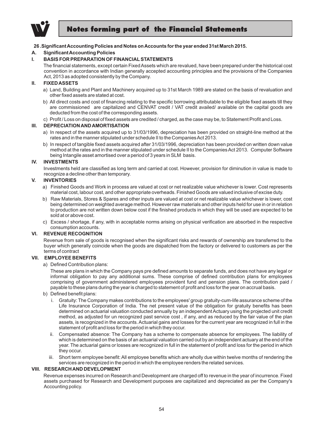

### **26 .SignificantAccounting Policies and Notes onAccounts for the year ended 31st March 2015.**

### **A. SignificantAccounting Policies**

### **I. BASIS FOR PREPARATION OF FINANCIAL STATEMENTS**

The financial statements, except certain FixedAssets which are revalued, have been prepared under the historical cost convention in accordance with Indian generally accepted accounting principles and the provisions of the Companies Act, 2013 as adopted consistently by the Company.

### **II. FIXEDASSETS**

- a) Land, Building and Plant and Machinery acquired up to 31st March 1989 are stated on the basis of revaluation and other fixed assets are stated at cost.
- b) All direct costs and cost of financing relating to the specific borrowing attributable to the eligible fixed assets till they are commissioned are capitalized and CENVAT credit / VAT credit availed/ available on the capital goods are deducted from the cost of the corresponding assets.
- c) Profit / Loss on disposal of fixed assets are credited / charged, as the case may be, to Statement Profit and Loss.

## **III. DEPRECIATIONANDAMORTISATION**

- a) In respect of the assets acquired up to 31/03/1996, depreciation has been provided on straight-line method at the rates and in the manner stipulated under schedule II to the Companies Act 2013.
- b) In respect of tangible fixed assets acquired after 31/03/1996, depreciation has been provided on written down value method at the rates and in the manner stipulated under schedule II to the Companies Act 2013. Computer Software being Intangile asset amortised over a period of 3 years in SLM basis.

## **IV. INVESTMENTS**

Investments held are classified as long term and carried at cost. However, provision for diminution in value is made to recognize a decline other than temporary.

# **V. INVENTORIES**

- a) Finished Goods and Work in process are valued at cost or net realizable value whichever is lower. Cost represents material cost, labour cost, and other appropriate overheads. Finished Goods are valued inclusive of excise duty.
- b) Raw Materials, Stores & Spares and other inputs are valued at cost or net realizable value whichever is lower, cost being determined on weighted average method. However raw materials and other inputs held for use in or in relation to production are not written down below cost if the finished products in which they will be used are expected to be sold at or above cost.
- c) Excess / shortage, if any, with in acceptable norms arising on physical verification are absorbed in the respective consumption accounts.

### **VI. REVENUE RECOGNITION**

Revenue from sale of goods is recognised when the significant risks and rewards of ownership are transferred to the buyer which generally coincide when the goods are dispatched from the factory or delivered to customers as per the terms of contract

### **VII. EMPLOYEE BENEFITS**

a) Defined Contribution plans:

These are plans in which the Company pays pre defined amounts to separate funds, and does not have any legal or informal obligation to pay any additional sums. These comprise of defined contribution plans for employees comprising of government administered employees provident fund and pension plans. The contribution paid / payable to these plans during the year is charged to statement of profit and loss for the year on accrual basis.

- b) Defined benefit plans:
	- i. Gratuity: The Company makes contributions to the employees' group gratuity-cum-life assurance scheme of the Life Insurance Corporation of India. The net present value of the obligation for gratuity benefits has been determined on actuarial valuation conducted annually by an independent Actuary using the projected unit credit method, as adjusted for un recognized past service cost , if any, and as reduced by the fair value of the plan assets, is recognized in the accounts. Actuarial gains and losses for the current year are recognized in full in the statement of profit and loss for the period in which they occur.
	- ii. Compensated absence: The Company has a scheme to compensate absence for employees. The liability of which is determined on the basis of an actuarial valuation carried out by an independent actuary at the end of the year. The actuarial gains or losses are recognized in full in the statement of profit and loss for the period in which they occur.
	- iii. Short term employee benefit: All employee benefits which are wholly due within twelve months of rendering the services are recognized in the period in which the employee renders the related services.

### **VIII. RESEARCHAND DEVELOPMENT**

Revenue expenses incurred on Research and Development are charged off to revenue in the year of incurrence. Fixed assets purchased for Research and Development purposes are capitalized and depreciated as per the Company's Accounting policy.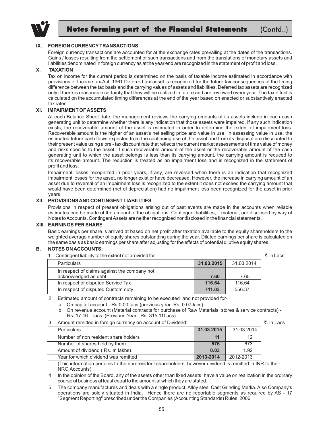

# **IX. FOREIGN CURRENCY TRANSACTIONS**

Foreian currency transactions are accounted for at the exchange rates prevailing at the dates of the transactions. Gains / losses resulting from the settlement of such transactions and from the translations of monetary assets and liabilities denominated in foreign currency as at the year end are recognized in the statement of profit and loss.

### **X. TAXATION**

Tax on income for the current period is determined on the basis of taxable income estimated in accordance with provisions of Income tax Act, 1961.Deferred tax asset is recognized for the future tax consequences of the timing difference between the tax basis and the carrying values of assets and liabilities. Deferred tax assets are recognized only if there is reasonable certainty that they will be realized in future and are reviewed every year .The tax effect is calculated on the accumulated timing differences at the end of the year based on enacted or substantively enacted tax rates.

## **XI. IMPAIRMENT OFASSETS**

At each Balance Sheet date, the management reviews the carrying amounts of its assets include in each cash generating unit to determine whether there is any indication that those assets were impaired. If any such indication exists, the recoverable amount of the asset is estimated in order to determine the extent of impairment loss. Recoverable amount is the higher of an asset's net selling price and value in use. In assessing value in use, the estimated future cash flows expected from the continuing use of the asset and from its disposal are discounted to their present value using a pre - tax discount rate that reflects the current market assessments of time value of money and risks specific to the asset. If such recoverable amount of the asset or the recoverable amount of the cash generating unit to which the asset belongs is less than its carrying amount, the carrying amount is reduced to its recoverable amount. The reduction is treated as an impairment loss and is recognized in the statement of profit and loss.

Impairment losses recognized in prior years, if any, are reversed when there is an indication that recognized impairment losses for the asset, no longer exist or have decreased. However, the increase in carrying amount of an asset due to reversal of an impairment loss is recognized to the extent it does not exceed the carrying amount that would have been determined (net of depreciation) had no impairment loss been recognized for the asset in prior years.

## **XII. PROVISIONSAND CONTINGENT LIABILITIES**

Provisions in respect of present obligations arising out of past events are made in the accounts when reliable estimates can be made of the amount of the obligations. Contingent liabilities, if material, are disclosed by way of Notes to Accounts. Contingent Assets are neither recognized nor disclosed in the financial statements.

## **XIII. EARNINGS PER SHARE**

Basic earnings per share is arrived at based on net profit after taxation available to the equity shareholders to the weighted average number of equity shares outstanding during the year. Diluted earnings per share is calculated on the same basis as basic earnings per share after adjusting for the effects of potential dilutive equity shares.

## **B. NOTES ONACCOUNTS:**

1 Contingent liability to the extent not provided for

 $\overline{z}$ . in Lacs

| <b>Particulars</b>                                                   | 31.03.2015 | 31.03.2014 |
|----------------------------------------------------------------------|------------|------------|
| In respect of claims against the company not<br>acknowledged as debt | 7.60       | 7.60       |
| In respect of disputed Service Tax                                   | 116.64     | 116.64     |
| In respect of disputed Custom duty                                   | 711.03     | 556.37     |

2 Estimated amount of contracts remaining to be executed and not provided for-

- a. On capital account Rs.0.00 lacs (previous year: Rs. 0.07 lacs)
- b. On revenue account (Material contracts for purchase of Raw Materials, stores & service contracts) Rs. 17.46 lacs (Previous Year: Rs. 315.11Lacs)
- $\frac{1}{2}$  Amount of Dividend: . in Concerncy on account of Dividend: . in Lacsons

| Amount remitted in foreign currency on account of Dividend: |            |            | ₹. in Lacs |
|-------------------------------------------------------------|------------|------------|------------|
| <b>Particulars</b>                                          | 31.03.2015 | 31.03.2014 |            |
| Number of non resident share holders                        | 11         | 12         |            |
| Number of shares held by them                               | 576        | 673        |            |
| Amount of dividend (Rs. In lakhs)                           | 0.03       | 1.92       |            |
| Year for which dividend was remitted                        | 2013-2014  | 2012-2013  |            |

(This information pertains to the non-resident shareholders, however dividend is remitted in INR to their NRO Accounts)

4 In the opinion of the Board, any of the assets other than fixed assets have a value on realization in the ordinary course of business at least equal to the amount at which they are stated.

5 The company manufactures and deals with a single product, Alloy steel Cast Grinding Media. Also Company's operations are solely situated in India. Hence there are no reportable segments as required by AS - 17 "Segment Reporting" prescribed under the Companies (Accounting Standards) Rules, 2006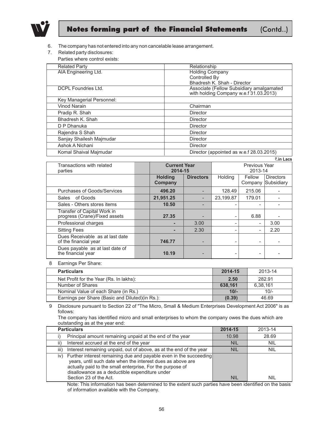

- 6. The company has not entered into any non cancelable lease arrangement.
- 7. Related party disclosures:
	- Parties where control exists:

| <b>Related Party</b>      | Relationship                                                                       |
|---------------------------|------------------------------------------------------------------------------------|
| AIA Engineering Ltd.      | <b>Holding Company</b>                                                             |
|                           | Controlled By                                                                      |
|                           | Bhadresh K. Shah - Director                                                        |
| DCPL Foundries Ltd.       | Associate (Fellow Subsidiary amalgamated<br>with holding Company w.e.f 31.03.2013) |
| Key Managerial Personnel: |                                                                                    |
| Vinod Narain              | Chairman                                                                           |
| Pradip R. Shah            | Director                                                                           |
| Bhadresh K. Shah          | Director                                                                           |
| D P Dhanuka               | Director                                                                           |
| Rajendra S Shah           | Director                                                                           |
| Sanjay Shailesh Majmudar  | Director                                                                           |
| Ashok A Nichani           | Director                                                                           |
| Komal Shaival Majmudar    | Director (appointed as w.e.f 28.03.2015)                                           |
|                           | ₹.in Lacs                                                                          |

| Transactions with related<br>parties                         | <b>Current Year</b><br>2014-15 |                  | Previous Year<br>2013-14 |                   |                                |
|--------------------------------------------------------------|--------------------------------|------------------|--------------------------|-------------------|--------------------------------|
|                                                              | <b>Holding</b><br>Company      | <b>Directors</b> | Holding                  | Fellow<br>Company | <b>Directors</b><br>Subsidiary |
| <b>Purchases of Goods/Services</b>                           | 496.20                         |                  | 128.49                   | 215.06            |                                |
| of Goods<br>Sales                                            | 21,951.25                      |                  | 23.199.87                | 179.01            |                                |
| Sales - Others stores items                                  | 10.50                          |                  |                          |                   |                                |
| Transfer of Capital Work in<br>progress (Crane)/Fixed assets | 27.35                          |                  |                          | 6.88              |                                |
| Professional charges                                         |                                | 3.00             |                          |                   | 3.00                           |
| <b>Sitting Fees</b>                                          |                                | 2.30             |                          |                   | 2.20                           |
| Dues Receivable as at last date<br>of the financial year     | 746.77                         |                  |                          |                   |                                |
| Dues payable as at last date of<br>the financial year        | 10.19                          |                  |                          |                   |                                |

8 Earnings Per Share:

| <b>Particulars</b>                              | 2014-15 | 2013-14  |
|-------------------------------------------------|---------|----------|
| Net Profit for the Year (Rs. In lakhs):         | 2.50    | 282.91   |
| Number of Shares                                | 638.161 | 6.38.161 |
| Nominal Value of each Share (in Rs.)            | $10/-$  | $10/-$   |
| Earnings per Share (Basic and Diluted)(in Rs.): | (0.39)  | 46.69    |

9 Disclosure pursuant to Section 22 of "The Micro, Small & Medium Enterprises Development Act 2006" is as follows:

The company has identified micro and small enterprises to whom the company owes the dues which are outstanding as at the year end:

| <b>Particulars</b>                                                                                                                                                                                                                                 | 2014-15    | 2013-14    |
|----------------------------------------------------------------------------------------------------------------------------------------------------------------------------------------------------------------------------------------------------|------------|------------|
| Principal amount remaining unpaid at the end of the year                                                                                                                                                                                           | 10.98      | 28.69      |
| Interest accrued at the end of the year<br>ii)                                                                                                                                                                                                     | <b>NIL</b> | <b>NIL</b> |
| Interest remaining unpaid, out of above, as at the end of the year<br>iii)                                                                                                                                                                         | <b>NIL</b> | <b>NIL</b> |
| iv) Further interest remaining due and payable even in the succeeding<br>years, until such date when the interest dues as above are<br>actually paid to the small enterprise, For the purpose of<br>disallowance as a deductible expenditure under |            |            |
| Section 23 of the Act.                                                                                                                                                                                                                             | <b>NIL</b> | NIL        |

Note: This information has been determined to the extent such parties have been identified on the basis of information available with the Company.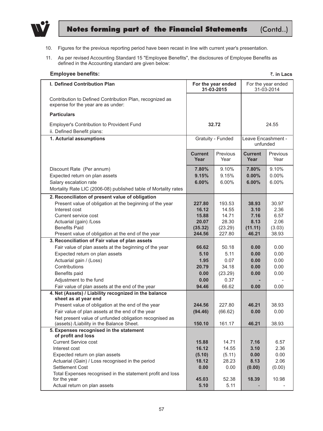

- (Contd..)
- 10. Figures for the previous reporting period have been recast in line with current year's presentation.
- 11. As per revised Accounting Standard 15 "Employee Benefits", the disclosures of Employee Benefits as defined in the Accounting standard are given below:

| <b>Employee benefits:</b>                                                                                                                                                                                                                                                                                                                          |                                                         |                                                            |                                                   | ₹. in Lacs                                       |
|----------------------------------------------------------------------------------------------------------------------------------------------------------------------------------------------------------------------------------------------------------------------------------------------------------------------------------------------------|---------------------------------------------------------|------------------------------------------------------------|---------------------------------------------------|--------------------------------------------------|
| I. Defined Contribution Plan                                                                                                                                                                                                                                                                                                                       | For the year ended<br>31-03-2015                        |                                                            | For the year ended<br>31-03-2014                  |                                                  |
| Contribution to Defined Contribution Plan, recognized as<br>expense for the year are as under:                                                                                                                                                                                                                                                     |                                                         |                                                            |                                                   |                                                  |
| <b>Particulars</b>                                                                                                                                                                                                                                                                                                                                 |                                                         |                                                            |                                                   |                                                  |
| Employer's Contribution to Provident Fund<br>ii. Defined Benefit plans:                                                                                                                                                                                                                                                                            | 32.72                                                   |                                                            | 24.55                                             |                                                  |
| 1. Acturial assumptions                                                                                                                                                                                                                                                                                                                            | Gratuity - Funded                                       |                                                            | Leave Encashment -<br>unfunded                    |                                                  |
|                                                                                                                                                                                                                                                                                                                                                    | <b>Current</b><br>Year                                  | Previous<br>Year                                           | <b>Current</b><br>Year                            | Previous<br>Year                                 |
| Discount Rate (Per annum)<br>Expected return on plan assets<br>Salary escalation rate<br>Mortality Rate LIC (2006-08) published table of Mortality rates                                                                                                                                                                                           | 7.80%<br>9.15%<br>6.00%                                 | 9.10%<br>9.15%<br>$6.00\%$                                 | 7.80%<br>0.00%<br>6.00%                           | 9.10%<br>$0.00\%$<br>6.00%                       |
| 2. Reconciliaton of present value of obligation<br>Present value of obligation at the beginning of the year<br>Interest cost<br>Current service cost<br>Actuarial (gain) /Loss<br><b>Benefits Paid</b><br>Present value of obligation at the end of the year                                                                                       | 227.80<br>16.12<br>15.88<br>20.07<br>(35.32)<br>244.56  | 193.53<br>14.55<br>14.71<br>28.30<br>(23.29)<br>227.80     | 38.93<br>3.10<br>7.16<br>8.13<br>(11.11)<br>46.21 | 30.97<br>2.36<br>6.57<br>2.06<br>(3.03)<br>38.93 |
| 3. Reconciliation of Fair value of plan assets<br>Fair value of plan assets at the beginning of the year<br>Expected return on plan assets<br>Actuarial gain / (Loss)<br>Contributions<br>Benefits paid<br>Adjustment to the fund                                                                                                                  | 66.62<br>5.10<br>1.95<br>20.79<br>0.00<br>0.00<br>94.46 | 50.18<br>5.11<br>0.07<br>34.18<br>(23.29)<br>0.37<br>66.62 | 0.00<br>0.00<br>0.00<br>0.00<br>0.00              | 0.00<br>0.00<br>0.00<br>0.00<br>0.00<br>0.00     |
| Fair value of plan assets at the end of the year<br>4. Net (Assets) / Liability recognized in the balance<br>sheet as at year end<br>Present value of obligation at the end of the year<br>Fair value of plan assets at the end of the year<br>Net present value of unfunded obligation recognised as<br>(assets) /Liability in the Balance Sheet. | 244.56<br>(94.46)<br>150.10                             | 227.80<br>(66.62)<br>161.17                                | 0.00<br>46.21<br>0.00<br>46.21                    | 38.93<br>0.00<br>38.93                           |
| 5. Expenses recognised in the statement<br>of profit and loss<br><b>Current Service cost</b><br>Interest cost<br>Expected return on plan assets<br>Actuarial (Gain) / Loss recognised in the period<br>Settlement Cost                                                                                                                             | 15.88<br>16.12<br>(5.10)<br>18.12<br>0.00               | 14.71<br>14.55<br>(5.11)<br>28.23<br>0.00                  | 7.16<br>3.10<br>0.00<br>8.13<br>(0.00)            | 6.57<br>2.36<br>0.00<br>2.06<br>(0.00)           |
| Total Expenses recognised in the statement profit and loss<br>for the year<br>Actual return on plan assets                                                                                                                                                                                                                                         | 45.03<br>5.10                                           | 52.38<br>5.11                                              | 18.39                                             | 10.98                                            |

### `**. in Lacs**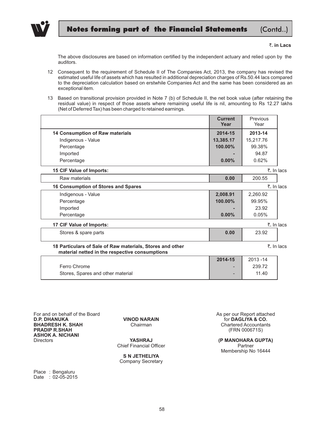

(Contd..

`**. in Lacs**

The above disclosures are based on information certified by the independent actuary and relied upon by the auditors.

- 12 Consequent to the requirement of Schedule II of The Companies Act, 2013, the company has revised the estimated useful life of assets which has resulted in additional depreciation charges of Rs.50.44 lacs compared to the depreciation calculation based on erstwhile Companies Act and the same has been considered as an exceptional item.
- 13 Based on transitional provision provided in Note 7 (b) of Schedule II, the net book value (after retaining the residual value) in respect of those assets where remaining useful life is nil, amounting to Rs 12.27 lakhs (Net of Deferred Tax) has been charged to retained earnings.

|                                                                                                             | <b>Current</b><br>Year | Previous<br>Year |            |
|-------------------------------------------------------------------------------------------------------------|------------------------|------------------|------------|
| 14 Consumption of Raw materials                                                                             | 2014-15                | 2013-14          |            |
| Indigenous - Value                                                                                          | 13,385.17              | 15,217.76        |            |
| Percentage                                                                                                  | 100.00%                | 99.38%           |            |
| Imported                                                                                                    |                        | 94.87            |            |
| Percentage                                                                                                  | $0.00\%$               | 0.62%            |            |
| 15 CIF Value of Imports:                                                                                    |                        |                  | ₹. In lacs |
| Raw materials                                                                                               | 0.00                   | 200.55           |            |
| 16 Consumption of Stores and Spares                                                                         |                        |                  | ₹. In lacs |
| Indigenous - Value                                                                                          | 2,008.91               | 2,260.92         |            |
| Percentage                                                                                                  | 100.00%                | 99.95%           |            |
| Imported                                                                                                    |                        | 23.92            |            |
| Percentage                                                                                                  | 0.00%                  | 0.05%            |            |
| 17 CIF Value of Imports:                                                                                    |                        |                  | ₹. In lacs |
| Stores & spare parts                                                                                        | 0.00                   | 23.92            |            |
| 18 Particulars of Sale of Raw materials, Stores and other<br>material netted in the respective consumptions |                        |                  | ₹. In lacs |
|                                                                                                             | 2014-15                | $2013 - 14$      |            |
| Ferro Chrome                                                                                                |                        | 239.72           |            |
| Stores, Spares and other material                                                                           |                        | 11.40            |            |

For and on behalf of the Board<br> **D.P. DHANUKA** CO.<br> **CO.**<br> **CO.** for **D.P. DHANUKA VINOD NARAIN DAGLIYA & CO. Directors BHADRESH K. SHAH PRADIP R.SHAH ASHOK A. NICHANI**

Chief Financial Officer **Partner** Partner

Company Secretary **S N JETHELIYA**

Place : Bengaluru Date : 02-05-2015 Chairman Chartered Accountants (FRN 000671S)

Membership No 16444 **YASHRAJ (P MANOHARA GUPTA)**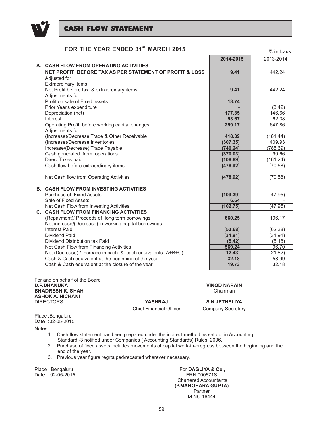

# **CASH FLOW STATEMENT**

# **FOR THE YEAR ENDED 31<sup>st</sup> MARCH 2015**

`**. in Lacs**

|                                                              | 2014-2015 | 2013-2014 |
|--------------------------------------------------------------|-----------|-----------|
| A. CASH FLOW FROM OPERATING ACTIVITIES                       |           |           |
| NET PROFIT BEFORE TAX AS PER STATEMENT OF PROFIT & LOSS      | 9.41      | 442.24    |
| Adjusted for                                                 |           |           |
| Extraordinary items:                                         |           |           |
| Net Profit before tax & extraordinary items                  | 9.41      | 442.24    |
| Adjustments for:                                             |           |           |
| Profit on sale of Fixed assets                               | 18.74     |           |
| Prior Year's expenditure                                     |           | (3.42)    |
| Depreciation (net)                                           | 177.35    | 146.66    |
| Interest                                                     | 53.67     | 62.38     |
| Operating Profit before working capital changes              | 259.17    | 647.86    |
| Adjustments for:                                             |           |           |
| (Increase)/Decrease Trade & Other Receivable                 | 418.39    | (181.44)  |
| (Increase)/Decrease Inventories                              | (307.35)  | 409.93    |
| Increase/(Decrease) Trade Payable                            | (740.24)  | (785.69)  |
| Cash generated from operations                               | (370.03)  | 90.66     |
| Direct Taxes paid                                            | (108.89)  | (161.24)  |
| Cash flow before extraordinary items                         | (478.92)  | (70.58)   |
| Net Cash flow from Operating Activities                      | (478.92)  | (70.58)   |
| <b>B. CASH FLOW FROM INVESTING ACTIVITIES</b>                |           |           |
| Purchase of Fixed Assets                                     | (109.39)  | (47.95)   |
| Sale of Fixed Assets                                         | 6.64      |           |
| Net Cash Flow from Investing Activities                      | (102.75)  | (47.95)   |
| C. CASH FLOW FROM FINANCING ACTIVITIES                       |           |           |
| (Repayment)/ Proceeds of long term borrowings                | 660.25    | 196.17    |
| Net increase/(Decrease) in working capital borrowings        |           |           |
| <b>Interest Paid</b>                                         | (53.68)   | (62.38)   |
| Dividend Paid                                                | (31.91)   | (31.91)   |
| Dividend Distribution tax Paid                               | (5.42)    | (5.18)    |
| Net Cash Flow from Financing Activities                      | 569.24    | 96.70     |
| Net (Decrease) / Increase in cash & cash equivalents (A+B+C) | (12.43)   | (21.82)   |
| Cash & Cash equivalent at the beginning of the year          | 32.18     | 53.99     |
| Cash & Cash equivalent at the closure of the year            | 19.73     | 32.18     |

For and on behalf of the Board DIRECTORS **D.P.DHANUKA VINOD NARAIN BHADRESH K. SHAH ASHOK A. NICHANI**

Chairman

YASHRAJ S N JETHELIYA

Chief Financial Officer Company Secretary

Place : Bengaluru Date :02-05-2015

Notes:

- 1. Cash flow statement has been prepared under the indirect method as set out in Accounting Standard -3 notified under Companies ( Accounting Standards) Rules, 2006.
- 2. Purchase of fixed assets includes movements of capital work-in-progress between the beginning and the end of the year.
- 3. Previous year figure regrouped/recasted wherever necessary.

Date:  $02 - 05 - 2015$ 

Place : Bengaluru **Place : Bengaluru For DAGLIYA & C**<br>
Date : 02-05-2015 Chartered Accountants Partner M.NO.16444 For DAGLIYA & Co., **(P.MANOHARA GUPTA)**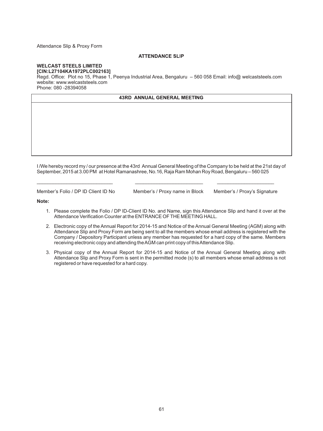## Attendance Slip & Proxy Form

### **ATTENDANCE SLIP**

# **WELCAST STEELS LIMITED**

Regd. Office: Plot no 15, Phase 1, Peenya Industrial Area, Bengaluru – 560 058 Email: info@ welcaststeels.com website: www.welcaststeels.com Phone: 080 -28394058 **[CIN:L27104KA1972PLC002163]**

# **43RD ANNUAL GENERAL MEETING**

I /We hereby record my / our presence at the 43rd Annual General Meeting of the Company to be held at the 21st day of September, 2015 at 3.00 PM at Hotel Ramanashree, No.16, Raja Ram Mohan Roy Road, Bengaluru – 560 025

\_\_\_\_\_\_\_\_\_\_\_\_\_\_\_\_\_\_\_\_\_\_\_\_\_\_\_\_ \_\_\_\_\_\_\_\_\_\_\_\_\_\_\_\_\_\_\_\_\_\_\_\_\_ \_\_\_\_\_\_\_\_\_\_\_\_\_\_\_\_\_\_\_\_\_

Member's Folio / DP ID Client ID No Member's / Proxy name in Block Member's / Proxy's Signature

**Note:**

- 1. Please complete the Folio / DP ID-Client ID No. and Name, sign this Attendance Slip and hand it over at the Attendance Verification Counter at the ENTRANCE OF THE MEETING HALL.
- 2. Electronic copy of the Annual Report for 2014-15 and Notice of the Annual General Meeting (AGM) along with Attendance Slip and Proxy Form are being sent to all the members whose email address is registered with the Company / Depository Participant unless any member has requested for a hard copy of the same. Members receiving electronic copy and attending theAGM can print copy of thisAttendance Slip.
- 3. Physical copy of the Annual Report for 2014-15 and Notice of the Annual General Meeting along with Attendance Slip and Proxy Form is sent in the permitted mode (s) to all members whose email address is not registered or have requested for a hard copy.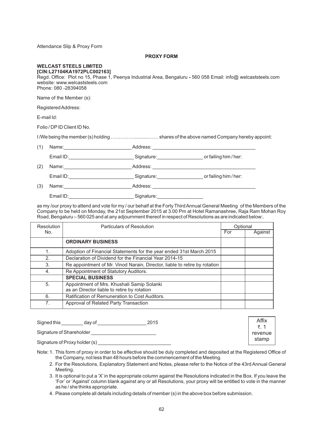Attendance Slip & Proxy Form

### **PROXY FORM**

# **WELCAST STEELS LIMITED**

Regd. Office: Plot no 15, Phase 1, Peenya Industrial Area, Bengaluru - 560 058 Email: info@ welcaststeels.com website: www.welcaststeels.com Phone: 080 -28394058 **[CIN:L27104KA1972PLC002163]**

Name of the Member (s):

RegisteredAddress:

E-mail Id:

Folio / DP ID Client ID No.

I /We being the member (s) holding ................................. shares of the above named Company hereby appoint:

| (1) | Name:                                      | Address:              |                       |
|-----|--------------------------------------------|-----------------------|-----------------------|
|     | Email ID:                                  | Signature: Signature: | or failing him / her: |
| (2) | Name:                                      | Address:              |                       |
|     | Email ID:                                  | Signature:            | or failing him / her: |
| (3) | Name:<br>the control of the control of the | Address:              |                       |
|     | Email ID:                                  | Signature:            |                       |

as my /our proxy to attend and vote for my / our behalf at the Forty Third Annual General Meeting of the Members of the Company to be held on Monday, the 21st September 2015 at 3.00 Pm at Hotel Ramanashree, Raja Ram Mohan Roy Road, Bengaluru – 560 025 and at any adjournment thereof in respect of Resolutions as are indicated below:.

| Resolution     | <b>Particulars of Resolution</b>                                           | Optional |         |
|----------------|----------------------------------------------------------------------------|----------|---------|
| No.            |                                                                            | For      | Against |
|                | <b>ORDINARY BUSINESS</b>                                                   |          |         |
| 1.             | Adoption of Financial Statements for the year ended 31st March 2015        |          |         |
| 2.             | Declaration of Dividend for the Financial Year 2014-15                     |          |         |
| 3.             | Re appointment of Mr. Vinod Narain, Director, liable to retire by rotation |          |         |
| 4.             | Re Appointment of Statutory Auditors.                                      |          |         |
|                | <b>SPECIAL BUSINESS</b>                                                    |          |         |
| 5.             | Appointment of Mrs. Khushali Samip Solanki                                 |          |         |
|                | as an Director liable to retire by rotation                                |          |         |
| 6.             | Ratification of Remuneration to Cost Auditors.                             |          |         |
| 7 <sub>1</sub> | Approval of Related Party Transaction                                      |          |         |
|                |                                                                            |          |         |

| Signed this<br>2015<br>day of | Affix   |
|-------------------------------|---------|
| Signature of Shareholder      | revenue |
| Signature of Proxy holder (s) | stamp   |

Note: 1. This form of proxy in order to be effective should be duly completed and deposited at the Registered Office of the Company, not less than 48 hours before the commencement of the Meeting.

2. For the Resolutions, Explanatory Statement and Notes, please refer to the Notice of the 43rd Annual General Meeting.

3. It is optional to put a 'X' in the appropriate column against the Resolutions indicated in the Box. If you leave the 'For' or 'Against' column blank against any or all Resolutions, your proxy will be entitled to vote in the manner as he / she thinks appropriate.

4. Please complete all details including details of member (s) in the above box before submission.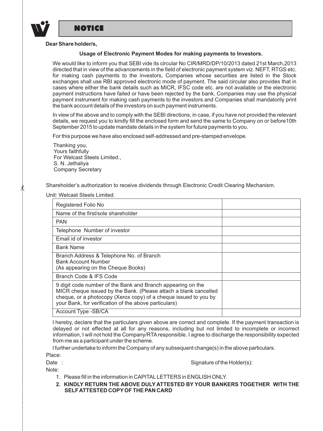

 $\frac{1}{2}$ 

# **Dear Share holder/s,**

# **Usage of Electronic Payment Modes for making payments to Investors.**

We would like to inform you that SEBI vide its circular No CIR/MRD/DP/10/2013 dated 21st March,2013 directed that in view of the advancements in the field of electronic payment system viz. NEFT, RTGS etc. for making cash payments to the investors, Companies whose securities are listed in the Stock exchanges shall use RBI approved electronic mode of payment. The said circular also provides that in cases where either the bank details such as MICR, IFSC code etc. are not available or the electronic payment instructions have failed or have been rejected by the bank, Companies may use the physical payment instrument for making cash payments to the investors and Companies shall mandatorily print the bank account details of the investors on such payment instruments.

In view of the above and to comply with the SEBI directions, in case, if you have not provided the relevant details, we request you to kindly fill the enclosed form and send the same to Company on or before10th September 2015 to update mandate details in the system for future payments to you.

For this purpose we have also enclosed self-addressed and pre-stamped envelope.

Thanking you, Yours faithfully For Welcast Steels Limited., S. N. Jethaliya Company Secretary

Shareholder's authorization to receive dividends through Electronic Credit Clearing Mechanism.

Unit: Welcast Steels Limited.

| Registered Folio No                                                                                                                                                                                                                                          |  |
|--------------------------------------------------------------------------------------------------------------------------------------------------------------------------------------------------------------------------------------------------------------|--|
| Name of the first/sole shareholder                                                                                                                                                                                                                           |  |
| <b>PAN</b>                                                                                                                                                                                                                                                   |  |
| Telephone Number of investor                                                                                                                                                                                                                                 |  |
| Email id of investor                                                                                                                                                                                                                                         |  |
| <b>Bank Name</b>                                                                                                                                                                                                                                             |  |
| Branch Address & Telephone No. of Branch<br><b>Bank Account Number</b><br>(As appearing on the Cheque Books)                                                                                                                                                 |  |
| Branch Code & IFS Code                                                                                                                                                                                                                                       |  |
| 9 digit code number of the Bank and Branch appearing on the<br>MICR cheque issued by the Bank. (Please attach a blank cancelled<br>cheque, or a photocopy (Xerox copy) of a cheque issued to you by<br>your Bank, for verification of the above particulars) |  |
| Account Type -SB/CA                                                                                                                                                                                                                                          |  |

I hereby, declare that the particulars given above are correct and complete. If the payment transaction is delayed or not effected at all for any reasons, including but not limited to incomplete or incorrect information, I will not hold the Company/RTA responsible. I agree to discharge the responsibility expected from me as a participant under the scheme.

I further undertake to inform the Company of any subsequent change(s) in the above particulars.

Place:

Date : Signature of the Holder(s):

Note:

- 1. Please fill in the information in CAPITALLETTERS in ENGLISH ONLY.
- **2. KINDLY RETURN THE ABOVE DULY ATTESTED BY YOUR BANKERS TOGETHER WITH THE SELFATTESTED COPY OF THE PAN CARD**